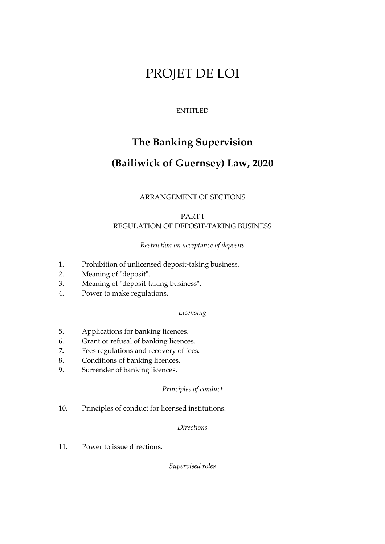# PROJET DE LOI

## ENTITLED

## **The Banking Supervision**

## **(Bailiwick of Guernsey) Law, 2020**

## ARRANGEMENT OF SECTIONS

## PART I REGULATION OF DEPOSIT-TAKING BUSINESS

## *Restriction on acceptance of deposits*

- 1. Prohibition of unlicensed deposit-taking business.
- 2. Meaning of "deposit".
- 3. Meaning of "deposit-taking business".
- 4. Power to make regulations.

## *Licensing*

- 5. Applications for banking licences.
- 6. Grant or refusal of banking licences.
- *7.* Fees regulations and recovery of fees.
- 8. Conditions of banking licences.
- 9. Surrender of banking licences.

## *Principles of conduct*

10. Principles of conduct for licensed institutions.

#### *Directions*

11. Power to issue directions.

*Supervised roles*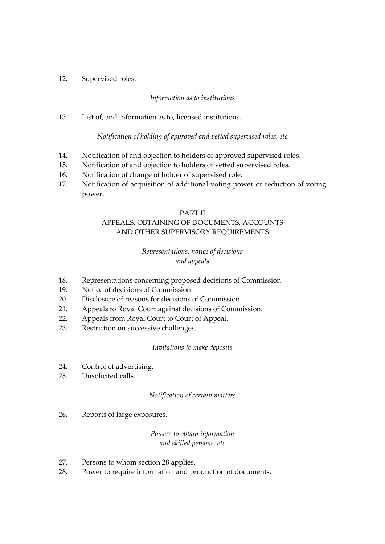12. Supervised roles.

## *Information as to institutions*

13. List of, and information as to, licensed institutions.

#### *Notification of holding of approved and vetted supervised roles, etc*

- 14. Notification of and objection to holders of approved supervised roles.
- 15. Notification of and objection to holders of vetted supervised roles.
- 16. Notification of change of holder of supervised role.
- 17. Notification of acquisition of additional voting power or reduction of voting power.

#### PART II

## APPEALS, OBTAINING OF DOCUMENTS, ACCOUNTS AND OTHER SUPERVISORY REQUIREMENTS

## *Representations, notice of decisions and appeals*

- 18. Representations concerning proposed decisions of Commission.
- 19. Notice of decisions of Commission.
- 20. Disclosure of reasons for decisions of Commission.
- 21. Appeals to Royal Court against decisions of Commission.
- 22. Appeals from Royal Court to Court of Appeal.
- 23. Restriction on successive challenges.

#### *Invitations to make deposits*

- 24. Control of advertising.
- 25. Unsolicited calls.

#### *Notification of certain matters*

26. Reports of large exposures.

## *Powers to obtain information and skilled persons, etc*

- 27. Persons to whom section 28 applies.
- 28. Power to require information and production of documents.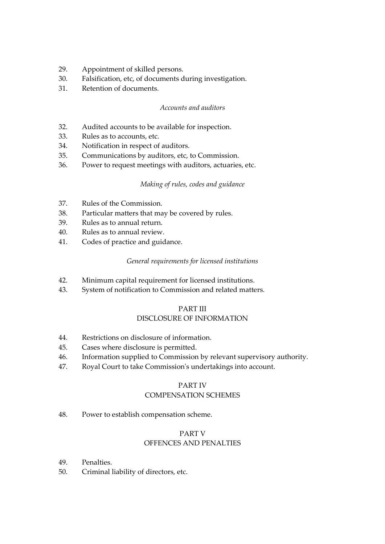- 29. Appointment of skilled persons.
- 30. Falsification, etc, of documents during investigation.
- 31. Retention of documents.

#### *Accounts and auditors*

- 32. Audited accounts to be available for inspection.
- 33. Rules as to accounts, etc.
- 34. Notification in respect of auditors.
- 35. Communications by auditors, etc, to Commission.
- 36. Power to request meetings with auditors, actuaries, etc.

## *Making of rules, codes and guidance*

- 37. Rules of the Commission.
- 38. Particular matters that may be covered by rules.
- 39. Rules as to annual return.
- 40. Rules as to annual review.
- 41. Codes of practice and guidance.

## *General requirements for licensed institutions*

- 42. Minimum capital requirement for licensed institutions.
- 43. System of notification to Commission and related matters.

## PART III

## DISCLOSURE OF INFORMATION

- 44. Restrictions on disclosure of information.
- 45. Cases where disclosure is permitted.
- 46. Information supplied to Commission by relevant supervisory authority.
- 47. Royal Court to take Commission's undertakings into account.

#### PART IV COMPENSATION SCHEMES

48. Power to establish compensation scheme.

## PART V

## OFFENCES AND PENALTIES

- 49. Penalties.
- 50. Criminal liability of directors, etc.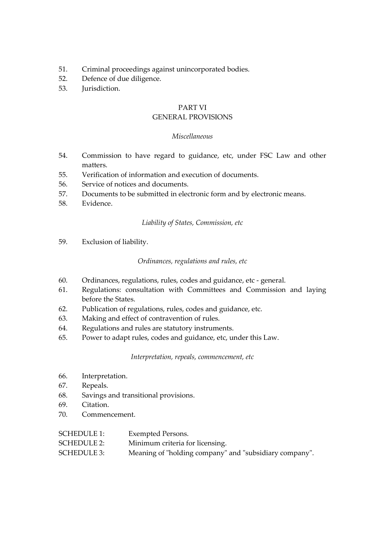- 51. Criminal proceedings against unincorporated bodies.
- 52. Defence of due diligence.
- 53. Jurisdiction.

#### PART VI

## GENERAL PROVISIONS

#### *Miscellaneous*

- 54. Commission to have regard to guidance, etc, under FSC Law and other matters.
- 55. Verification of information and execution of documents.
- 56. Service of notices and documents.
- 57. Documents to be submitted in electronic form and by electronic means.
- 58. Evidence.

#### *Liability of States, Commission, etc*

59. Exclusion of liability.

#### *Ordinances, regulations and rules, etc*

- 60. Ordinances, regulations, rules, codes and guidance, etc general.
- 61. Regulations: consultation with Committees and Commission and laying before the States.
- 62. Publication of regulations, rules, codes and guidance, etc.
- 63. Making and effect of contravention of rules.
- 64. Regulations and rules are statutory instruments.
- 65. Power to adapt rules, codes and guidance, etc, under this Law.

*Interpretation, repeals, commencement, etc*

- 66. Interpretation.
- 67. Repeals.
- 68. Savings and transitional provisions.
- 69. Citation.
- 70. Commencement.

| <b>SCHEDULE 1:</b> | Exempted Persons.               |
|--------------------|---------------------------------|
| <b>SCHEDULE 2:</b> | Minimum criteria for licensing. |

SCHEDULE 3: Meaning of "holding company" and "subsidiary company".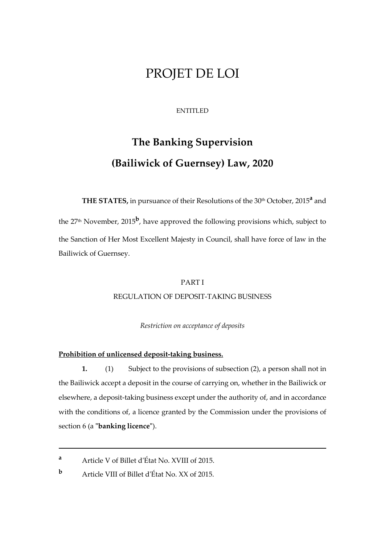## PROJET DE LOI

#### ENTITLED

# **The Banking Supervision (Bailiwick of Guernsey) Law, 2020**

**THE STATES,** in pursuance of their Resolutions of the 30th October, 2015**<sup>a</sup>** and the 27<sup>th</sup> November, 2015<sup>b</sup>, have approved the following provisions which, subject to the Sanction of Her Most Excellent Majesty in Council, shall have force of law in the Bailiwick of Guernsey.

#### PART I

## REGULATION OF DEPOSIT-TAKING BUSINESS

*Restriction on acceptance of deposits*

#### **Prohibition of unlicensed deposit-taking business.**

**1.** (1) Subject to the provisions of subsection (2), a person shall not in the Bailiwick accept a deposit in the course of carrying on, whether in the Bailiwick or elsewhere, a deposit-taking business except under the authority of, and in accordance with the conditions of, a licence granted by the Commission under the provisions of section 6 (a **"banking licence"**).

1

**<sup>a</sup>** Article V of Billet d'État No. XVIII of 2015.

**<sup>b</sup>** Article VIII of Billet d'État No. XX of 2015.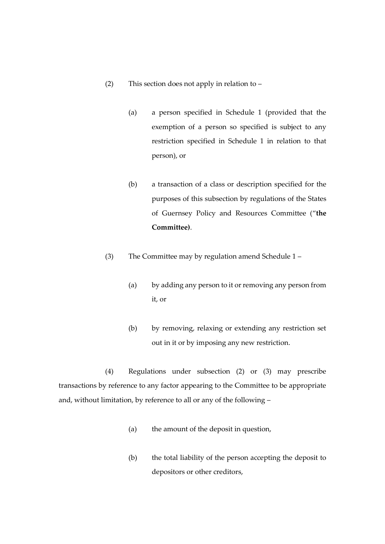- (2) This section does not apply in relation to
	- (a) a person specified in Schedule 1 (provided that the exemption of a person so specified is subject to any restriction specified in Schedule 1 in relation to that person), or
	- (b) a transaction of a class or description specified for the purposes of this subsection by regulations of the States of Guernsey Policy and Resources Committee ("**the Committee)**.
- (3) The Committee may by regulation amend Schedule 1
	- (a) by adding any person to it or removing any person from it, or
	- (b) by removing, relaxing or extending any restriction set out in it or by imposing any new restriction.

(4) Regulations under subsection (2) or (3) may prescribe transactions by reference to any factor appearing to the Committee to be appropriate and, without limitation, by reference to all or any of the following –

- (a) the amount of the deposit in question,
- (b) the total liability of the person accepting the deposit to depositors or other creditors,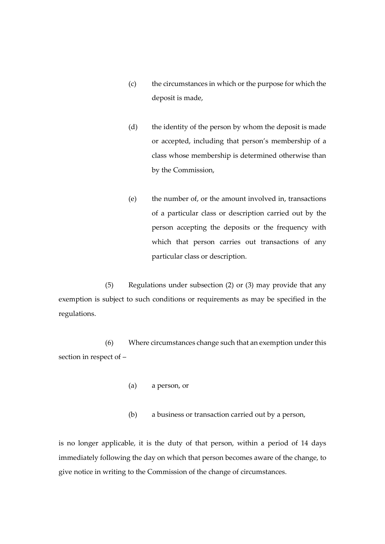- (c) the circumstances in which or the purpose for which the deposit is made,
- (d) the identity of the person by whom the deposit is made or accepted, including that person's membership of a class whose membership is determined otherwise than by the Commission,
- (e) the number of, or the amount involved in, transactions of a particular class or description carried out by the person accepting the deposits or the frequency with which that person carries out transactions of any particular class or description.

(5) Regulations under subsection (2) or (3) may provide that any exemption is subject to such conditions or requirements as may be specified in the regulations.

(6) Where circumstances change such that an exemption under this section in respect of –

- (a) a person, or
- (b) a business or transaction carried out by a person,

is no longer applicable, it is the duty of that person, within a period of 14 days immediately following the day on which that person becomes aware of the change, to give notice in writing to the Commission of the change of circumstances.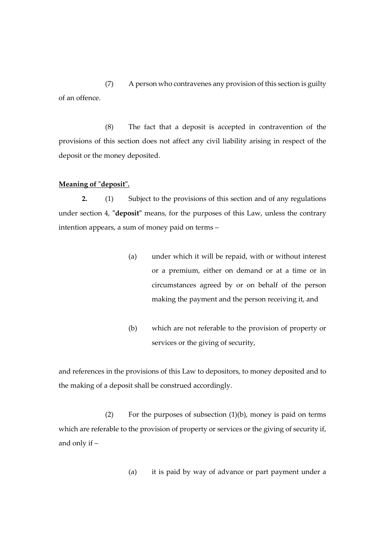(7) A person who contravenes any provision of this section is guilty of an offence.

(8) The fact that a deposit is accepted in contravention of the provisions of this section does not affect any civil liability arising in respect of the deposit or the money deposited.

#### **Meaning of "deposit".**

**2.** (1) Subject to the provisions of this section and of any regulations under section 4, **"deposit"** means, for the purposes of this Law, unless the contrary intention appears, a sum of money paid on terms –

- (a) under which it will be repaid, with or without interest or a premium, either on demand or at a time or in circumstances agreed by or on behalf of the person making the payment and the person receiving it, and
- (b) which are not referable to the provision of property or services or the giving of security,

and references in the provisions of this Law to depositors, to money deposited and to the making of a deposit shall be construed accordingly.

(2) For the purposes of subsection  $(1)(b)$ , money is paid on terms which are referable to the provision of property or services or the giving of security if, and only if –

(a) it is paid by way of advance or part payment under a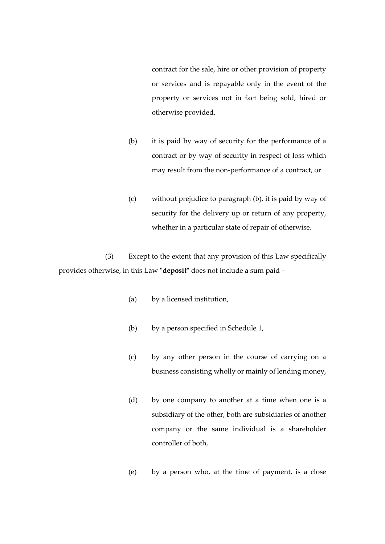contract for the sale, hire or other provision of property or services and is repayable only in the event of the property or services not in fact being sold, hired or otherwise provided,

- (b) it is paid by way of security for the performance of a contract or by way of security in respect of loss which may result from the non-performance of a contract, or
- (c) without prejudice to paragraph (b), it is paid by way of security for the delivery up or return of any property, whether in a particular state of repair of otherwise.

(3) Except to the extent that any provision of this Law specifically provides otherwise, in this Law **"deposit"** does not include a sum paid –

- (a) by a licensed institution,
- (b) by a person specified in Schedule 1,
- (c) by any other person in the course of carrying on a business consisting wholly or mainly of lending money,
- (d) by one company to another at a time when one is a subsidiary of the other, both are subsidiaries of another company or the same individual is a shareholder controller of both,
- (e) by a person who, at the time of payment, is a close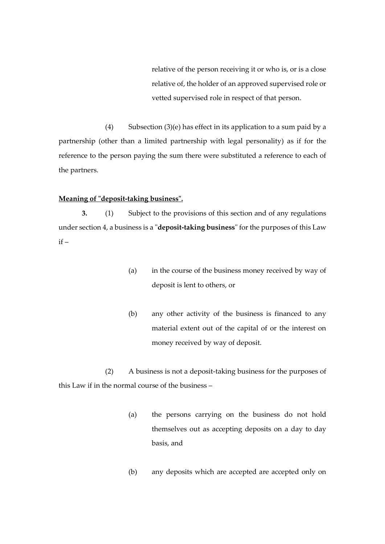relative of the person receiving it or who is, or is a close relative of, the holder of an approved supervised role or vetted supervised role in respect of that person.

(4) Subsection (3)(e) has effect in its application to a sum paid by a partnership (other than a limited partnership with legal personality) as if for the reference to the person paying the sum there were substituted a reference to each of the partners.

#### **Meaning of "deposit-taking business".**

**3.** (1) Subject to the provisions of this section and of any regulations under section 4, a business is a "**deposit-taking business**" for the purposes of this Law  $if -$ 

- (a) in the course of the business money received by way of deposit is lent to others, or
- (b) any other activity of the business is financed to any material extent out of the capital of or the interest on money received by way of deposit.

(2) A business is not a deposit-taking business for the purposes of this Law if in the normal course of the business –

- (a) the persons carrying on the business do not hold themselves out as accepting deposits on a day to day basis, and
- (b) any deposits which are accepted are accepted only on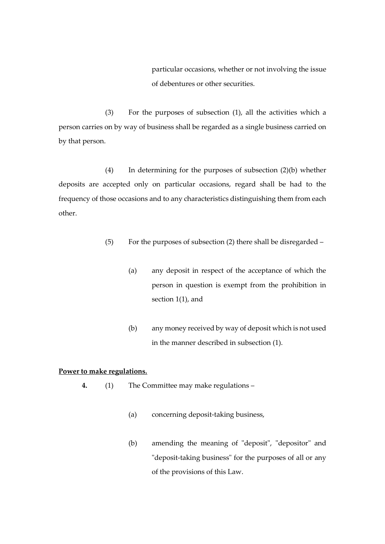particular occasions, whether or not involving the issue of debentures or other securities.

(3) For the purposes of subsection (1), all the activities which a person carries on by way of business shall be regarded as a single business carried on by that person.

(4) In determining for the purposes of subsection (2)(b) whether deposits are accepted only on particular occasions, regard shall be had to the frequency of those occasions and to any characteristics distinguishing them from each other.

- (5) For the purposes of subsection (2) there shall be disregarded
	- (a) any deposit in respect of the acceptance of which the person in question is exempt from the prohibition in section 1(1), and
	- (b) any money received by way of deposit which is not used in the manner described in subsection (1).

## **Power to make regulations.**

- **4.** (1) The Committee may make regulations
	- (a) concerning deposit-taking business,
	- (b) amending the meaning of "deposit", "depositor" and "deposit-taking business" for the purposes of all or any of the provisions of this Law.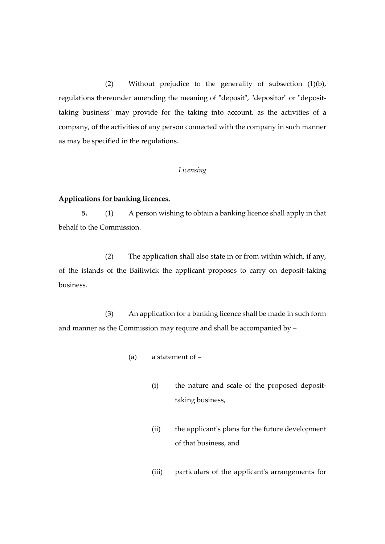(2) Without prejudice to the generality of subsection (1)(b), regulations thereunder amending the meaning of "deposit", "depositor" or "deposittaking business" may provide for the taking into account, as the activities of a company, of the activities of any person connected with the company in such manner as may be specified in the regulations.

#### *Licensing*

#### **Applications for banking licences.**

**5.** (1) A person wishing to obtain a banking licence shall apply in that behalf to the Commission.

(2) The application shall also state in or from within which, if any, of the islands of the Bailiwick the applicant proposes to carry on deposit-taking business.

(3) An application for a banking licence shall be made in such form and manner as the Commission may require and shall be accompanied by –

- (a) a statement of
	- (i) the nature and scale of the proposed deposittaking business,
	- (ii) the applicant's plans for the future development of that business, and
	- (iii) particulars of the applicant's arrangements for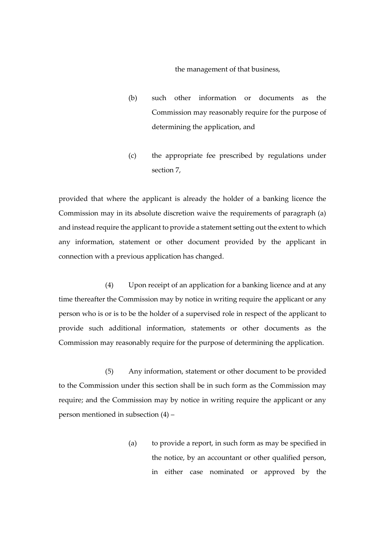the management of that business,

- (b) such other information or documents as the Commission may reasonably require for the purpose of determining the application, and
- (c) the appropriate fee prescribed by regulations under section 7,

provided that where the applicant is already the holder of a banking licence the Commission may in its absolute discretion waive the requirements of paragraph (a) and instead require the applicant to provide a statement setting out the extent to which any information, statement or other document provided by the applicant in connection with a previous application has changed.

(4) Upon receipt of an application for a banking licence and at any time thereafter the Commission may by notice in writing require the applicant or any person who is or is to be the holder of a supervised role in respect of the applicant to provide such additional information, statements or other documents as the Commission may reasonably require for the purpose of determining the application.

(5) Any information, statement or other document to be provided to the Commission under this section shall be in such form as the Commission may require; and the Commission may by notice in writing require the applicant or any person mentioned in subsection (4) –

> (a) to provide a report, in such form as may be specified in the notice, by an accountant or other qualified person, in either case nominated or approved by the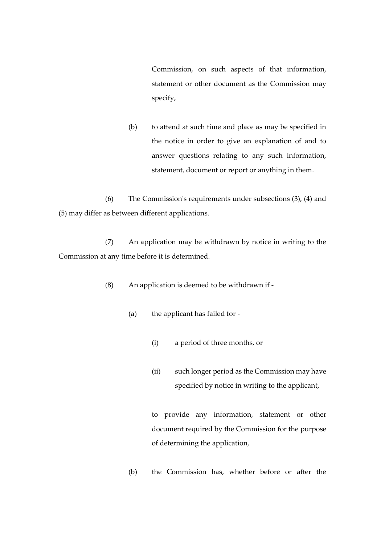Commission, on such aspects of that information, statement or other document as the Commission may specify,

(b) to attend at such time and place as may be specified in the notice in order to give an explanation of and to answer questions relating to any such information, statement, document or report or anything in them.

(6) The Commission's requirements under subsections (3), (4) and (5) may differ as between different applications.

(7) An application may be withdrawn by notice in writing to the Commission at any time before it is determined.

(8) An application is deemed to be withdrawn if -

- (a) the applicant has failed for
	- (i) a period of three months, or
	- (ii) such longer period as the Commission may have specified by notice in writing to the applicant,

to provide any information, statement or other document required by the Commission for the purpose of determining the application,

(b) the Commission has, whether before or after the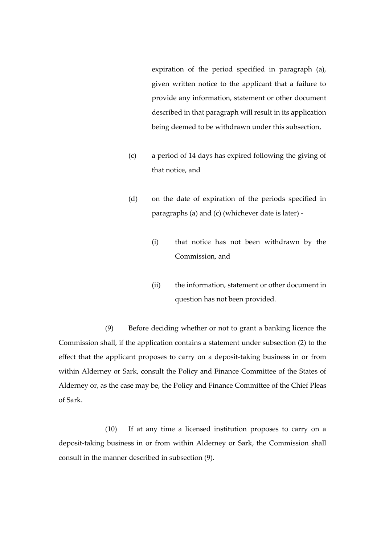expiration of the period specified in paragraph (a), given written notice to the applicant that a failure to provide any information, statement or other document described in that paragraph will result in its application being deemed to be withdrawn under this subsection,

- (c) a period of 14 days has expired following the giving of that notice, and
- (d) on the date of expiration of the periods specified in paragraphs (a) and (c) (whichever date is later) -
	- (i) that notice has not been withdrawn by the Commission, and
	- (ii) the information, statement or other document in question has not been provided.

(9) Before deciding whether or not to grant a banking licence the Commission shall, if the application contains a statement under subsection (2) to the effect that the applicant proposes to carry on a deposit-taking business in or from within Alderney or Sark, consult the Policy and Finance Committee of the States of Alderney or, as the case may be, the Policy and Finance Committee of the Chief Pleas of Sark.

(10) If at any time a licensed institution proposes to carry on a deposit-taking business in or from within Alderney or Sark, the Commission shall consult in the manner described in subsection (9).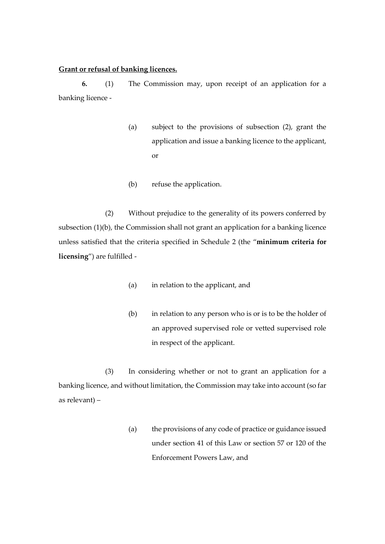#### **Grant or refusal of banking licences.**

**6.** (1) The Commission may, upon receipt of an application for a banking licence -

- (a) subject to the provisions of subsection (2), grant the application and issue a banking licence to the applicant, or
- (b) refuse the application.

(2) Without prejudice to the generality of its powers conferred by subsection (1)(b), the Commission shall not grant an application for a banking licence unless satisfied that the criteria specified in Schedule 2 (the "**minimum criteria for licensing**") are fulfilled -

- (a) in relation to the applicant, and
- (b) in relation to any person who is or is to be the holder of an approved supervised role or vetted supervised role in respect of the applicant.

(3) In considering whether or not to grant an application for a banking licence, and without limitation, the Commission may take into account (so far as relevant) –

> (a) the provisions of any code of practice or guidance issued under section 41 of this Law or section 57 or 120 of the Enforcement Powers Law, and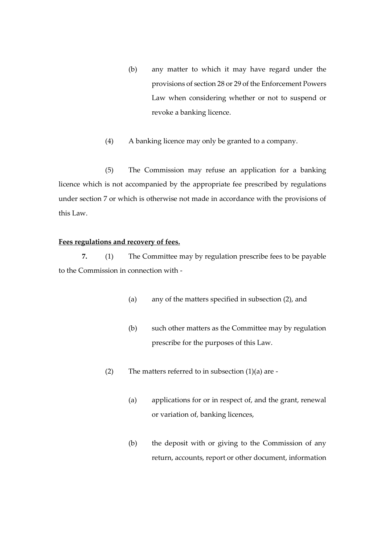- (b) any matter to which it may have regard under the provisions of section 28 or 29 of the Enforcement Powers Law when considering whether or not to suspend or revoke a banking licence.
- (4) A banking licence may only be granted to a company.

(5) The Commission may refuse an application for a banking licence which is not accompanied by the appropriate fee prescribed by regulations under section 7 or which is otherwise not made in accordance with the provisions of this Law.

## **Fees regulations and recovery of fees.**

**7.** (1) The Committee may by regulation prescribe fees to be payable to the Commission in connection with -

- (a) any of the matters specified in subsection (2), and
- (b) such other matters as the Committee may by regulation prescribe for the purposes of this Law.
- (2) The matters referred to in subsection  $(1)(a)$  are -
	- (a) applications for or in respect of, and the grant, renewal or variation of, banking licences,
	- (b) the deposit with or giving to the Commission of any return, accounts, report or other document, information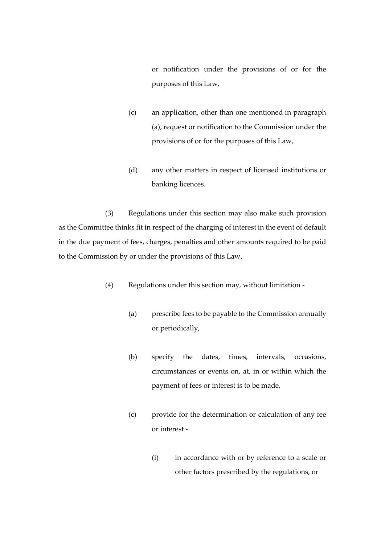or notification under the provisions of or for the purposes of this Law,

- (c) an application, other than one mentioned in paragraph (a), request or notification to the Commission under the provisions of or for the purposes of this Law,
- (d) any other matters in respect of licensed institutions or banking licences.

(3) Regulations under this section may also make such provision as the Committee thinks fit in respect of the charging of interest in the event of default in the due payment of fees, charges, penalties and other amounts required to be paid to the Commission by or under the provisions of this Law.

- (4) Regulations under this section may, without limitation
	- (a) prescribe fees to be payable to the Commission annually or periodically,
	- (b) specify the dates, times, intervals, occasions, circumstances or events on, at, in or within which the payment of fees or interest is to be made,
	- (c) provide for the determination or calculation of any fee or interest -
		- (i) in accordance with or by reference to a scale or other factors prescribed by the regulations, or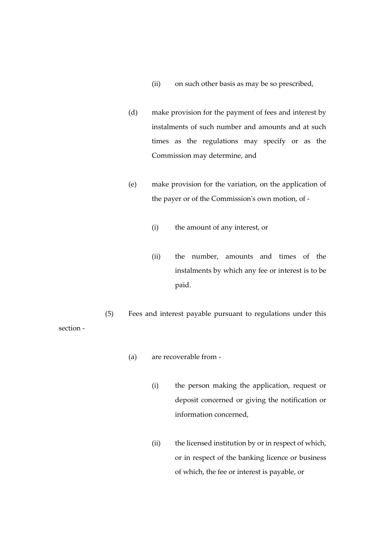- (ii) on such other basis as may be so prescribed,
- (d) make provision for the payment of fees and interest by instalments of such number and amounts and at such times as the regulations may specify or as the Commission may determine, and
- (e) make provision for the variation, on the application of the payer or of the Commission's own motion, of -
	- (i) the amount of any interest, or
	- (ii) the number, amounts and times of the instalments by which any fee or interest is to be paid.
- (5) Fees and interest payable pursuant to regulations under this section -
	- (a) are recoverable from
		- (i) the person making the application, request or deposit concerned or giving the notification or information concerned,
		- (ii) the licensed institution by or in respect of which, or in respect of the banking licence or business of which, the fee or interest is payable, or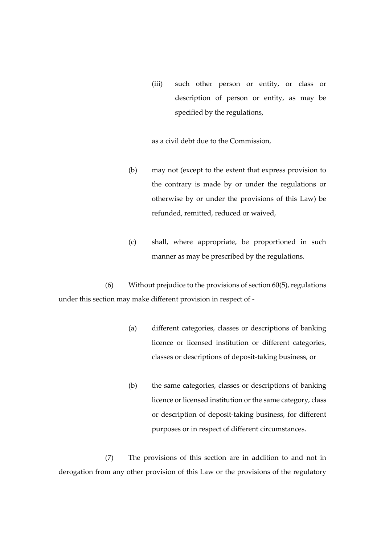(iii) such other person or entity, or class or description of person or entity, as may be specified by the regulations,

as a civil debt due to the Commission,

- (b) may not (except to the extent that express provision to the contrary is made by or under the regulations or otherwise by or under the provisions of this Law) be refunded, remitted, reduced or waived,
- (c) shall, where appropriate, be proportioned in such manner as may be prescribed by the regulations.

(6) Without prejudice to the provisions of section 60(5), regulations under this section may make different provision in respect of -

- (a) different categories, classes or descriptions of banking licence or licensed institution or different categories, classes or descriptions of deposit-taking business, or
- (b) the same categories, classes or descriptions of banking licence or licensed institution or the same category, class or description of deposit-taking business, for different purposes or in respect of different circumstances.

(7) The provisions of this section are in addition to and not in derogation from any other provision of this Law or the provisions of the regulatory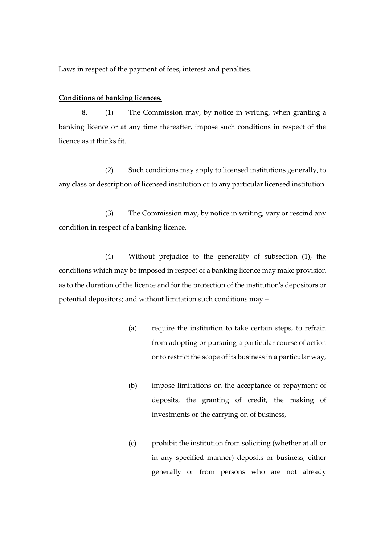Laws in respect of the payment of fees, interest and penalties.

#### **Conditions of banking licences.**

**8.** (1) The Commission may, by notice in writing, when granting a banking licence or at any time thereafter, impose such conditions in respect of the licence as it thinks fit.

(2) Such conditions may apply to licensed institutions generally, to any class or description of licensed institution or to any particular licensed institution.

(3) The Commission may, by notice in writing, vary or rescind any condition in respect of a banking licence.

(4) Without prejudice to the generality of subsection (1), the conditions which may be imposed in respect of a banking licence may make provision as to the duration of the licence and for the protection of the institution's depositors or potential depositors; and without limitation such conditions may –

- (a) require the institution to take certain steps, to refrain from adopting or pursuing a particular course of action or to restrict the scope of its business in a particular way,
- (b) impose limitations on the acceptance or repayment of deposits, the granting of credit, the making of investments or the carrying on of business,
- (c) prohibit the institution from soliciting (whether at all or in any specified manner) deposits or business, either generally or from persons who are not already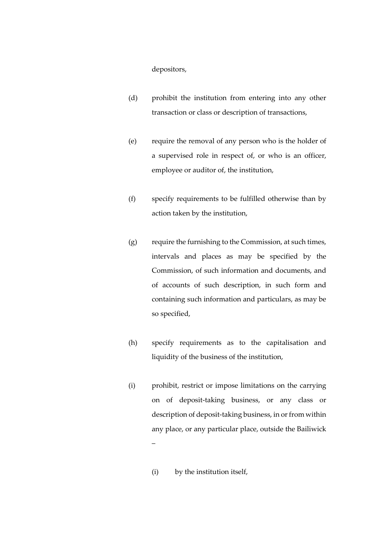depositors,

- (d) prohibit the institution from entering into any other transaction or class or description of transactions,
- (e) require the removal of any person who is the holder of a supervised role in respect of, or who is an officer, employee or auditor of, the institution,
- (f) specify requirements to be fulfilled otherwise than by action taken by the institution,
- (g) require the furnishing to the Commission, at such times, intervals and places as may be specified by the Commission, of such information and documents, and of accounts of such description, in such form and containing such information and particulars, as may be so specified,
- (h) specify requirements as to the capitalisation and liquidity of the business of the institution,
- (i) prohibit, restrict or impose limitations on the carrying on of deposit-taking business, or any class or description of deposit-taking business, in or from within any place, or any particular place, outside the Bailiwick –
	- (i) by the institution itself,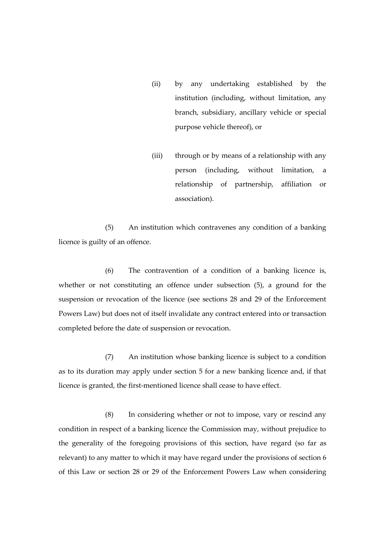- (ii) by any undertaking established by the institution (including, without limitation, any branch, subsidiary, ancillary vehicle or special purpose vehicle thereof), or
- (iii) through or by means of a relationship with any person (including, without limitation, a relationship of partnership, affiliation or association).

(5) An institution which contravenes any condition of a banking licence is guilty of an offence.

(6) The contravention of a condition of a banking licence is, whether or not constituting an offence under subsection (5), a ground for the suspension or revocation of the licence (see sections 28 and 29 of the Enforcement Powers Law) but does not of itself invalidate any contract entered into or transaction completed before the date of suspension or revocation.

(7) An institution whose banking licence is subject to a condition as to its duration may apply under section 5 for a new banking licence and, if that licence is granted, the first-mentioned licence shall cease to have effect.

(8) In considering whether or not to impose, vary or rescind any condition in respect of a banking licence the Commission may, without prejudice to the generality of the foregoing provisions of this section, have regard (so far as relevant) to any matter to which it may have regard under the provisions of section 6 of this Law or section 28 or 29 of the Enforcement Powers Law when considering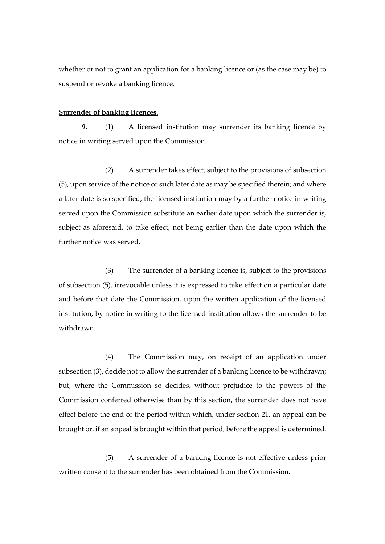whether or not to grant an application for a banking licence or (as the case may be) to suspend or revoke a banking licence.

#### **Surrender of banking licences.**

**9.** (1) A licensed institution may surrender its banking licence by notice in writing served upon the Commission.

(2) A surrender takes effect, subject to the provisions of subsection (5), upon service of the notice or such later date as may be specified therein; and where a later date is so specified, the licensed institution may by a further notice in writing served upon the Commission substitute an earlier date upon which the surrender is, subject as aforesaid, to take effect, not being earlier than the date upon which the further notice was served.

(3) The surrender of a banking licence is, subject to the provisions of subsection (5), irrevocable unless it is expressed to take effect on a particular date and before that date the Commission, upon the written application of the licensed institution, by notice in writing to the licensed institution allows the surrender to be withdrawn.

(4) The Commission may, on receipt of an application under subsection (3), decide not to allow the surrender of a banking licence to be withdrawn; but, where the Commission so decides, without prejudice to the powers of the Commission conferred otherwise than by this section, the surrender does not have effect before the end of the period within which, under section 21, an appeal can be brought or, if an appeal is brought within that period, before the appeal is determined.

(5) A surrender of a banking licence is not effective unless prior written consent to the surrender has been obtained from the Commission.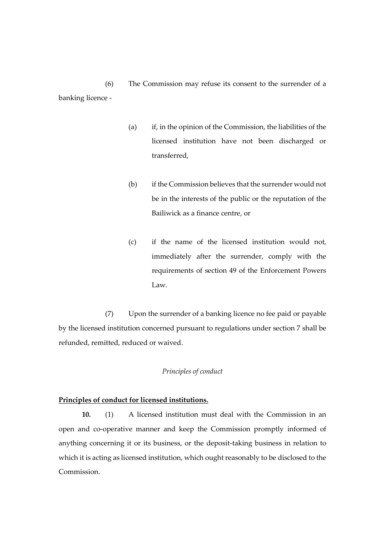(6) The Commission may refuse its consent to the surrender of a banking licence -

- (a) if, in the opinion of the Commission, the liabilities of the licensed institution have not been discharged or transferred,
- (b) if the Commission believes that the surrender would not be in the interests of the public or the reputation of the Bailiwick as a finance centre, or
- (c) if the name of the licensed institution would not, immediately after the surrender, comply with the requirements of section 49 of the Enforcement Powers Law.

(7) Upon the surrender of a banking licence no fee paid or payable by the licensed institution concerned pursuant to regulations under section 7 shall be refunded, remitted, reduced or waived.

#### *Principles of conduct*

## **Principles of conduct for licensed institutions.**

**10.** (1) A licensed institution must deal with the Commission in an open and co-operative manner and keep the Commission promptly informed of anything concerning it or its business, or the deposit-taking business in relation to which it is acting as licensed institution, which ought reasonably to be disclosed to the Commission.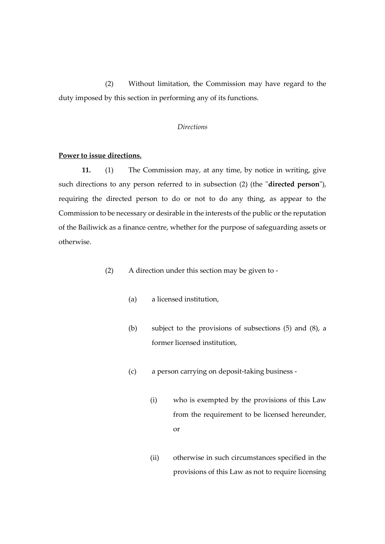(2) Without limitation, the Commission may have regard to the duty imposed by this section in performing any of its functions.

#### *Directions*

#### **Power to issue directions.**

**11.** (1) The Commission may, at any time, by notice in writing, give such directions to any person referred to in subsection (2) (the "**directed person**"), requiring the directed person to do or not to do any thing, as appear to the Commission to be necessary or desirable in the interests of the public or the reputation of the Bailiwick as a finance centre, whether for the purpose of safeguarding assets or otherwise.

- (2) A direction under this section may be given to
	- (a) a licensed institution,
	- (b) subject to the provisions of subsections (5) and (8), a former licensed institution,
	- (c) a person carrying on deposit-taking business
		- (i) who is exempted by the provisions of this Law from the requirement to be licensed hereunder, or
		- (ii) otherwise in such circumstances specified in the provisions of this Law as not to require licensing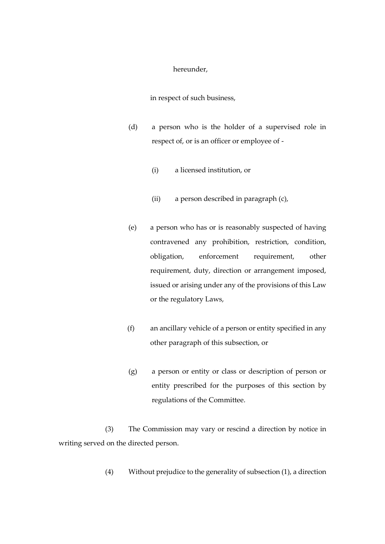#### hereunder,

in respect of such business,

- (d) a person who is the holder of a supervised role in respect of, or is an officer or employee of -
	- (i) a licensed institution, or
	- (ii) a person described in paragraph (c),
- (e) a person who has or is reasonably suspected of having contravened any prohibition, restriction, condition, obligation, enforcement requirement, other requirement, duty, direction or arrangement imposed, issued or arising under any of the provisions of this Law or the regulatory Laws,
- (f) an ancillary vehicle of a person or entity specified in any other paragraph of this subsection, or
- (g) a person or entity or class or description of person or entity prescribed for the purposes of this section by regulations of the Committee.

(3) The Commission may vary or rescind a direction by notice in writing served on the directed person.

(4) Without prejudice to the generality of subsection (1), a direction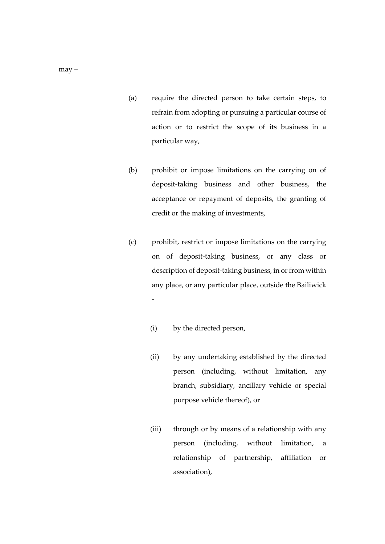- (a) require the directed person to take certain steps, to refrain from adopting or pursuing a particular course of action or to restrict the scope of its business in a particular way,
- (b) prohibit or impose limitations on the carrying on of deposit-taking business and other business, the acceptance or repayment of deposits, the granting of credit or the making of investments,
- (c) prohibit, restrict or impose limitations on the carrying on of deposit-taking business, or any class or description of deposit-taking business, in or from within any place, or any particular place, outside the Bailiwick
	- (i) by the directed person,

-

- (ii) by any undertaking established by the directed person (including, without limitation, any branch, subsidiary, ancillary vehicle or special purpose vehicle thereof), or
- (iii) through or by means of a relationship with any person (including, without limitation, a relationship of partnership, affiliation or association),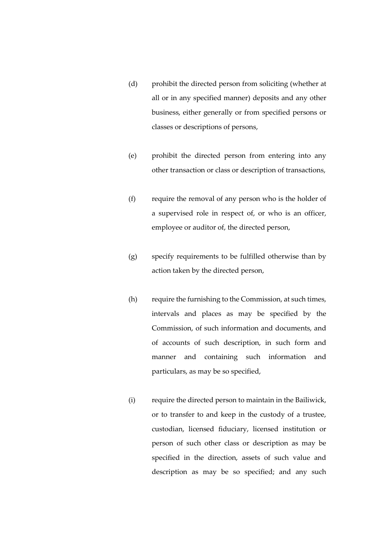- (d) prohibit the directed person from soliciting (whether at all or in any specified manner) deposits and any other business, either generally or from specified persons or classes or descriptions of persons,
- (e) prohibit the directed person from entering into any other transaction or class or description of transactions,
- (f) require the removal of any person who is the holder of a supervised role in respect of, or who is an officer, employee or auditor of, the directed person,
- (g) specify requirements to be fulfilled otherwise than by action taken by the directed person,
- (h) require the furnishing to the Commission, at such times, intervals and places as may be specified by the Commission, of such information and documents, and of accounts of such description, in such form and manner and containing such information and particulars, as may be so specified,
- (i) require the directed person to maintain in the Bailiwick, or to transfer to and keep in the custody of a trustee, custodian, licensed fiduciary, licensed institution or person of such other class or description as may be specified in the direction, assets of such value and description as may be so specified; and any such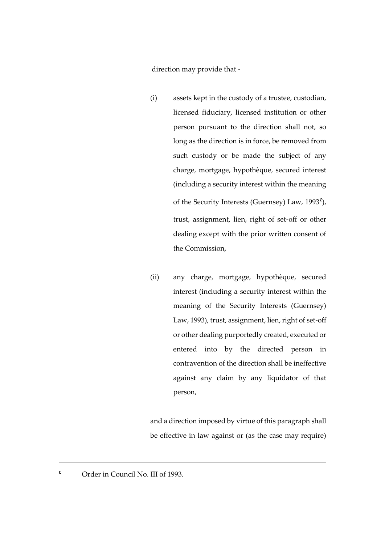direction may provide that -

- (i) assets kept in the custody of a trustee, custodian, licensed fiduciary, licensed institution or other person pursuant to the direction shall not, so long as the direction is in force, be removed from such custody or be made the subject of any charge, mortgage, hypothèque, secured interest (including a security interest within the meaning of the Security Interests (Guernsey) Law, 1993**<sup>c</sup>** ), trust, assignment, lien, right of set-off or other dealing except with the prior written consent of the Commission,
- (ii) any charge, mortgage, hypothèque, secured interest (including a security interest within the meaning of the Security Interests (Guernsey) Law, 1993), trust, assignment, lien, right of set-off or other dealing purportedly created, executed or entered into by the directed person in contravention of the direction shall be ineffective against any claim by any liquidator of that person,

and a direction imposed by virtue of this paragraph shall be effective in law against or (as the case may require)

**<sup>c</sup>** Order in Council No. III of 1993.

<u>.</u>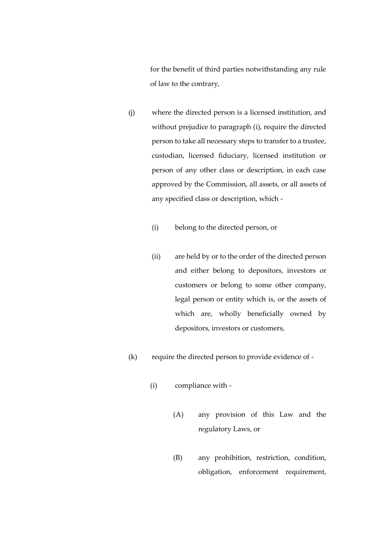for the benefit of third parties notwithstanding any rule of law to the contrary,

- (j) where the directed person is a licensed institution, and without prejudice to paragraph (i), require the directed person to take all necessary steps to transfer to a trustee, custodian, licensed fiduciary, licensed institution or person of any other class or description, in each case approved by the Commission, all assets, or all assets of any specified class or description, which -
	- (i) belong to the directed person, or
	- (ii) are held by or to the order of the directed person and either belong to depositors, investors or customers or belong to some other company, legal person or entity which is, or the assets of which are, wholly beneficially owned by depositors, investors or customers,
- (k) require the directed person to provide evidence of
	- (i) compliance with
		- (A) any provision of this Law and the regulatory Laws, or
		- (B) any prohibition, restriction, condition, obligation, enforcement requirement,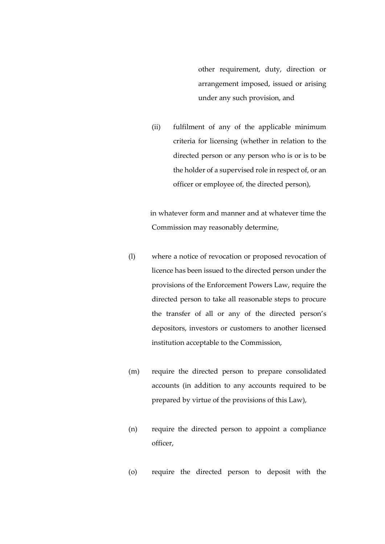other requirement, duty, direction or arrangement imposed, issued or arising under any such provision, and

(ii) fulfilment of any of the applicable minimum criteria for licensing (whether in relation to the directed person or any person who is or is to be the holder of a supervised role in respect of, or an officer or employee of, the directed person),

in whatever form and manner and at whatever time the Commission may reasonably determine,

- (l) where a notice of revocation or proposed revocation of licence has been issued to the directed person under the provisions of the Enforcement Powers Law, require the directed person to take all reasonable steps to procure the transfer of all or any of the directed person's depositors, investors or customers to another licensed institution acceptable to the Commission,
- (m) require the directed person to prepare consolidated accounts (in addition to any accounts required to be prepared by virtue of the provisions of this Law),
- (n) require the directed person to appoint a compliance officer,
- (o) require the directed person to deposit with the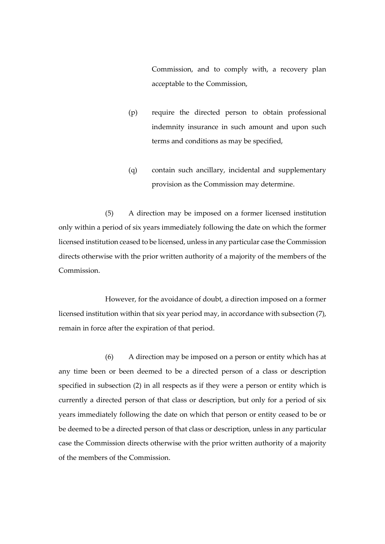Commission, and to comply with, a recovery plan acceptable to the Commission,

- (p) require the directed person to obtain professional indemnity insurance in such amount and upon such terms and conditions as may be specified,
- (q) contain such ancillary, incidental and supplementary provision as the Commission may determine.

(5) A direction may be imposed on a former licensed institution only within a period of six years immediately following the date on which the former licensed institution ceased to be licensed, unless in any particular case the Commission directs otherwise with the prior written authority of a majority of the members of the Commission.

However, for the avoidance of doubt, a direction imposed on a former licensed institution within that six year period may, in accordance with subsection (7), remain in force after the expiration of that period.

(6) A direction may be imposed on a person or entity which has at any time been or been deemed to be a directed person of a class or description specified in subsection (2) in all respects as if they were a person or entity which is currently a directed person of that class or description, but only for a period of six years immediately following the date on which that person or entity ceased to be or be deemed to be a directed person of that class or description, unless in any particular case the Commission directs otherwise with the prior written authority of a majority of the members of the Commission.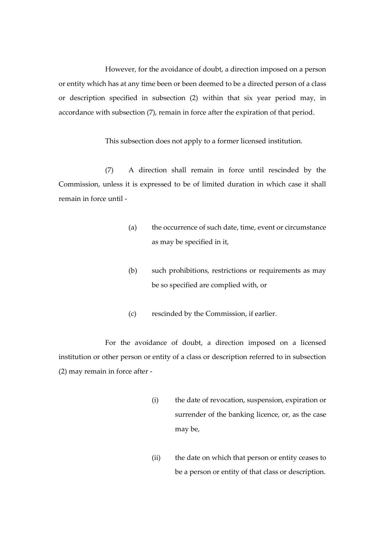However, for the avoidance of doubt, a direction imposed on a person or entity which has at any time been or been deemed to be a directed person of a class or description specified in subsection (2) within that six year period may, in accordance with subsection (7), remain in force after the expiration of that period.

This subsection does not apply to a former licensed institution.

(7) A direction shall remain in force until rescinded by the Commission, unless it is expressed to be of limited duration in which case it shall remain in force until -

- (a) the occurrence of such date, time, event or circumstance as may be specified in it,
- (b) such prohibitions, restrictions or requirements as may be so specified are complied with, or
- (c) rescinded by the Commission, if earlier.

For the avoidance of doubt, a direction imposed on a licensed institution or other person or entity of a class or description referred to in subsection (2) may remain in force after -

- (i) the date of revocation, suspension, expiration or surrender of the banking licence, or, as the case may be,
- (ii) the date on which that person or entity ceases to be a person or entity of that class or description.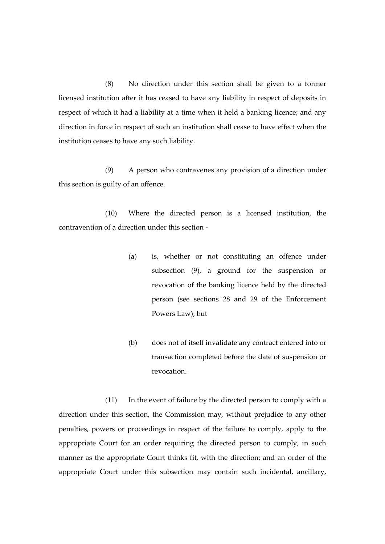(8) No direction under this section shall be given to a former licensed institution after it has ceased to have any liability in respect of deposits in respect of which it had a liability at a time when it held a banking licence; and any direction in force in respect of such an institution shall cease to have effect when the institution ceases to have any such liability.

(9) A person who contravenes any provision of a direction under this section is guilty of an offence.

(10) Where the directed person is a licensed institution, the contravention of a direction under this section -

- (a) is, whether or not constituting an offence under subsection (9), a ground for the suspension or revocation of the banking licence held by the directed person (see sections 28 and 29 of the Enforcement Powers Law), but
- (b) does not of itself invalidate any contract entered into or transaction completed before the date of suspension or revocation.

(11) In the event of failure by the directed person to comply with a direction under this section, the Commission may, without prejudice to any other penalties, powers or proceedings in respect of the failure to comply, apply to the appropriate Court for an order requiring the directed person to comply, in such manner as the appropriate Court thinks fit, with the direction; and an order of the appropriate Court under this subsection may contain such incidental, ancillary,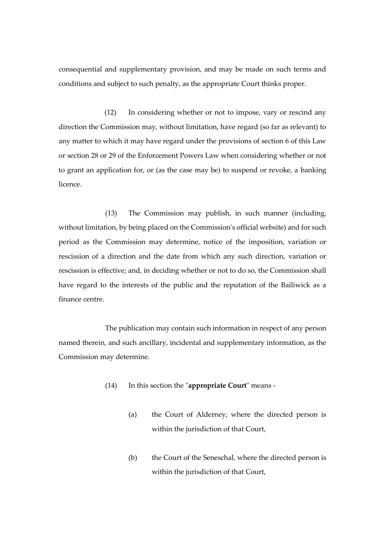consequential and supplementary provision, and may be made on such terms and conditions and subject to such penalty, as the appropriate Court thinks proper.

(12) In considering whether or not to impose, vary or rescind any direction the Commission may, without limitation, have regard (so far as relevant) to any matter to which it may have regard under the provisions of section 6 of this Law or section 28 or 29 of the Enforcement Powers Law when considering whether or not to grant an application for, or (as the case may be) to suspend or revoke, a banking licence.

(13) The Commission may publish, in such manner (including, without limitation, by being placed on the Commission's official website) and for such period as the Commission may determine, notice of the imposition, variation or rescission of a direction and the date from which any such direction*,* variation or rescission is effective; and, in deciding whether or not to do so, the Commission shall have regard to the interests of the public and the reputation of the Bailiwick as a finance centre.

The publication may contain such information in respect of any person named therein, and such ancillary, incidental and supplementary information, as the Commission may determine.

- (14) In this section the "**appropriate Court**" means
	- (a) the Court of Alderney, where the directed person is within the jurisdiction of that Court,
	- (b) the Court of the Seneschal, where the directed person is within the jurisdiction of that Court,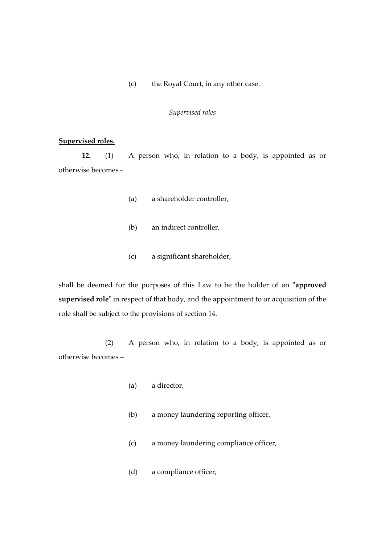(c) the Royal Court, in any other case.

#### *Supervised roles*

#### **Supervised roles.**

**12.** (1) A person who, in relation to a body, is appointed as or otherwise becomes -

- (a) a shareholder controller,
- (b) an indirect controller,
- (c) a significant shareholder,

shall be deemed for the purposes of this Law to be the holder of an "**approved supervised role**" in respect of that body, and the appointment to or acquisition of the role shall be subject to the provisions of section 14.

(2) A person who, in relation to a body, is appointed as or otherwise becomes –

- (a) a director,
- (b) a money laundering reporting officer,
- (c) a money laundering compliance officer,
- (d) a compliance officer,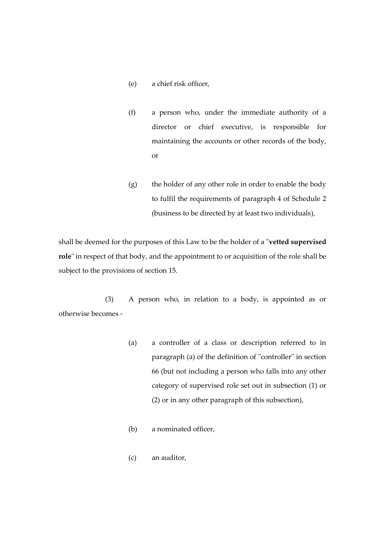- (e) a chief risk officer,
- (f) a person who, under the immediate authority of a director or chief executive, is responsible for maintaining the accounts or other records of the body, or
- (g) the holder of any other role in order to enable the body to fulfil the requirements of paragraph 4 of Schedule 2 (business to be directed by at least two individuals),

shall be deemed for the purposes of this Law to be the holder of a "**vetted supervised role**" in respect of that body, and the appointment to or acquisition of the role shall be subject to the provisions of section 15.

(3) A person who, in relation to a body, is appointed as or otherwise becomes -

- (a) a controller of a class or description referred to in paragraph (a) of the definition of "controller" in section 66 (but not including a person who falls into any other category of supervised role set out in subsection (1) or (2) or in any other paragraph of this subsection),
- (b) a nominated officer,
- (c) an auditor,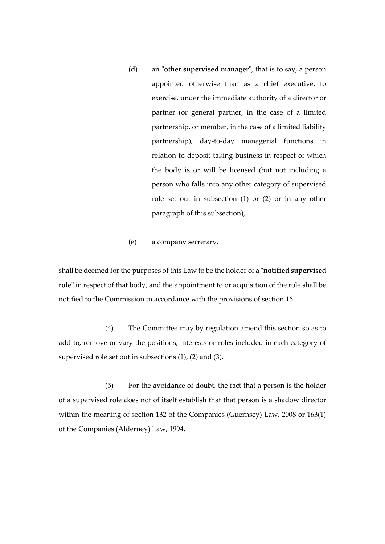- (d) an "**other supervised manager**", that is to say, a person appointed otherwise than as a chief executive, to exercise, under the immediate authority of a director or partner (or general partner, in the case of a limited partnership, or member, in the case of a limited liability partnership), day-to-day managerial functions in relation to deposit-taking business in respect of which the body is or will be licensed (but not including a person who falls into any other category of supervised role set out in subsection (1) or (2) or in any other paragraph of this subsection),
- (e) a company secretary,

shall be deemed for the purposes of this Law to be the holder of a "**notified supervised role**" in respect of that body, and the appointment to or acquisition of the role shall be notified to the Commission in accordance with the provisions of section 16.

(4) The Committee may by regulation amend this section so as to add to, remove or vary the positions, interests or roles included in each category of supervised role set out in subsections (1), (2) and (3).

(5) For the avoidance of doubt, the fact that a person is the holder of a supervised role does not of itself establish that that person is a shadow director within the meaning of section 132 of the Companies (Guernsey) Law, 2008 or 163(1) of the Companies (Alderney) Law, 1994.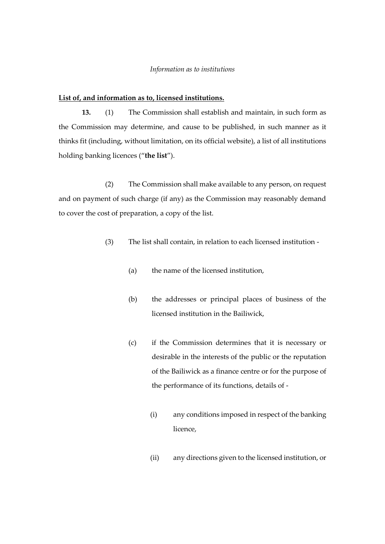## *Information as to institutions*

## **List of, and information as to, licensed institutions.**

**13.** (1) The Commission shall establish and maintain, in such form as the Commission may determine, and cause to be published, in such manner as it thinks fit (including, without limitation, on its official website), a list of all institutions holding banking licences ("**the list**").

(2) The Commission shall make available to any person, on request and on payment of such charge (if any) as the Commission may reasonably demand to cover the cost of preparation, a copy of the list.

- (3) The list shall contain, in relation to each licensed institution
	- (a) the name of the licensed institution,
	- (b) the addresses or principal places of business of the licensed institution in the Bailiwick,
	- (c) if the Commission determines that it is necessary or desirable in the interests of the public or the reputation of the Bailiwick as a finance centre or for the purpose of the performance of its functions, details of -
		- (i) any conditions imposed in respect of the banking licence,
		- (ii) any directions given to the licensed institution, or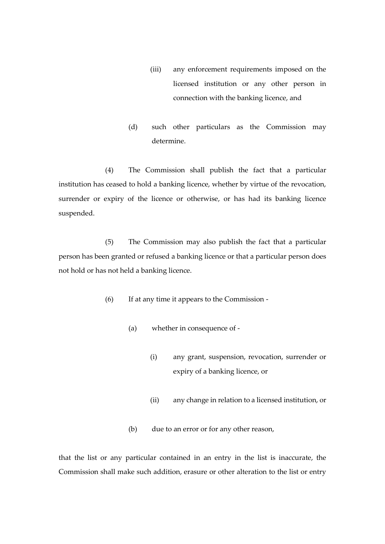- (iii) any enforcement requirements imposed on the licensed institution or any other person in connection with the banking licence, and
- (d) such other particulars as the Commission may determine.

(4) The Commission shall publish the fact that a particular institution has ceased to hold a banking licence, whether by virtue of the revocation, surrender or expiry of the licence or otherwise, or has had its banking licence suspended.

(5) The Commission may also publish the fact that a particular person has been granted or refused a banking licence or that a particular person does not hold or has not held a banking licence.

- (6) If at any time it appears to the Commission
	- (a) whether in consequence of
		- (i) any grant, suspension, revocation, surrender or expiry of a banking licence, or
		- (ii) any change in relation to a licensed institution, or
	- (b) due to an error or for any other reason,

that the list or any particular contained in an entry in the list is inaccurate, the Commission shall make such addition, erasure or other alteration to the list or entry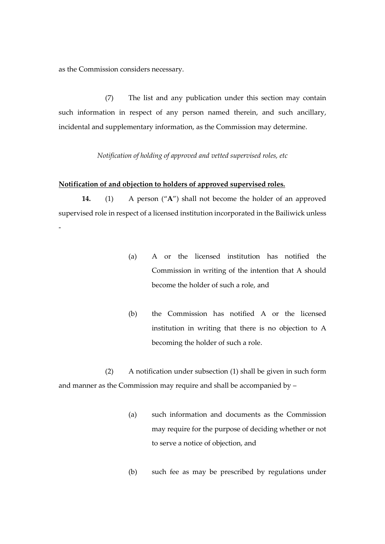as the Commission considers necessary.

(7) The list and any publication under this section may contain such information in respect of any person named therein, and such ancillary, incidental and supplementary information, as the Commission may determine.

*Notification of holding of approved and vetted supervised roles, etc*

## **Notification of and objection to holders of approved supervised roles.**

**14.** (1) A person ("**A**") shall not become the holder of an approved supervised role in respect of a licensed institution incorporated in the Bailiwick unless -

- (a) A or the licensed institution has notified the Commission in writing of the intention that A should become the holder of such a role, and
- (b) the Commission has notified A or the licensed institution in writing that there is no objection to A becoming the holder of such a role.

(2) A notification under subsection (1) shall be given in such form and manner as the Commission may require and shall be accompanied by –

- (a) such information and documents as the Commission may require for the purpose of deciding whether or not to serve a notice of objection, and
- (b) such fee as may be prescribed by regulations under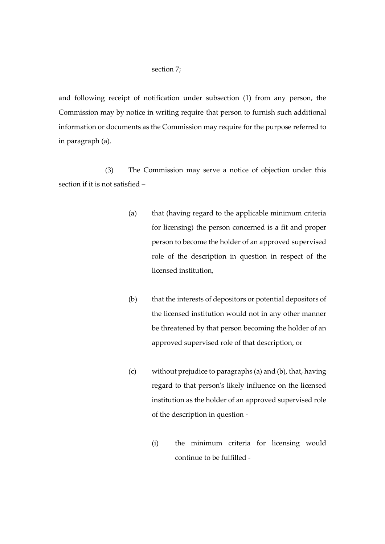## section 7;

and following receipt of notification under subsection (1) from any person, the Commission may by notice in writing require that person to furnish such additional information or documents as the Commission may require for the purpose referred to in paragraph (a).

(3) The Commission may serve a notice of objection under this section if it is not satisfied –

- (a) that (having regard to the applicable minimum criteria for licensing) the person concerned is a fit and proper person to become the holder of an approved supervised role of the description in question in respect of the licensed institution,
- (b) that the interests of depositors or potential depositors of the licensed institution would not in any other manner be threatened by that person becoming the holder of an approved supervised role of that description, or
- (c) without prejudice to paragraphs (a) and (b), that, having regard to that person's likely influence on the licensed institution as the holder of an approved supervised role of the description in question -
	- (i) the minimum criteria for licensing would continue to be fulfilled -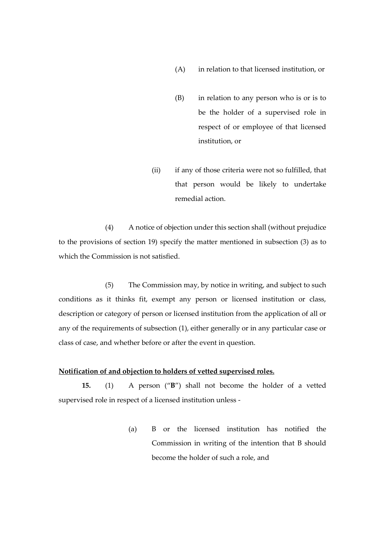- (A) in relation to that licensed institution, or
- (B) in relation to any person who is or is to be the holder of a supervised role in respect of or employee of that licensed institution, or
- (ii) if any of those criteria were not so fulfilled, that that person would be likely to undertake remedial action.

(4) A notice of objection under this section shall (without prejudice to the provisions of section 19) specify the matter mentioned in subsection (3) as to which the Commission is not satisfied.

(5) The Commission may, by notice in writing, and subject to such conditions as it thinks fit, exempt any person or licensed institution or class, description or category of person or licensed institution from the application of all or any of the requirements of subsection (1), either generally or in any particular case or class of case, and whether before or after the event in question.

# **Notification of and objection to holders of vetted supervised roles.**

**15.** (1) A person ("**B**") shall not become the holder of a vetted supervised role in respect of a licensed institution unless -

> (a) B or the licensed institution has notified the Commission in writing of the intention that B should become the holder of such a role, and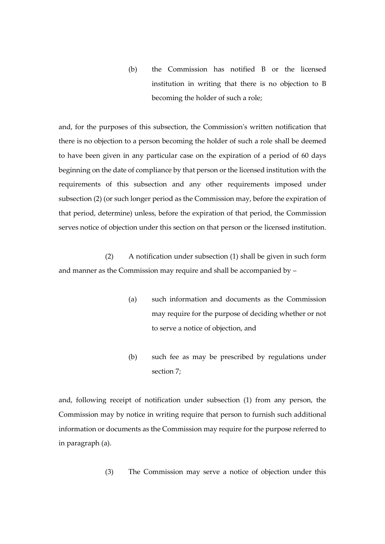(b) the Commission has notified B or the licensed institution in writing that there is no objection to B becoming the holder of such a role;

and, for the purposes of this subsection, the Commission's written notification that there is no objection to a person becoming the holder of such a role shall be deemed to have been given in any particular case on the expiration of a period of 60 days beginning on the date of compliance by that person or the licensed institution with the requirements of this subsection and any other requirements imposed under subsection (2) (or such longer period as the Commission may, before the expiration of that period, determine) unless, before the expiration of that period, the Commission serves notice of objection under this section on that person or the licensed institution.

(2) A notification under subsection (1) shall be given in such form and manner as the Commission may require and shall be accompanied by –

- (a) such information and documents as the Commission may require for the purpose of deciding whether or not to serve a notice of objection, and
- (b) such fee as may be prescribed by regulations under section 7;

and, following receipt of notification under subsection (1) from any person, the Commission may by notice in writing require that person to furnish such additional information or documents as the Commission may require for the purpose referred to in paragraph (a).

(3) The Commission may serve a notice of objection under this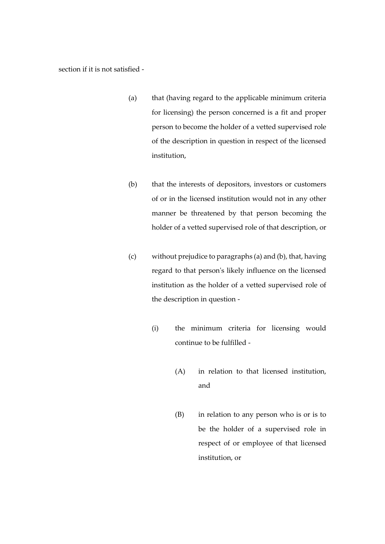section if it is not satisfied -

- (a) that (having regard to the applicable minimum criteria for licensing) the person concerned is a fit and proper person to become the holder of a vetted supervised role of the description in question in respect of the licensed institution,
- (b) that the interests of depositors, investors or customers of or in the licensed institution would not in any other manner be threatened by that person becoming the holder of a vetted supervised role of that description, or
- (c) without prejudice to paragraphs (a) and (b), that, having regard to that person's likely influence on the licensed institution as the holder of a vetted supervised role of the description in question -
	- (i) the minimum criteria for licensing would continue to be fulfilled -
		- (A) in relation to that licensed institution, and
		- (B) in relation to any person who is or is to be the holder of a supervised role in respect of or employee of that licensed institution, or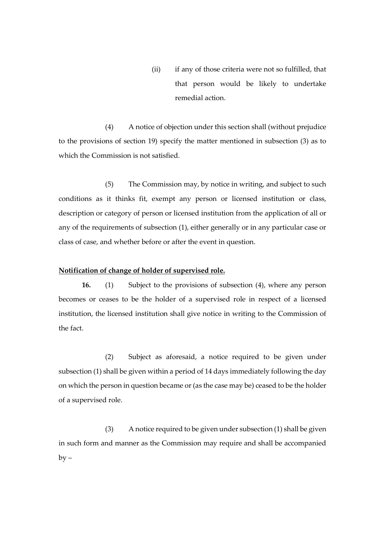(ii) if any of those criteria were not so fulfilled, that that person would be likely to undertake remedial action.

(4) A notice of objection under this section shall (without prejudice to the provisions of section 19) specify the matter mentioned in subsection (3) as to which the Commission is not satisfied.

(5) The Commission may, by notice in writing, and subject to such conditions as it thinks fit, exempt any person or licensed institution or class, description or category of person or licensed institution from the application of all or any of the requirements of subsection (1), either generally or in any particular case or class of case, and whether before or after the event in question.

#### **Notification of change of holder of supervised role.**

**16.** (1) Subject to the provisions of subsection (4), where any person becomes or ceases to be the holder of a supervised role in respect of a licensed institution, the licensed institution shall give notice in writing to the Commission of the fact.

(2) Subject as aforesaid, a notice required to be given under subsection (1) shall be given within a period of 14 days immediately following the day on which the person in question became or (as the case may be) ceased to be the holder of a supervised role.

(3) A notice required to be given under subsection (1) shall be given in such form and manner as the Commission may require and shall be accompanied  $by -$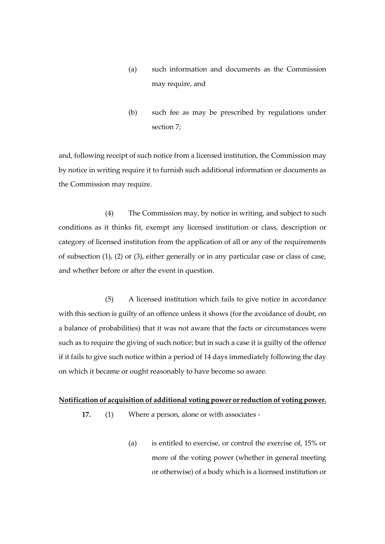- (a) such information and documents as the Commission may require, and
- (b) such fee as may be prescribed by regulations under section 7;

and, following receipt of such notice from a licensed institution, the Commission may by notice in writing require it to furnish such additional information or documents as the Commission may require.

(4) The Commission may, by notice in writing, and subject to such conditions as it thinks fit, exempt any licensed institution or class, description or category of licensed institution from the application of all or any of the requirements of subsection (1), (2) or (3), either generally or in any particular case or class of case, and whether before or after the event in question.

(5) A licensed institution which fails to give notice in accordance with this section is guilty of an offence unless it shows (forthe avoidance of doubt, on a balance of probabilities) that it was not aware that the facts or circumstances were such as to require the giving of such notice; but in such a case it is guilty of the offence if it fails to give such notice within a period of 14 days immediately following the day on which it became or ought reasonably to have become so aware.

## **Notification of acquisition of additional voting power or reduction of voting power.**

- **17.** (1) Where a person, alone or with associates
	- (a) is entitled to exercise, or control the exercise of, 15% or more of the voting power (whether in general meeting or otherwise) of a body which is a licensed institution or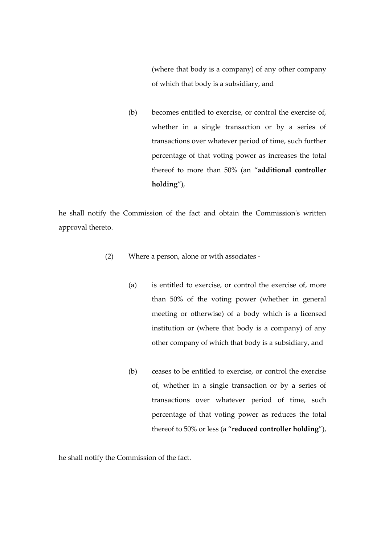(where that body is a company) of any other company of which that body is a subsidiary, and

(b) becomes entitled to exercise, or control the exercise of, whether in a single transaction or by a series of transactions over whatever period of time, such further percentage of that voting power as increases the total thereof to more than 50% (an "**additional controller holding**"),

he shall notify the Commission of the fact and obtain the Commission's written approval thereto.

- (2) Where a person, alone or with associates
	- (a) is entitled to exercise, or control the exercise of, more than 50% of the voting power (whether in general meeting or otherwise) of a body which is a licensed institution or (where that body is a company) of any other company of which that body is a subsidiary, and
	- (b) ceases to be entitled to exercise, or control the exercise of, whether in a single transaction or by a series of transactions over whatever period of time, such percentage of that voting power as reduces the total thereof to 50% or less (a "**reduced controller holding**"),

he shall notify the Commission of the fact.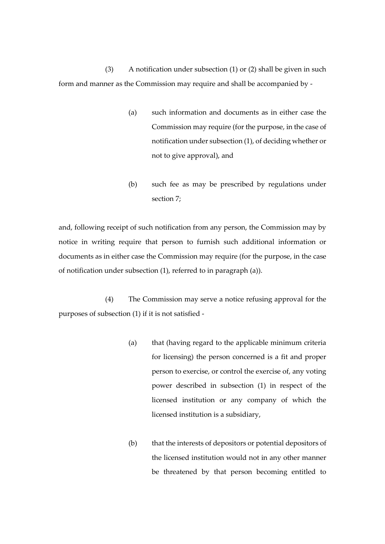(3) A notification under subsection (1) or (2) shall be given in such form and manner as the Commission may require and shall be accompanied by -

- (a) such information and documents as in either case the Commission may require (for the purpose, in the case of notification under subsection (1), of deciding whether or not to give approval), and
- (b) such fee as may be prescribed by regulations under section 7;

and, following receipt of such notification from any person, the Commission may by notice in writing require that person to furnish such additional information or documents as in either case the Commission may require (for the purpose, in the case of notification under subsection (1), referred to in paragraph (a)).

(4) The Commission may serve a notice refusing approval for the purposes of subsection (1) if it is not satisfied -

- (a) that (having regard to the applicable minimum criteria for licensing) the person concerned is a fit and proper person to exercise, or control the exercise of, any voting power described in subsection (1) in respect of the licensed institution or any company of which the licensed institution is a subsidiary,
- (b) that the interests of depositors or potential depositors of the licensed institution would not in any other manner be threatened by that person becoming entitled to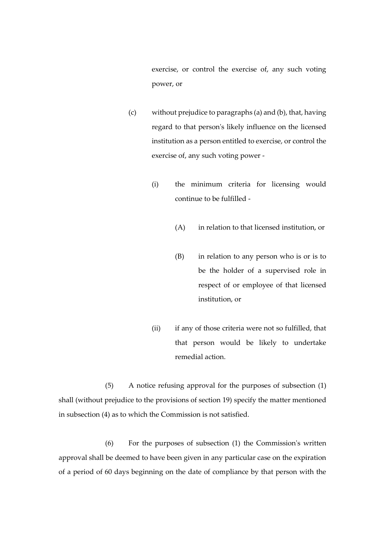exercise, or control the exercise of, any such voting power, or

- (c) without prejudice to paragraphs (a) and (b), that, having regard to that person's likely influence on the licensed institution as a person entitled to exercise, or control the exercise of, any such voting power -
	- (i) the minimum criteria for licensing would continue to be fulfilled -
		- (A) in relation to that licensed institution, or
		- (B) in relation to any person who is or is to be the holder of a supervised role in respect of or employee of that licensed institution, or
	- (ii) if any of those criteria were not so fulfilled, that that person would be likely to undertake remedial action.

(5) A notice refusing approval for the purposes of subsection (1) shall (without prejudice to the provisions of section 19) specify the matter mentioned in subsection (4) as to which the Commission is not satisfied.

(6) For the purposes of subsection (1) the Commission's written approval shall be deemed to have been given in any particular case on the expiration of a period of 60 days beginning on the date of compliance by that person with the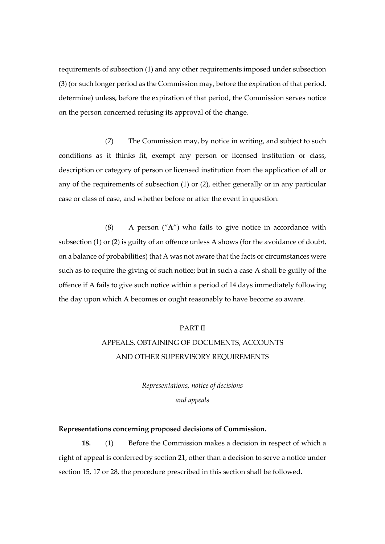requirements of subsection (1) and any other requirements imposed under subsection (3) (or such longer period as the Commission may, before the expiration of that period, determine) unless, before the expiration of that period, the Commission serves notice on the person concerned refusing its approval of the change.

(7) The Commission may, by notice in writing, and subject to such conditions as it thinks fit, exempt any person or licensed institution or class, description or category of person or licensed institution from the application of all or any of the requirements of subsection (1) or (2), either generally or in any particular case or class of case, and whether before or after the event in question.

(8) A person ("**A**") who fails to give notice in accordance with subsection (1) or (2) is guilty of an offence unless A shows (for the avoidance of doubt, on a balance of probabilities) that A was not aware that the facts or circumstances were such as to require the giving of such notice; but in such a case A shall be guilty of the offence if A fails to give such notice within a period of 14 days immediately following the day upon which A becomes or ought reasonably to have become so aware.

## PART II

# APPEALS, OBTAINING OF DOCUMENTS, ACCOUNTS AND OTHER SUPERVISORY REQUIREMENTS

*Representations, notice of decisions and appeals*

# **Representations concerning proposed decisions of Commission.**

**18.** (1) Before the Commission makes a decision in respect of which a right of appeal is conferred by section 21, other than a decision to serve a notice under section 15, 17 or 28, the procedure prescribed in this section shall be followed.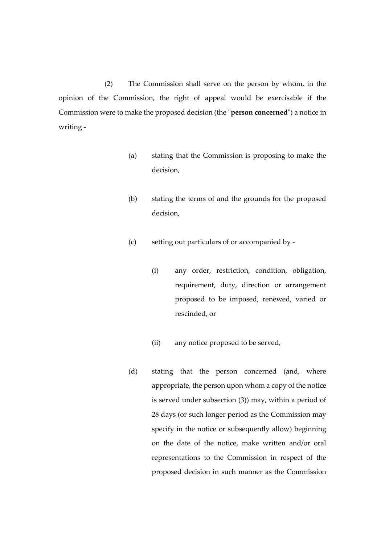(2) The Commission shall serve on the person by whom, in the opinion of the Commission, the right of appeal would be exercisable if the Commission were to make the proposed decision (the "**person concerned**") a notice in writing -

- (a) stating that the Commission is proposing to make the decision,
- (b) stating the terms of and the grounds for the proposed decision,
- (c) setting out particulars of or accompanied by
	- (i) any order, restriction, condition, obligation, requirement, duty, direction or arrangement proposed to be imposed, renewed, varied or rescinded, or
	- (ii) any notice proposed to be served,
- (d) stating that the person concerned (and, where appropriate, the person upon whom a copy of the notice is served under subsection (3)) may, within a period of 28 days (or such longer period as the Commission may specify in the notice or subsequently allow) beginning on the date of the notice, make written and/or oral representations to the Commission in respect of the proposed decision in such manner as the Commission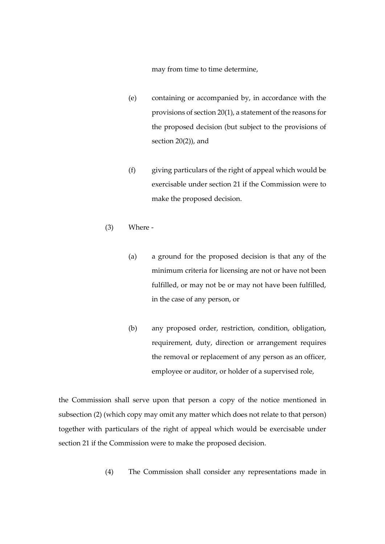may from time to time determine,

- (e) containing or accompanied by, in accordance with the provisions of section 20(1), a statement of the reasons for the proposed decision (but subject to the provisions of section 20(2)), and
- (f) giving particulars of the right of appeal which would be exercisable under section 21 if the Commission were to make the proposed decision.
- (3) Where
	- (a) a ground for the proposed decision is that any of the minimum criteria for licensing are not or have not been fulfilled, or may not be or may not have been fulfilled, in the case of any person, or
	- (b) any proposed order, restriction, condition, obligation, requirement, duty, direction or arrangement requires the removal or replacement of any person as an officer, employee or auditor, or holder of a supervised role,

the Commission shall serve upon that person a copy of the notice mentioned in subsection (2) (which copy may omit any matter which does not relate to that person) together with particulars of the right of appeal which would be exercisable under section 21 if the Commission were to make the proposed decision.

(4) The Commission shall consider any representations made in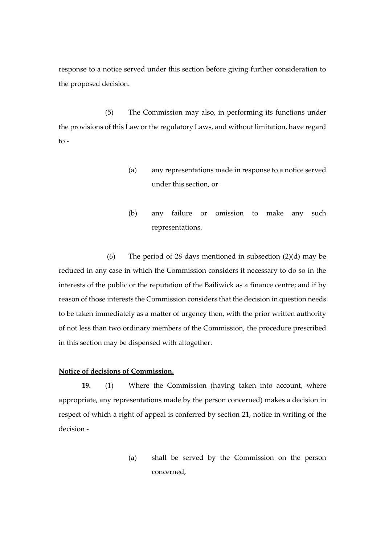response to a notice served under this section before giving further consideration to the proposed decision.

(5) The Commission may also, in performing its functions under the provisions of this Law or the regulatory Laws, and without limitation, have regard  $to -$ 

- (a) any representations made in response to a notice served under this section, or
- (b) any failure or omission to make any such representations.

(6) The period of 28 days mentioned in subsection (2)(d) may be reduced in any case in which the Commission considers it necessary to do so in the interests of the public or the reputation of the Bailiwick as a finance centre; and if by reason of those interests the Commission considers that the decision in question needs to be taken immediately as a matter of urgency then, with the prior written authority of not less than two ordinary members of the Commission, the procedure prescribed in this section may be dispensed with altogether.

# **Notice of decisions of Commission.**

**19.** (1) Where the Commission (having taken into account, where appropriate, any representations made by the person concerned) makes a decision in respect of which a right of appeal is conferred by section 21, notice in writing of the decision -

> (a) shall be served by the Commission on the person concerned,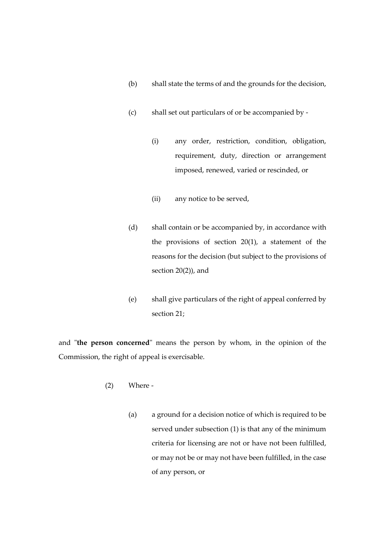- (b) shall state the terms of and the grounds for the decision,
- (c) shall set out particulars of or be accompanied by
	- (i) any order, restriction, condition, obligation, requirement, duty, direction or arrangement imposed, renewed, varied or rescinded, or
	- (ii) any notice to be served,
- (d) shall contain or be accompanied by, in accordance with the provisions of section 20(1), a statement of the reasons for the decision (but subject to the provisions of section 20(2)), and
- (e) shall give particulars of the right of appeal conferred by section 21;

and "**the person concerned**" means the person by whom, in the opinion of the Commission, the right of appeal is exercisable.

- (2) Where
	- (a) a ground for a decision notice of which is required to be served under subsection (1) is that any of the minimum criteria for licensing are not or have not been fulfilled, or may not be or may not have been fulfilled, in the case of any person, or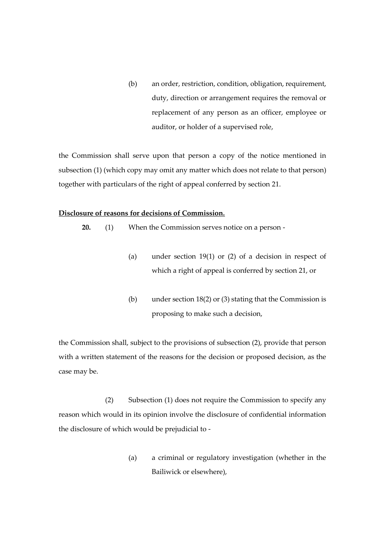(b) an order, restriction, condition, obligation, requirement, duty, direction or arrangement requires the removal or replacement of any person as an officer, employee or auditor, or holder of a supervised role,

the Commission shall serve upon that person a copy of the notice mentioned in subsection (1) (which copy may omit any matter which does not relate to that person) together with particulars of the right of appeal conferred by section 21.

#### **Disclosure of reasons for decisions of Commission.**

**20.** (1) When the Commission serves notice on a person -

- (a) under section 19(1) or (2) of a decision in respect of which a right of appeal is conferred by section 21, or
- (b) under section 18(2) or (3) stating that the Commission is proposing to make such a decision,

the Commission shall, subject to the provisions of subsection (2), provide that person with a written statement of the reasons for the decision or proposed decision, as the case may be.

(2) Subsection (1) does not require the Commission to specify any reason which would in its opinion involve the disclosure of confidential information the disclosure of which would be prejudicial to -

> (a) a criminal or regulatory investigation (whether in the Bailiwick or elsewhere),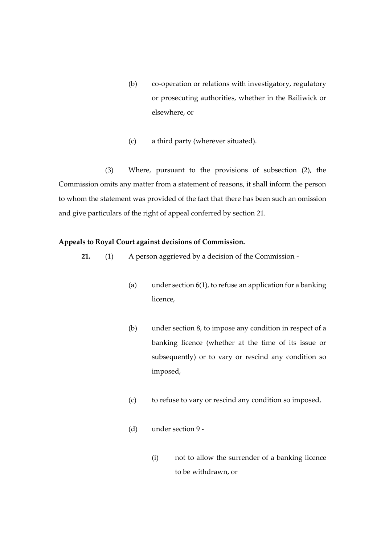- (b) co-operation or relations with investigatory, regulatory or prosecuting authorities, whether in the Bailiwick or elsewhere, or
- (c) a third party (wherever situated).

(3) Where, pursuant to the provisions of subsection (2), the Commission omits any matter from a statement of reasons, it shall inform the person to whom the statement was provided of the fact that there has been such an omission and give particulars of the right of appeal conferred by section 21.

# **Appeals to Royal Court against decisions of Commission.**

- **21.** (1) A person aggrieved by a decision of the Commission
	- (a) under section 6(1), to refuse an application for a banking licence,
	- (b) under section 8, to impose any condition in respect of a banking licence (whether at the time of its issue or subsequently) or to vary or rescind any condition so imposed,
	- (c) to refuse to vary or rescind any condition so imposed,
	- (d) under section 9
		- (i) not to allow the surrender of a banking licence to be withdrawn, or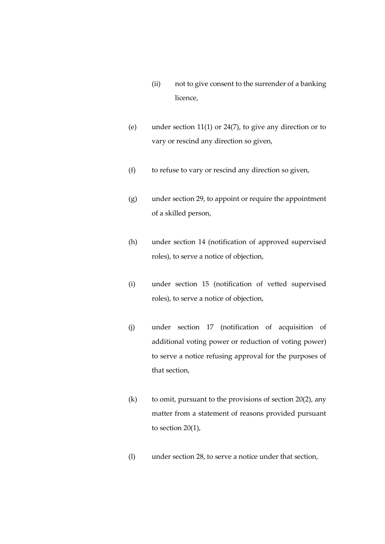- (ii) not to give consent to the surrender of a banking licence,
- (e) under section 11(1) or 24(7), to give any direction or to vary or rescind any direction so given,
- (f) to refuse to vary or rescind any direction so given,
- (g) under section 29, to appoint or require the appointment of a skilled person,
- (h) under section 14 (notification of approved supervised roles), to serve a notice of objection,
- (i) under section 15 (notification of vetted supervised roles), to serve a notice of objection,
- (j) under section 17 (notification of acquisition of additional voting power or reduction of voting power) to serve a notice refusing approval for the purposes of that section,
- (k) to omit, pursuant to the provisions of section  $20(2)$ , any matter from a statement of reasons provided pursuant to section 20(1),
- (l) under section 28, to serve a notice under that section,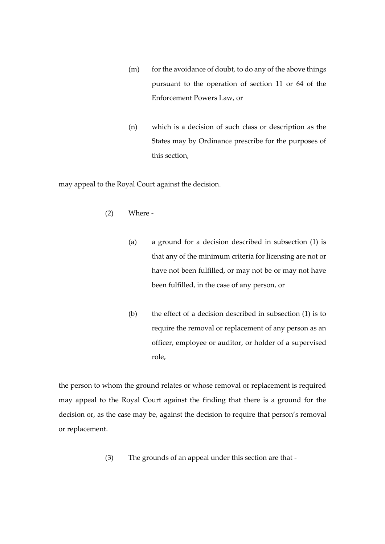- (m) for the avoidance of doubt, to do any of the above things pursuant to the operation of section 11 or 64 of the Enforcement Powers Law, or
- (n) which is a decision of such class or description as the States may by Ordinance prescribe for the purposes of this section,

may appeal to the Royal Court against the decision.

- (2) Where
	- (a) a ground for a decision described in subsection (1) is that any of the minimum criteria for licensing are not or have not been fulfilled, or may not be or may not have been fulfilled, in the case of any person, or
	- (b) the effect of a decision described in subsection (1) is to require the removal or replacement of any person as an officer, employee or auditor, or holder of a supervised role,

the person to whom the ground relates or whose removal or replacement is required may appeal to the Royal Court against the finding that there is a ground for the decision or, as the case may be, against the decision to require that person's removal or replacement.

(3) The grounds of an appeal under this section are that -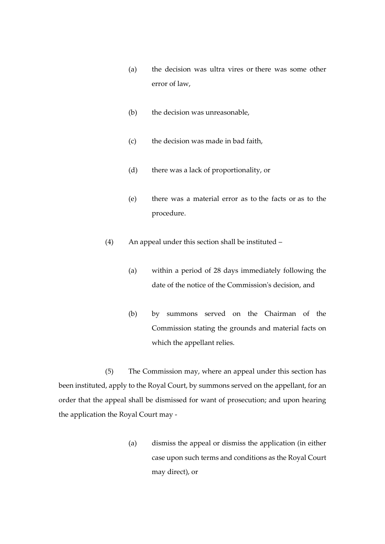- (a) the decision was ultra vires or there was some other error of law,
- (b) the decision was unreasonable,
- (c) the decision was made in bad faith,
- (d) there was a lack of proportionality, or
- (e) there was a material error as to the facts or as to the procedure.
- (4) An appeal under this section shall be instituted
	- (a) within a period of 28 days immediately following the date of the notice of the Commission's decision, and
	- (b) by summons served on the Chairman of the Commission stating the grounds and material facts on which the appellant relies.

(5) The Commission may, where an appeal under this section has been instituted, apply to the Royal Court, by summons served on the appellant, for an order that the appeal shall be dismissed for want of prosecution; and upon hearing the application the Royal Court may -

> (a) dismiss the appeal or dismiss the application (in either case upon such terms and conditions as the Royal Court may direct), or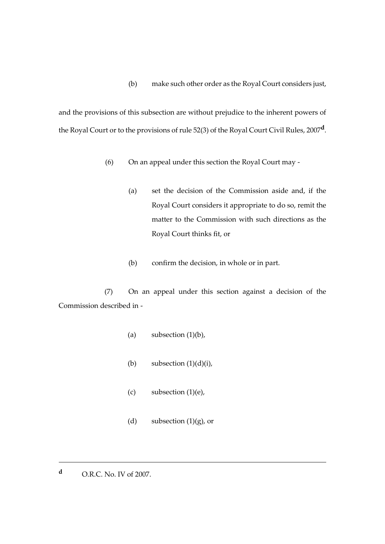(b) make such other order as the Royal Court considers just,

and the provisions of this subsection are without prejudice to the inherent powers of the Royal Court or to the provisions of rule 52(3) of the Royal Court Civil Rules, 2007**<sup>d</sup>** .

- (6) On an appeal under this section the Royal Court may
	- (a) set the decision of the Commission aside and, if the Royal Court considers it appropriate to do so, remit the matter to the Commission with such directions as the Royal Court thinks fit, or
	- (b) confirm the decision, in whole or in part.

(7) On an appeal under this section against a decision of the Commission described in -

- (a) subsection  $(1)(b)$ ,
- (b) subsection  $(1)(d)(i)$ ,
- $(c)$  subsection  $(1)(e)$ ,
- (d) subsection  $(1)(g)$ , or

**<sup>d</sup>** O.R.C. No. IV of 2007.

<u>.</u>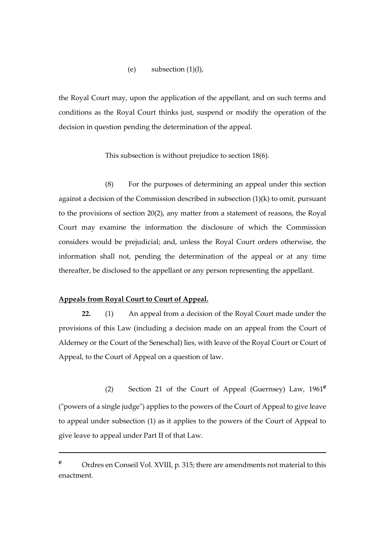## (e) subsection  $(1)(l)$ ,

the Royal Court may, upon the application of the appellant, and on such terms and conditions as the Royal Court thinks just, suspend or modify the operation of the decision in question pending the determination of the appeal.

This subsection is without prejudice to section 18(6).

(8) For the purposes of determining an appeal under this section against a decision of the Commission described in subsection (1)(k) to omit, pursuant to the provisions of section 20(2), any matter from a statement of reasons, the Royal Court may examine the information the disclosure of which the Commission considers would be prejudicial; and, unless the Royal Court orders otherwise, the information shall not, pending the determination of the appeal or at any time thereafter, be disclosed to the appellant or any person representing the appellant.

## **Appeals from Royal Court to Court of Appeal.**

1

**22.** (1) An appeal from a decision of the Royal Court made under the provisions of this Law (including a decision made on an appeal from the Court of Alderney or the Court of the Seneschal) lies, with leave of the Royal Court or Court of Appeal, to the Court of Appeal on a question of law.

(2) Section 21 of the Court of Appeal (Guernsey) Law, 1961**<sup>e</sup>** ("powers of a single judge") applies to the powers of the Court of Appeal to give leave to appeal under subsection (1) as it applies to the powers of the Court of Appeal to give leave to appeal under Part II of that Law.

**<sup>e</sup>** Ordres en Conseil Vol. XVIII, p. 315; there are amendments not material to this enactment.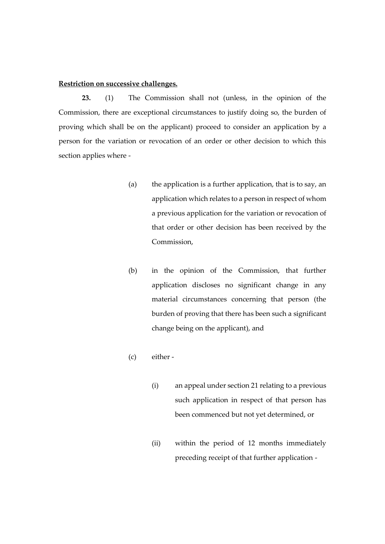# **Restriction on successive challenges.**

**23.** (1) The Commission shall not (unless, in the opinion of the Commission, there are exceptional circumstances to justify doing so, the burden of proving which shall be on the applicant) proceed to consider an application by a person for the variation or revocation of an order or other decision to which this section applies where -

- (a) the application is a further application, that is to say, an application which relates to a person in respect of whom a previous application for the variation or revocation of that order or other decision has been received by the Commission,
- (b) in the opinion of the Commission, that further application discloses no significant change in any material circumstances concerning that person (the burden of proving that there has been such a significant change being on the applicant), and
- (c) either
	- (i) an appeal under section 21 relating to a previous such application in respect of that person has been commenced but not yet determined, or
	- (ii) within the period of 12 months immediately preceding receipt of that further application -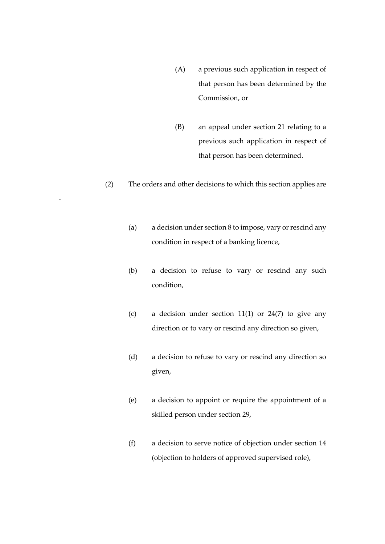- (A) a previous such application in respect of that person has been determined by the Commission, or
- (B) an appeal under section 21 relating to a previous such application in respect of that person has been determined.
- (2) The orders and other decisions to which this section applies are

-

- (a) a decision under section 8 to impose, vary or rescind any condition in respect of a banking licence,
- (b) a decision to refuse to vary or rescind any such condition,
- (c) a decision under section  $11(1)$  or  $24(7)$  to give any direction or to vary or rescind any direction so given,
- (d) a decision to refuse to vary or rescind any direction so given,
- (e) a decision to appoint or require the appointment of a skilled person under section 29,
- (f) a decision to serve notice of objection under section 14 (objection to holders of approved supervised role),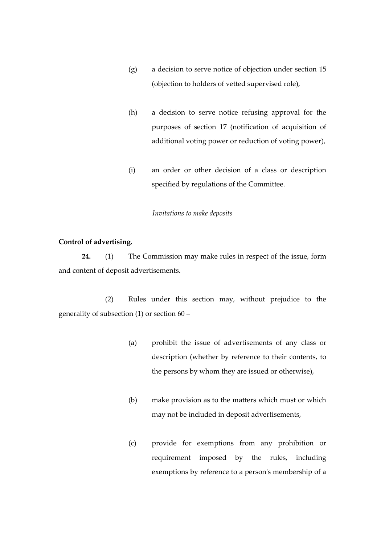- (g) a decision to serve notice of objection under section 15 (objection to holders of vetted supervised role),
- (h) a decision to serve notice refusing approval for the purposes of section 17 (notification of acquisition of additional voting power or reduction of voting power),
- (i) an order or other decision of a class or description specified by regulations of the Committee.

#### *Invitations to make deposits*

# **Control of advertising.**

**24.** (1) The Commission may make rules in respect of the issue, form and content of deposit advertisements.

(2) Rules under this section may, without prejudice to the generality of subsection (1) or section 60 –

- (a) prohibit the issue of advertisements of any class or description (whether by reference to their contents, to the persons by whom they are issued or otherwise),
- (b) make provision as to the matters which must or which may not be included in deposit advertisements,
- (c) provide for exemptions from any prohibition or requirement imposed by the rules, including exemptions by reference to a person's membership of a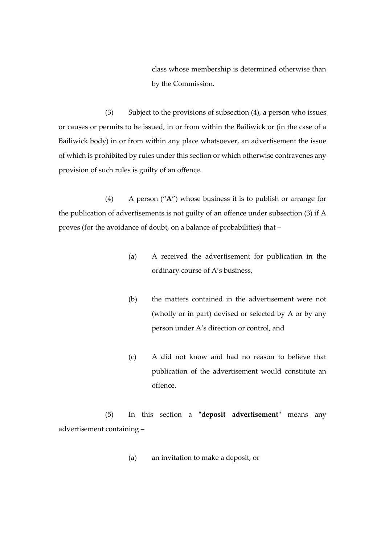class whose membership is determined otherwise than by the Commission.

(3) Subject to the provisions of subsection (4), a person who issues or causes or permits to be issued, in or from within the Bailiwick or (in the case of a Bailiwick body) in or from within any place whatsoever, an advertisement the issue of which is prohibited by rules under this section or which otherwise contravenes any provision of such rules is guilty of an offence.

(4) A person ("**A**") whose business it is to publish or arrange for the publication of advertisements is not guilty of an offence under subsection (3) if A proves (for the avoidance of doubt, on a balance of probabilities) that –

- (a) A received the advertisement for publication in the ordinary course of A's business,
- (b) the matters contained in the advertisement were not (wholly or in part) devised or selected by A or by any person under A's direction or control, and
- (c) A did not know and had no reason to believe that publication of the advertisement would constitute an offence.

(5) In this section a **"deposit advertisement"** means any advertisement containing –

(a) an invitation to make a deposit, or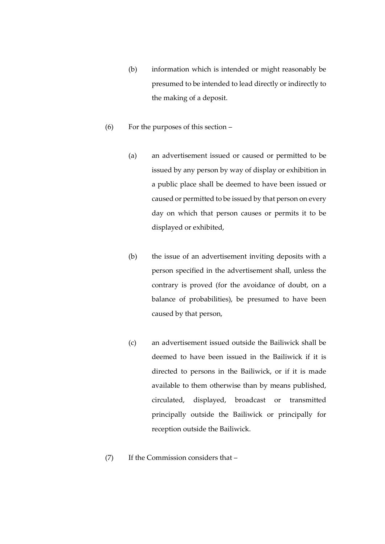- (b) information which is intended or might reasonably be presumed to be intended to lead directly or indirectly to the making of a deposit.
- (6) For the purposes of this section
	- (a) an advertisement issued or caused or permitted to be issued by any person by way of display or exhibition in a public place shall be deemed to have been issued or caused or permitted to be issued by that person on every day on which that person causes or permits it to be displayed or exhibited,
	- (b) the issue of an advertisement inviting deposits with a person specified in the advertisement shall, unless the contrary is proved (for the avoidance of doubt, on a balance of probabilities), be presumed to have been caused by that person,
	- (c) an advertisement issued outside the Bailiwick shall be deemed to have been issued in the Bailiwick if it is directed to persons in the Bailiwick, or if it is made available to them otherwise than by means published, circulated, displayed, broadcast or transmitted principally outside the Bailiwick or principally for reception outside the Bailiwick.
- (7) If the Commission considers that –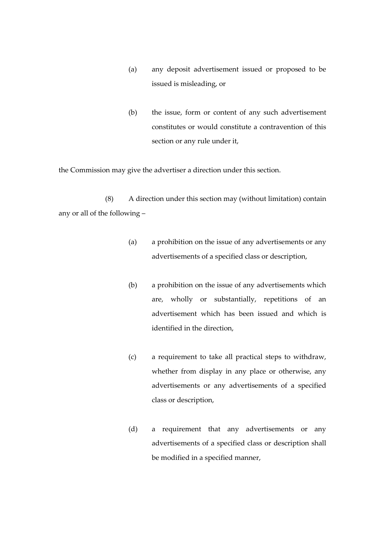- (a) any deposit advertisement issued or proposed to be issued is misleading, or
- (b) the issue, form or content of any such advertisement constitutes or would constitute a contravention of this section or any rule under it,

the Commission may give the advertiser a direction under this section.

(8) A direction under this section may (without limitation) contain any or all of the following –

- (a) a prohibition on the issue of any advertisements or any advertisements of a specified class or description,
- (b) a prohibition on the issue of any advertisements which are, wholly or substantially, repetitions of an advertisement which has been issued and which is identified in the direction,
- (c) a requirement to take all practical steps to withdraw, whether from display in any place or otherwise, any advertisements or any advertisements of a specified class or description,
- (d) a requirement that any advertisements or any advertisements of a specified class or description shall be modified in a specified manner,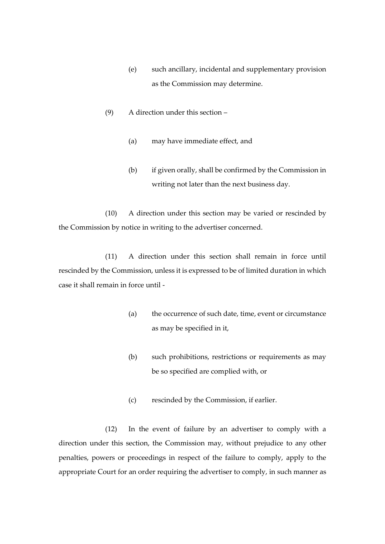- (e) such ancillary, incidental and supplementary provision as the Commission may determine.
- (9) A direction under this section
	- (a) may have immediate effect, and
	- (b) if given orally, shall be confirmed by the Commission in writing not later than the next business day.

(10) A direction under this section may be varied or rescinded by the Commission by notice in writing to the advertiser concerned.

(11) A direction under this section shall remain in force until rescinded by the Commission, unless it is expressed to be of limited duration in which case it shall remain in force until -

- (a) the occurrence of such date, time, event or circumstance as may be specified in it,
- (b) such prohibitions, restrictions or requirements as may be so specified are complied with, or
- (c) rescinded by the Commission, if earlier.

(12) In the event of failure by an advertiser to comply with a direction under this section, the Commission may, without prejudice to any other penalties, powers or proceedings in respect of the failure to comply, apply to the appropriate Court for an order requiring the advertiser to comply, in such manner as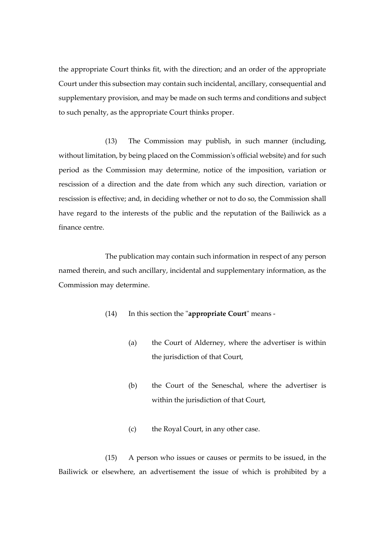the appropriate Court thinks fit, with the direction; and an order of the appropriate Court under this subsection may contain such incidental, ancillary, consequential and supplementary provision, and may be made on such terms and conditions and subject to such penalty, as the appropriate Court thinks proper.

(13) The Commission may publish, in such manner (including, without limitation, by being placed on the Commission's official website) and for such period as the Commission may determine, notice of the imposition, variation or rescission of a direction and the date from which any such direction*,* variation or rescission is effective; and, in deciding whether or not to do so, the Commission shall have regard to the interests of the public and the reputation of the Bailiwick as a finance centre.

The publication may contain such information in respect of any person named therein, and such ancillary, incidental and supplementary information, as the Commission may determine.

- (14) In this section the "**appropriate Court**" means
	- (a) the Court of Alderney, where the advertiser is within the jurisdiction of that Court,
	- (b) the Court of the Seneschal, where the advertiser is within the jurisdiction of that Court,
	- (c) the Royal Court, in any other case.

(15) A person who issues or causes or permits to be issued, in the Bailiwick or elsewhere, an advertisement the issue of which is prohibited by a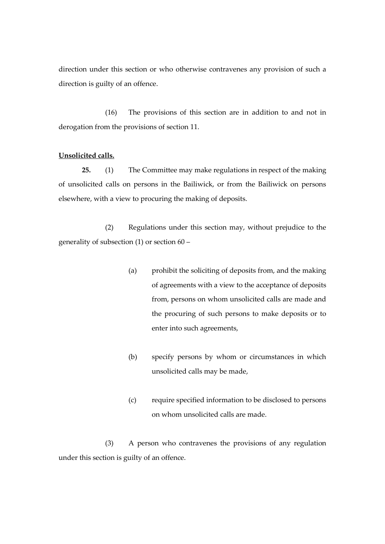direction under this section or who otherwise contravenes any provision of such a direction is guilty of an offence.

(16) The provisions of this section are in addition to and not in derogation from the provisions of section 11.

## **Unsolicited calls.**

**25.** (1) The Committee may make regulations in respect of the making of unsolicited calls on persons in the Bailiwick, or from the Bailiwick on persons elsewhere, with a view to procuring the making of deposits.

(2) Regulations under this section may, without prejudice to the generality of subsection (1) or section 60 –

- (a) prohibit the soliciting of deposits from, and the making of agreements with a view to the acceptance of deposits from, persons on whom unsolicited calls are made and the procuring of such persons to make deposits or to enter into such agreements,
- (b) specify persons by whom or circumstances in which unsolicited calls may be made,
- (c) require specified information to be disclosed to persons on whom unsolicited calls are made.

(3) A person who contravenes the provisions of any regulation under this section is guilty of an offence.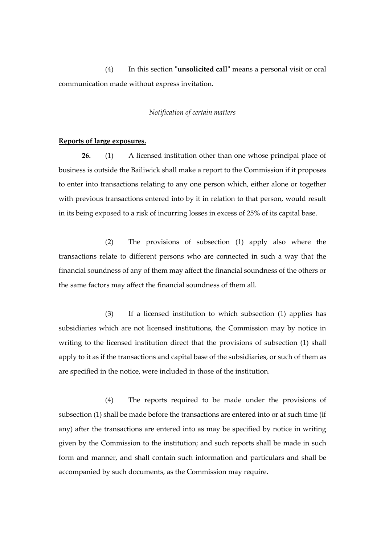(4) In this section **"unsolicited call"** means a personal visit or oral communication made without express invitation.

### *Notification of certain matters*

#### **Reports of large exposures.**

**26.** (1) A licensed institution other than one whose principal place of business is outside the Bailiwick shall make a report to the Commission if it proposes to enter into transactions relating to any one person which, either alone or together with previous transactions entered into by it in relation to that person, would result in its being exposed to a risk of incurring losses in excess of 25% of its capital base.

(2) The provisions of subsection (1) apply also where the transactions relate to different persons who are connected in such a way that the financial soundness of any of them may affect the financial soundness of the others or the same factors may affect the financial soundness of them all.

(3) If a licensed institution to which subsection (1) applies has subsidiaries which are not licensed institutions, the Commission may by notice in writing to the licensed institution direct that the provisions of subsection (1) shall apply to it as if the transactions and capital base of the subsidiaries, or such of them as are specified in the notice, were included in those of the institution.

(4) The reports required to be made under the provisions of subsection (1) shall be made before the transactions are entered into or at such time (if any) after the transactions are entered into as may be specified by notice in writing given by the Commission to the institution; and such reports shall be made in such form and manner, and shall contain such information and particulars and shall be accompanied by such documents, as the Commission may require.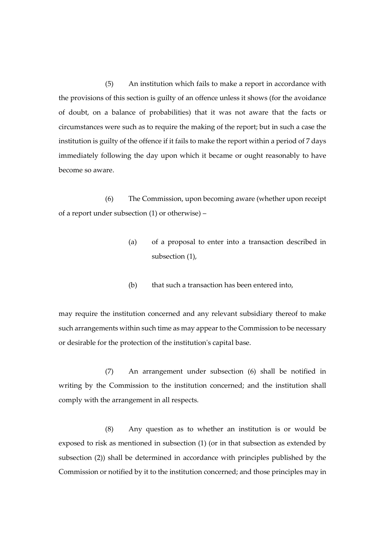(5) An institution which fails to make a report in accordance with the provisions of this section is guilty of an offence unless it shows (for the avoidance of doubt, on a balance of probabilities) that it was not aware that the facts or circumstances were such as to require the making of the report; but in such a case the institution is guilty of the offence if it fails to make the report within a period of 7 days immediately following the day upon which it became or ought reasonably to have become so aware.

(6) The Commission, upon becoming aware (whether upon receipt of a report under subsection (1) or otherwise) –

- (a) of a proposal to enter into a transaction described in subsection (1),
- (b) that such a transaction has been entered into,

may require the institution concerned and any relevant subsidiary thereof to make such arrangements within such time as may appear to the Commission to be necessary or desirable for the protection of the institution's capital base.

(7) An arrangement under subsection (6) shall be notified in writing by the Commission to the institution concerned; and the institution shall comply with the arrangement in all respects.

(8) Any question as to whether an institution is or would be exposed to risk as mentioned in subsection (1) (or in that subsection as extended by subsection (2)) shall be determined in accordance with principles published by the Commission or notified by it to the institution concerned; and those principles may in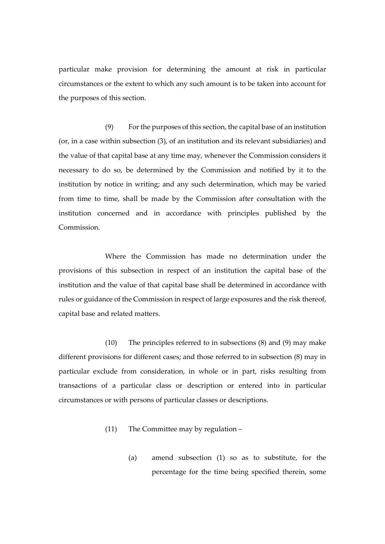particular make provision for determining the amount at risk in particular circumstances or the extent to which any such amount is to be taken into account for the purposes of this section.

(9) For the purposes of this section, the capital base of an institution (or, in a case within subsection (3), of an institution and its relevant subsidiaries) and the value of that capital base at any time may, whenever the Commission considers it necessary to do so, be determined by the Commission and notified by it to the institution by notice in writing; and any such determination, which may be varied from time to time, shall be made by the Commission after consultation with the institution concerned and in accordance with principles published by the Commission.

Where the Commission has made no determination under the provisions of this subsection in respect of an institution the capital base of the institution and the value of that capital base shall be determined in accordance with rules or guidance of the Commission in respect of large exposures and the risk thereof, capital base and related matters.

(10) The principles referred to in subsections (8) and (9) may make different provisions for different cases; and those referred to in subsection (8) may in particular exclude from consideration, in whole or in part, risks resulting from transactions of a particular class or description or entered into in particular circumstances or with persons of particular classes or descriptions.

- (11) The Committee may by regulation
	- (a) amend subsection (1) so as to substitute, for the percentage for the time being specified therein, some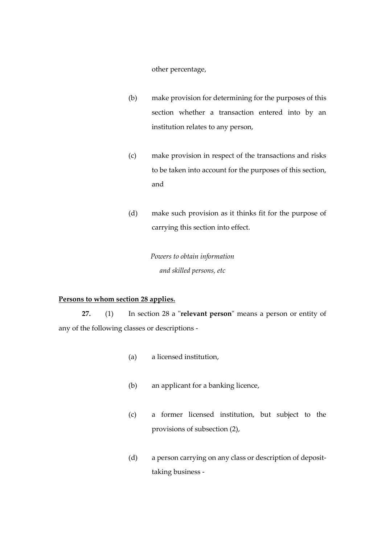other percentage,

- (b) make provision for determining for the purposes of this section whether a transaction entered into by an institution relates to any person,
- (c) make provision in respect of the transactions and risks to be taken into account for the purposes of this section, and
- (d) make such provision as it thinks fit for the purpose of carrying this section into effect.

*Powers to obtain information and skilled persons, etc*

## **Persons to whom section 28 applies.**

**27.** (1) In section 28 a "**relevant person**" means a person or entity of any of the following classes or descriptions -

- (a) a licensed institution,
- (b) an applicant for a banking licence,
- (c) a former licensed institution, but subject to the provisions of subsection (2),
- (d) a person carrying on any class or description of deposittaking business -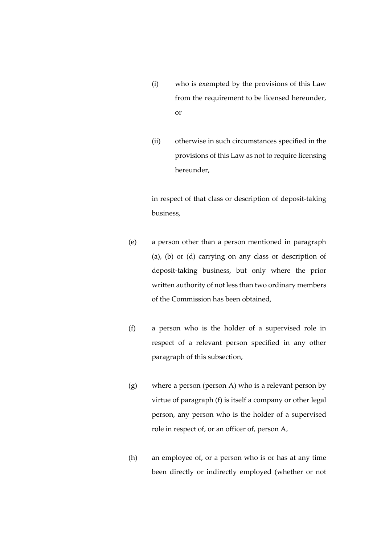- (i) who is exempted by the provisions of this Law from the requirement to be licensed hereunder, or
- (ii) otherwise in such circumstances specified in the provisions of this Law as not to require licensing hereunder,

in respect of that class or description of deposit-taking business,

- (e) a person other than a person mentioned in paragraph (a), (b) or (d) carrying on any class or description of deposit-taking business, but only where the prior written authority of not less than two ordinary members of the Commission has been obtained,
- (f) a person who is the holder of a supervised role in respect of a relevant person specified in any other paragraph of this subsection,
- (g) where a person (person A) who is a relevant person by virtue of paragraph (f) is itself a company or other legal person, any person who is the holder of a supervised role in respect of, or an officer of, person A,
- (h) an employee of, or a person who is or has at any time been directly or indirectly employed (whether or not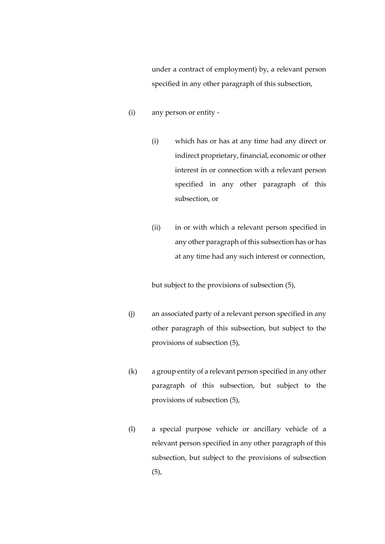under a contract of employment) by, a relevant person specified in any other paragraph of this subsection,

- (i) any person or entity
	- (i) which has or has at any time had any direct or indirect proprietary, financial, economic or other interest in or connection with a relevant person specified in any other paragraph of this subsection, or
	- (ii) in or with which a relevant person specified in any other paragraph of this subsection has or has at any time had any such interest or connection,

but subject to the provisions of subsection (5),

- (j) an associated party of a relevant person specified in any other paragraph of this subsection, but subject to the provisions of subsection (5),
- (k) a group entity of a relevant person specified in any other paragraph of this subsection, but subject to the provisions of subsection (5),
- (l) a special purpose vehicle or ancillary vehicle of a relevant person specified in any other paragraph of this subsection, but subject to the provisions of subsection  $(5)$ ,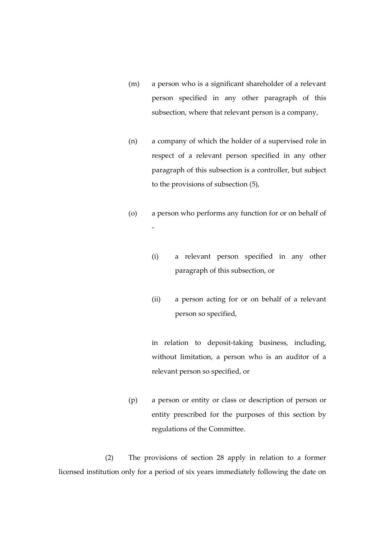- (m) a person who is a significant shareholder of a relevant person specified in any other paragraph of this subsection, where that relevant person is a company,
- (n) a company of which the holder of a supervised role in respect of a relevant person specified in any other paragraph of this subsection is a controller, but subject to the provisions of subsection (5),
- (o) a person who performs any function for or on behalf of -
	- (i) a relevant person specified in any other paragraph of this subsection, or
	- (ii) a person acting for or on behalf of a relevant person so specified,

in relation to deposit-taking business, including, without limitation, a person who is an auditor of a relevant person so specified, or

(p) a person or entity or class or description of person or entity prescribed for the purposes of this section by regulations of the Committee.

(2) The provisions of section 28 apply in relation to a former licensed institution only for a period of six years immediately following the date on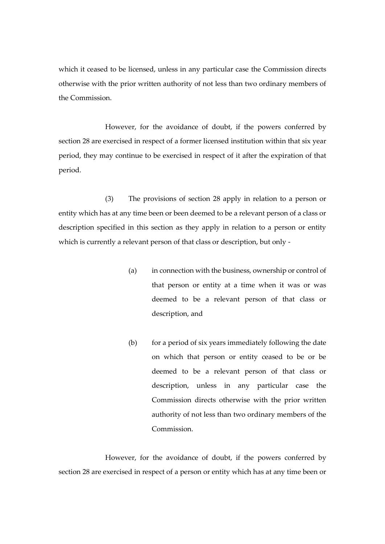which it ceased to be licensed, unless in any particular case the Commission directs otherwise with the prior written authority of not less than two ordinary members of the Commission.

However, for the avoidance of doubt, if the powers conferred by section 28 are exercised in respect of a former licensed institution within that six year period, they may continue to be exercised in respect of it after the expiration of that period.

(3) The provisions of section 28 apply in relation to a person or entity which has at any time been or been deemed to be a relevant person of a class or description specified in this section as they apply in relation to a person or entity which is currently a relevant person of that class or description, but only -

- (a) in connection with the business, ownership or control of that person or entity at a time when it was or was deemed to be a relevant person of that class or description, and
- $(b)$  for a period of six years immediately following the date on which that person or entity ceased to be or be deemed to be a relevant person of that class or description, unless in any particular case the Commission directs otherwise with the prior written authority of not less than two ordinary members of the Commission.

However, for the avoidance of doubt, if the powers conferred by section 28 are exercised in respect of a person or entity which has at any time been or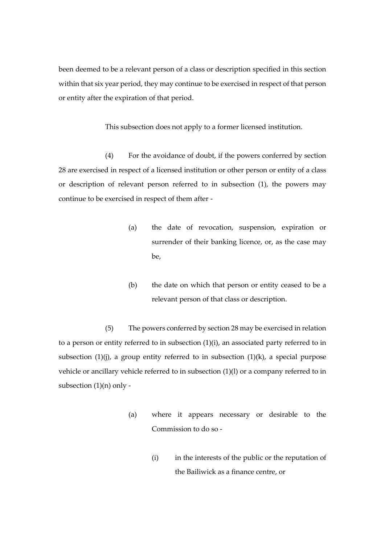been deemed to be a relevant person of a class or description specified in this section within that six year period, they may continue to be exercised in respect of that person or entity after the expiration of that period.

This subsection does not apply to a former licensed institution.

(4) For the avoidance of doubt, if the powers conferred by section 28 are exercised in respect of a licensed institution or other person or entity of a class or description of relevant person referred to in subsection (1), the powers may continue to be exercised in respect of them after -

- (a) the date of revocation, suspension, expiration or surrender of their banking licence, or, as the case may be,
- (b) the date on which that person or entity ceased to be a relevant person of that class or description.

(5) The powers conferred by section 28 may be exercised in relation to a person or entity referred to in subsection  $(1)(i)$ , an associated party referred to in subsection  $(1)(j)$ , a group entity referred to in subsection  $(1)(k)$ , a special purpose vehicle or ancillary vehicle referred to in subsection (1)(l) or a company referred to in subsection (1)(n) only -

- (a) where it appears necessary or desirable to the Commission to do so -
	- (i) in the interests of the public or the reputation of the Bailiwick as a finance centre, or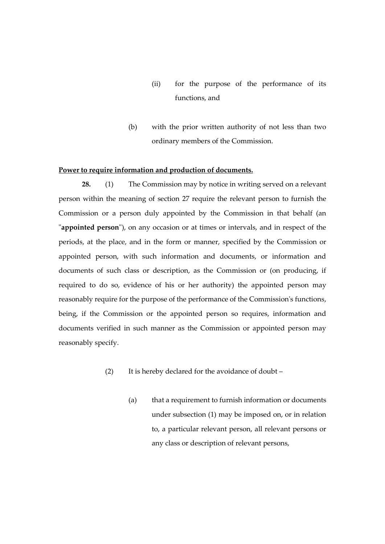- (ii) for the purpose of the performance of its functions, and
- (b) with the prior written authority of not less than two ordinary members of the Commission.

## **Power to require information and production of documents.**

**28.** (1) The Commission may by notice in writing served on a relevant person within the meaning of section 27 require the relevant person to furnish the Commission or a person duly appointed by the Commission in that behalf (an "**appointed person**"), on any occasion or at times or intervals, and in respect of the periods, at the place, and in the form or manner, specified by the Commission or appointed person, with such information and documents, or information and documents of such class or description, as the Commission or (on producing, if required to do so, evidence of his or her authority) the appointed person may reasonably require for the purpose of the performance of the Commission's functions, being, if the Commission or the appointed person so requires, information and documents verified in such manner as the Commission or appointed person may reasonably specify.

- (2) It is hereby declared for the avoidance of doubt
	- (a) that a requirement to furnish information or documents under subsection (1) may be imposed on, or in relation to, a particular relevant person, all relevant persons or any class or description of relevant persons,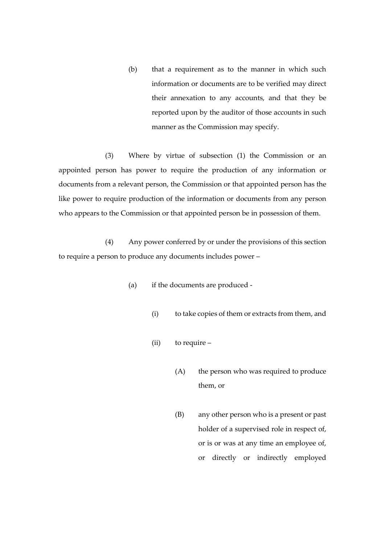(b) that a requirement as to the manner in which such information or documents are to be verified may direct their annexation to any accounts, and that they be reported upon by the auditor of those accounts in such manner as the Commission may specify.

(3) Where by virtue of subsection (1) the Commission or an appointed person has power to require the production of any information or documents from a relevant person, the Commission or that appointed person has the like power to require production of the information or documents from any person who appears to the Commission or that appointed person be in possession of them.

(4) Any power conferred by or under the provisions of this section to require a person to produce any documents includes power –

- (a) if the documents are produced
	- (i) to take copies of them or extracts from them, and
	- (ii) to require
		- (A) the person who was required to produce them, or
		- (B) any other person who is a present or past holder of a supervised role in respect of, or is or was at any time an employee of, or directly or indirectly employed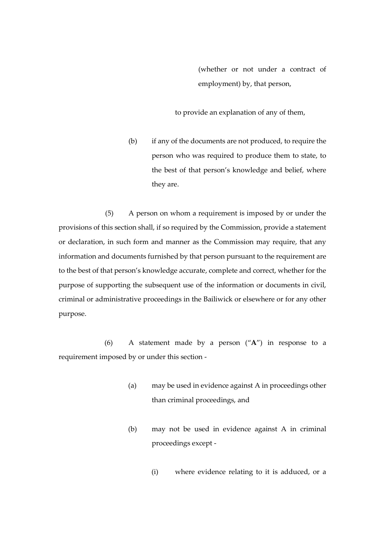(whether or not under a contract of employment) by, that person,

to provide an explanation of any of them,

(b) if any of the documents are not produced, to require the person who was required to produce them to state, to the best of that person's knowledge and belief, where they are.

(5) A person on whom a requirement is imposed by or under the provisions of this section shall, if so required by the Commission, provide a statement or declaration, in such form and manner as the Commission may require, that any information and documents furnished by that person pursuant to the requirement are to the best of that person's knowledge accurate, complete and correct, whether for the purpose of supporting the subsequent use of the information or documents in civil, criminal or administrative proceedings in the Bailiwick or elsewhere or for any other purpose.

(6) A statement made by a person ("**A**") in response to a requirement imposed by or under this section -

- (a) may be used in evidence against A in proceedings other than criminal proceedings, and
- (b) may not be used in evidence against A in criminal proceedings except -
	- (i) where evidence relating to it is adduced, or a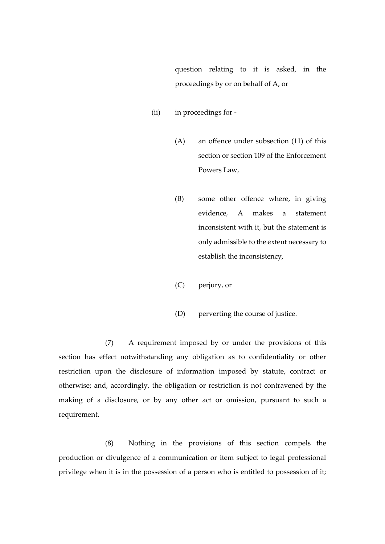question relating to it is asked, in the proceedings by or on behalf of A, or

- (ii) in proceedings for
	- (A) an offence under subsection (11) of this section or section 109 of the Enforcement Powers Law,
	- (B) some other offence where, in giving evidence, A makes a statement inconsistent with it, but the statement is only admissible to the extent necessary to establish the inconsistency,
	- (C) perjury, or
	- (D) perverting the course of justice.

(7) A requirement imposed by or under the provisions of this section has effect notwithstanding any obligation as to confidentiality or other restriction upon the disclosure of information imposed by statute, contract or otherwise; and, accordingly, the obligation or restriction is not contravened by the making of a disclosure, or by any other act or omission, pursuant to such a requirement.

(8) Nothing in the provisions of this section compels the production or divulgence of a communication or item subject to legal professional privilege when it is in the possession of a person who is entitled to possession of it;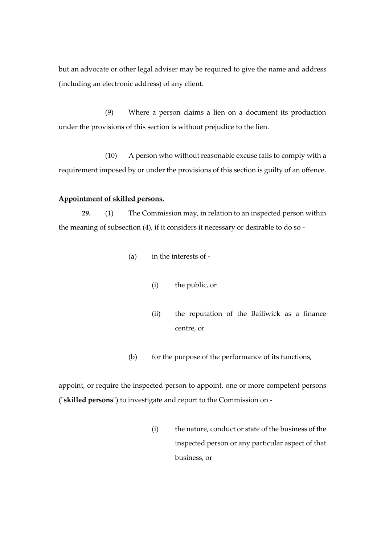but an advocate or other legal adviser may be required to give the name and address (including an electronic address) of any client.

(9) Where a person claims a lien on a document its production under the provisions of this section is without prejudice to the lien.

(10) A person who without reasonable excuse fails to comply with a requirement imposed by or under the provisions of this section is guilty of an offence.

## **Appointment of skilled persons.**

**29.** (1) The Commission may, in relation to an inspected person within the meaning of subsection (4), if it considers it necessary or desirable to do so -

- (a) in the interests of
	- (i) the public, or
	- (ii) the reputation of the Bailiwick as a finance centre, or
- (b) for the purpose of the performance of its functions,

appoint, or require the inspected person to appoint, one or more competent persons ("**skilled persons**") to investigate and report to the Commission on -

> (i) the nature, conduct or state of the business of the inspected person or any particular aspect of that business, or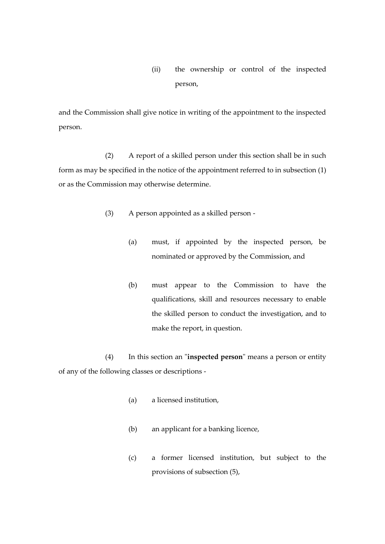(ii) the ownership or control of the inspected person,

and the Commission shall give notice in writing of the appointment to the inspected person.

(2) A report of a skilled person under this section shall be in such form as may be specified in the notice of the appointment referred to in subsection (1) or as the Commission may otherwise determine.

- (3) A person appointed as a skilled person
	- (a) must, if appointed by the inspected person, be nominated or approved by the Commission, and
	- (b) must appear to the Commission to have the qualifications, skill and resources necessary to enable the skilled person to conduct the investigation, and to make the report, in question.

(4) In this section an "**inspected person**" means a person or entity of any of the following classes or descriptions -

- (a) a licensed institution,
- (b) an applicant for a banking licence,
- (c) a former licensed institution, but subject to the provisions of subsection (5),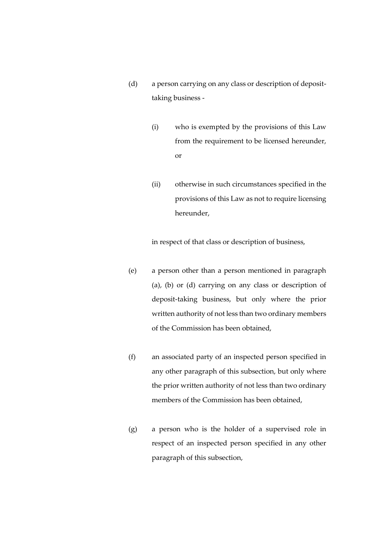- (d) a person carrying on any class or description of deposittaking business -
	- (i) who is exempted by the provisions of this Law from the requirement to be licensed hereunder, or
	- (ii) otherwise in such circumstances specified in the provisions of this Law as not to require licensing hereunder,

in respect of that class or description of business,

- (e) a person other than a person mentioned in paragraph (a), (b) or (d) carrying on any class or description of deposit-taking business, but only where the prior written authority of not less than two ordinary members of the Commission has been obtained,
- (f) an associated party of an inspected person specified in any other paragraph of this subsection, but only where the prior written authority of not less than two ordinary members of the Commission has been obtained,
- (g) a person who is the holder of a supervised role in respect of an inspected person specified in any other paragraph of this subsection,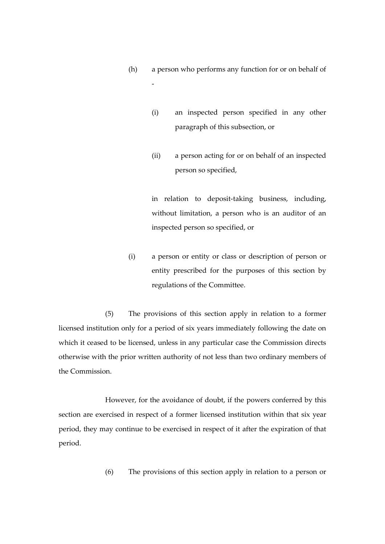(h) a person who performs any function for or on behalf of

-

- (i) an inspected person specified in any other paragraph of this subsection, or
- (ii) a person acting for or on behalf of an inspected person so specified,

in relation to deposit-taking business, including, without limitation, a person who is an auditor of an inspected person so specified, or

(i) a person or entity or class or description of person or entity prescribed for the purposes of this section by regulations of the Committee.

(5) The provisions of this section apply in relation to a former licensed institution only for a period of six years immediately following the date on which it ceased to be licensed, unless in any particular case the Commission directs otherwise with the prior written authority of not less than two ordinary members of the Commission.

However, for the avoidance of doubt, if the powers conferred by this section are exercised in respect of a former licensed institution within that six year period, they may continue to be exercised in respect of it after the expiration of that period.

(6) The provisions of this section apply in relation to a person or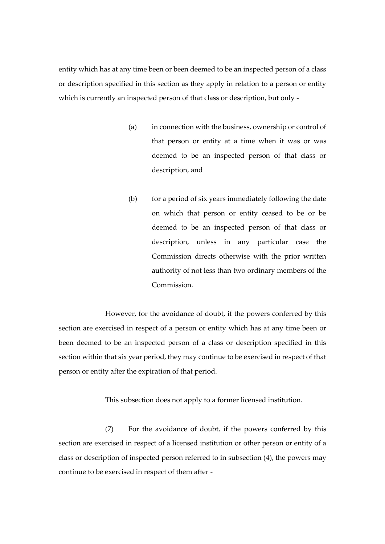entity which has at any time been or been deemed to be an inspected person of a class or description specified in this section as they apply in relation to a person or entity which is currently an inspected person of that class or description, but only -

- (a) in connection with the business, ownership or control of that person or entity at a time when it was or was deemed to be an inspected person of that class or description, and
- (b) for a period of six years immediately following the date on which that person or entity ceased to be or be deemed to be an inspected person of that class or description, unless in any particular case the Commission directs otherwise with the prior written authority of not less than two ordinary members of the Commission.

However, for the avoidance of doubt, if the powers conferred by this section are exercised in respect of a person or entity which has at any time been or been deemed to be an inspected person of a class or description specified in this section within that six year period, they may continue to be exercised in respect of that person or entity after the expiration of that period.

This subsection does not apply to a former licensed institution.

(7) For the avoidance of doubt, if the powers conferred by this section are exercised in respect of a licensed institution or other person or entity of a class or description of inspected person referred to in subsection (4), the powers may continue to be exercised in respect of them after -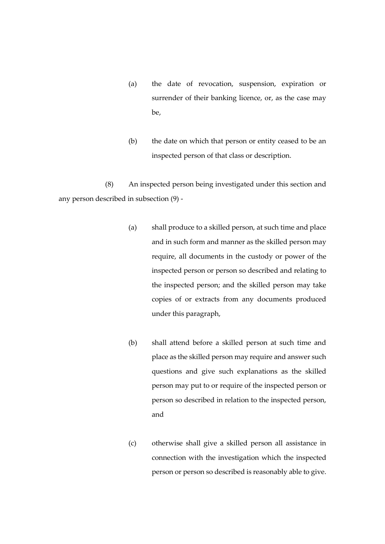- (a) the date of revocation, suspension, expiration or surrender of their banking licence, or, as the case may be,
- (b) the date on which that person or entity ceased to be an inspected person of that class or description.

(8) An inspected person being investigated under this section and any person described in subsection (9) -

- (a) shall produce to a skilled person, at such time and place and in such form and manner as the skilled person may require, all documents in the custody or power of the inspected person or person so described and relating to the inspected person; and the skilled person may take copies of or extracts from any documents produced under this paragraph,
- (b) shall attend before a skilled person at such time and place as the skilled person may require and answer such questions and give such explanations as the skilled person may put to or require of the inspected person or person so described in relation to the inspected person, and
- (c) otherwise shall give a skilled person all assistance in connection with the investigation which the inspected person or person so described is reasonably able to give.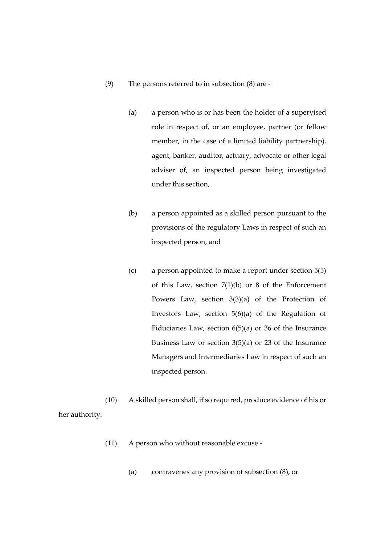- (9) The persons referred to in subsection (8) are
	- (a) a person who is or has been the holder of a supervised role in respect of, or an employee, partner (or fellow member, in the case of a limited liability partnership), agent, banker, auditor, actuary, advocate or other legal adviser of, an inspected person being investigated under this section,
	- (b) a person appointed as a skilled person pursuant to the provisions of the regulatory Laws in respect of such an inspected person, and
	- (c) a person appointed to make a report under section 5(5) of this Law, section  $7(1)(b)$  or 8 of the Enforcement Powers Law, section 3(3)(a) of the Protection of Investors Law, section 5(6)(a) of the Regulation of Fiduciaries Law, section 6(5)(a) or 36 of the Insurance Business Law or section 3(5)(a) or 23 of the Insurance Managers and Intermediaries Law in respect of such an inspected person.

(10) A skilled person shall, if so required, produce evidence of his or her authority.

- (11) A person who without reasonable excuse
	- (a) contravenes any provision of subsection (8), or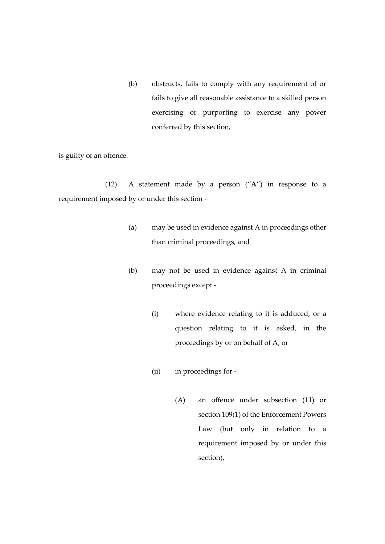(b) obstructs, fails to comply with any requirement of or fails to give all reasonable assistance to a skilled person exercising or purporting to exercise any power conferred by this section,

is guilty of an offence.

(12) A statement made by a person ("**A**") in response to a requirement imposed by or under this section -

- (a) may be used in evidence against A in proceedings other than criminal proceedings, and
- (b) may not be used in evidence against A in criminal proceedings except -
	- (i) where evidence relating to it is adduced, or a question relating to it is asked, in the proceedings by or on behalf of A, or
	- (ii) in proceedings for
		- (A) an offence under subsection (11) or section 109(1) of the Enforcement Powers Law (but only in relation to a requirement imposed by or under this section),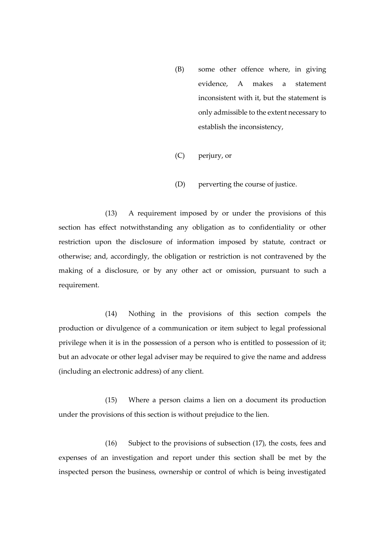- (B) some other offence where, in giving evidence, A makes a statement inconsistent with it, but the statement is only admissible to the extent necessary to establish the inconsistency,
- (C) perjury, or
- (D) perverting the course of justice.

(13) A requirement imposed by or under the provisions of this section has effect notwithstanding any obligation as to confidentiality or other restriction upon the disclosure of information imposed by statute, contract or otherwise; and, accordingly, the obligation or restriction is not contravened by the making of a disclosure, or by any other act or omission, pursuant to such a requirement.

(14) Nothing in the provisions of this section compels the production or divulgence of a communication or item subject to legal professional privilege when it is in the possession of a person who is entitled to possession of it; but an advocate or other legal adviser may be required to give the name and address (including an electronic address) of any client.

(15) Where a person claims a lien on a document its production under the provisions of this section is without prejudice to the lien.

(16) Subject to the provisions of subsection (17), the costs, fees and expenses of an investigation and report under this section shall be met by the inspected person the business, ownership or control of which is being investigated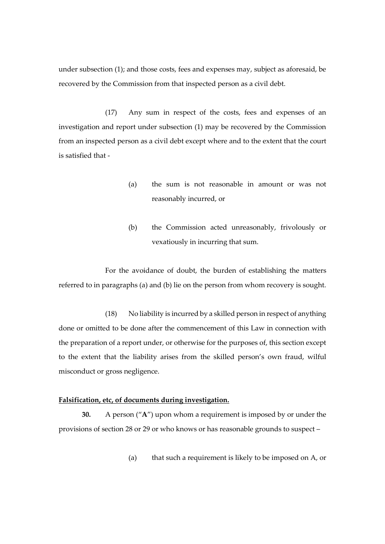under subsection (1); and those costs, fees and expenses may, subject as aforesaid, be recovered by the Commission from that inspected person as a civil debt.

(17) Any sum in respect of the costs, fees and expenses of an investigation and report under subsection (1) may be recovered by the Commission from an inspected person as a civil debt except where and to the extent that the court is satisfied that -

- (a) the sum is not reasonable in amount or was not reasonably incurred, or
- (b) the Commission acted unreasonably, frivolously or vexatiously in incurring that sum.

For the avoidance of doubt, the burden of establishing the matters referred to in paragraphs (a) and (b) lie on the person from whom recovery is sought.

(18) No liability is incurred by a skilled person in respect of anything done or omitted to be done after the commencement of this Law in connection with the preparation of a report under, or otherwise for the purposes of, this section except to the extent that the liability arises from the skilled person's own fraud, wilful misconduct or gross negligence.

# **Falsification, etc, of documents during investigation.**

**30.** A person ("**A**") upon whom a requirement is imposed by or under the provisions of section 28 or 29 or who knows or has reasonable grounds to suspect –

(a) that such a requirement is likely to be imposed on A, or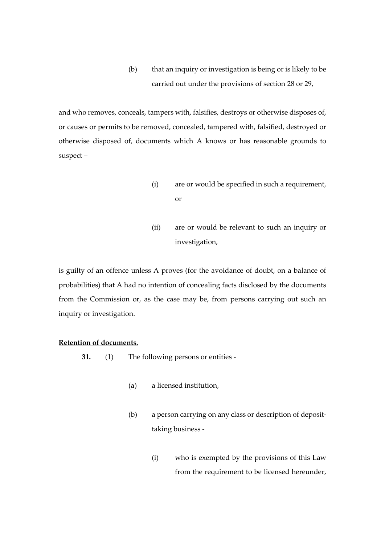(b) that an inquiry or investigation is being or is likely to be carried out under the provisions of section 28 or 29,

and who removes, conceals, tampers with, falsifies, destroys or otherwise disposes of, or causes or permits to be removed, concealed, tampered with, falsified, destroyed or otherwise disposed of, documents which A knows or has reasonable grounds to suspect –

- (i) are or would be specified in such a requirement, or
- (ii) are or would be relevant to such an inquiry or investigation,

is guilty of an offence unless A proves (for the avoidance of doubt, on a balance of probabilities) that A had no intention of concealing facts disclosed by the documents from the Commission or, as the case may be, from persons carrying out such an inquiry or investigation.

# **Retention of documents.**

- **31.** (1) The following persons or entities
	- (a) a licensed institution,
	- (b) a person carrying on any class or description of deposittaking business -
		- (i) who is exempted by the provisions of this Law from the requirement to be licensed hereunder,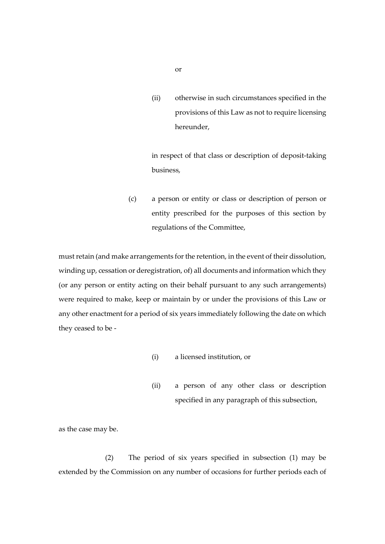(ii) otherwise in such circumstances specified in the provisions of this Law as not to require licensing hereunder,

in respect of that class or description of deposit-taking business,

(c) a person or entity or class or description of person or entity prescribed for the purposes of this section by regulations of the Committee,

must retain (and make arrangements for the retention, in the event of their dissolution, winding up, cessation or deregistration, of) all documents and information which they (or any person or entity acting on their behalf pursuant to any such arrangements) were required to make, keep or maintain by or under the provisions of this Law or any other enactment for a period of six years immediately following the date on which they ceased to be -

- (i) a licensed institution, or
- (ii) a person of any other class or description specified in any paragraph of this subsection,

as the case may be.

(2) The period of six years specified in subsection (1) may be extended by the Commission on any number of occasions for further periods each of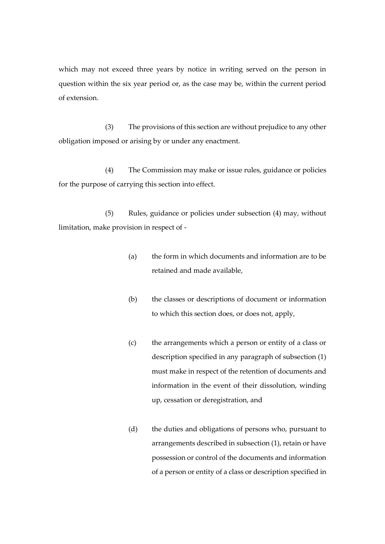which may not exceed three years by notice in writing served on the person in question within the six year period or, as the case may be, within the current period of extension.

(3) The provisions of this section are without prejudice to any other obligation imposed or arising by or under any enactment.

(4) The Commission may make or issue rules, guidance or policies for the purpose of carrying this section into effect.

(5) Rules, guidance or policies under subsection (4) may, without limitation, make provision in respect of -

- (a) the form in which documents and information are to be retained and made available,
- (b) the classes or descriptions of document or information to which this section does, or does not, apply,
- (c) the arrangements which a person or entity of a class or description specified in any paragraph of subsection (1) must make in respect of the retention of documents and information in the event of their dissolution, winding up, cessation or deregistration, and
- (d) the duties and obligations of persons who, pursuant to arrangements described in subsection (1), retain or have possession or control of the documents and information of a person or entity of a class or description specified in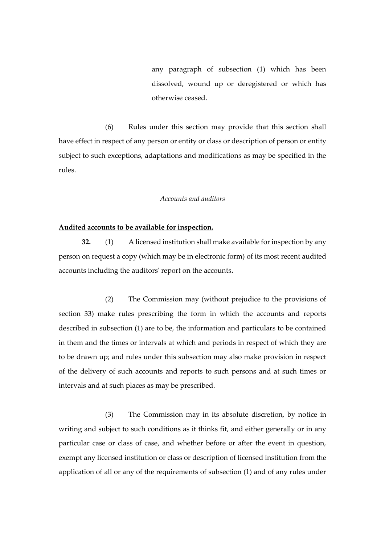any paragraph of subsection (1) which has been dissolved, wound up or deregistered or which has otherwise ceased.

(6) Rules under this section may provide that this section shall have effect in respect of any person or entity or class or description of person or entity subject to such exceptions, adaptations and modifications as may be specified in the rules.

### *Accounts and auditors*

### **Audited accounts to be available for inspection.**

**32.** (1) A licensed institution shall make available for inspection by any person on request a copy (which may be in electronic form) of its most recent audited accounts including the auditors' report on the accounts**.**

(2) The Commission may (without prejudice to the provisions of section 33) make rules prescribing the form in which the accounts and reports described in subsection (1) are to be, the information and particulars to be contained in them and the times or intervals at which and periods in respect of which they are to be drawn up; and rules under this subsection may also make provision in respect of the delivery of such accounts and reports to such persons and at such times or intervals and at such places as may be prescribed.

(3) The Commission may in its absolute discretion, by notice in writing and subject to such conditions as it thinks fit, and either generally or in any particular case or class of case, and whether before or after the event in question, exempt any licensed institution or class or description of licensed institution from the application of all or any of the requirements of subsection (1) and of any rules under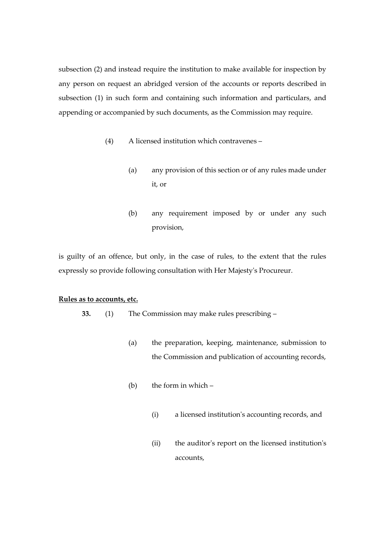subsection (2) and instead require the institution to make available for inspection by any person on request an abridged version of the accounts or reports described in subsection (1) in such form and containing such information and particulars, and appending or accompanied by such documents, as the Commission may require.

- (4) A licensed institution which contravenes
	- (a) any provision of this section or of any rules made under it, or
	- (b) any requirement imposed by or under any such provision,

is guilty of an offence, but only, in the case of rules, to the extent that the rules expressly so provide following consultation with Her Majesty's Procureur.

### **Rules as to accounts, etc.**

- **33.** (1) The Commission may make rules prescribing
	- (a) the preparation, keeping, maintenance, submission to the Commission and publication of accounting records,
	- (b) the form in which  $-$ 
		- (i) a licensed institution's accounting records, and
		- (ii) the auditor's report on the licensed institution's accounts,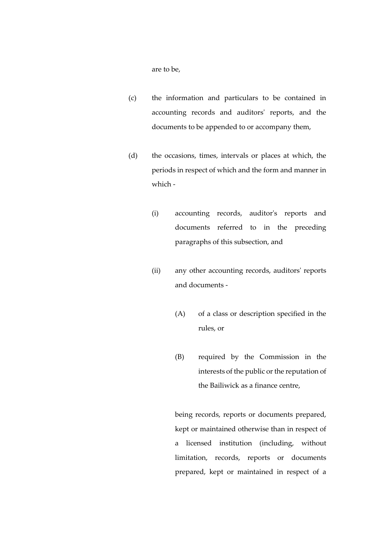are to be,

- (c) the information and particulars to be contained in accounting records and auditors' reports, and the documents to be appended to or accompany them,
- (d) the occasions, times, intervals or places at which, the periods in respect of which and the form and manner in which -
	- (i) accounting records, auditor's reports and documents referred to in the preceding paragraphs of this subsection, and
	- (ii) any other accounting records, auditors' reports and documents -
		- (A) of a class or description specified in the rules, or
		- (B) required by the Commission in the interests of the public or the reputation of the Bailiwick as a finance centre,

being records, reports or documents prepared, kept or maintained otherwise than in respect of a licensed institution (including, without limitation, records, reports or documents prepared, kept or maintained in respect of a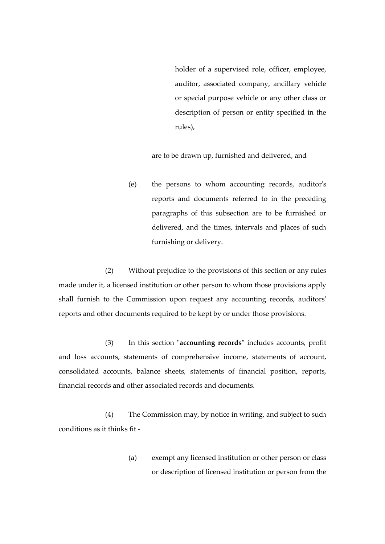holder of a supervised role, officer, employee, auditor, associated company, ancillary vehicle or special purpose vehicle or any other class or description of person or entity specified in the rules),

are to be drawn up, furnished and delivered, and

(e) the persons to whom accounting records, auditor's reports and documents referred to in the preceding paragraphs of this subsection are to be furnished or delivered, and the times, intervals and places of such furnishing or delivery.

(2) Without prejudice to the provisions of this section or any rules made under it, a licensed institution or other person to whom those provisions apply shall furnish to the Commission upon request any accounting records, auditors' reports and other documents required to be kept by or under those provisions.

(3) In this section "**accounting records**" includes accounts, profit and loss accounts, statements of comprehensive income, statements of account, consolidated accounts, balance sheets, statements of financial position, reports, financial records and other associated records and documents.

(4) The Commission may, by notice in writing, and subject to such conditions as it thinks fit -

> (a) exempt any licensed institution or other person or class or description of licensed institution or person from the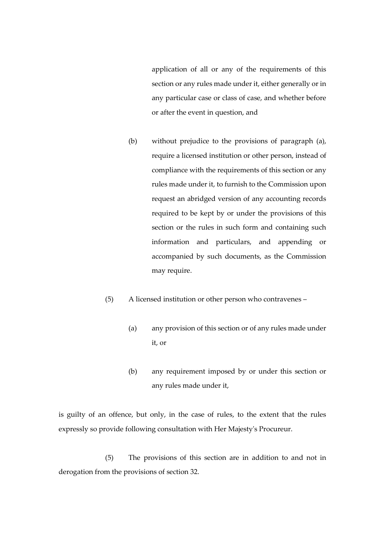application of all or any of the requirements of this section or any rules made under it, either generally or in any particular case or class of case, and whether before or after the event in question, and

- (b) without prejudice to the provisions of paragraph (a), require a licensed institution or other person, instead of compliance with the requirements of this section or any rules made under it, to furnish to the Commission upon request an abridged version of any accounting records required to be kept by or under the provisions of this section or the rules in such form and containing such information and particulars, and appending or accompanied by such documents, as the Commission may require.
- (5) A licensed institution or other person who contravenes
	- (a) any provision of this section or of any rules made under it, or
	- (b) any requirement imposed by or under this section or any rules made under it,

is guilty of an offence, but only, in the case of rules, to the extent that the rules expressly so provide following consultation with Her Majesty's Procureur.

(5) The provisions of this section are in addition to and not in derogation from the provisions of section 32.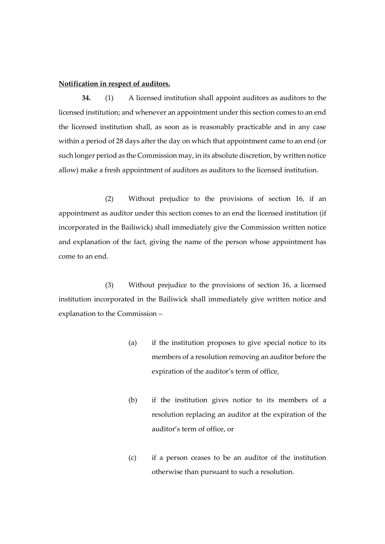## **Notification in respect of auditors.**

**34.** (1) A licensed institution shall appoint auditors as auditors to the licensed institution; and whenever an appointment under this section comes to an end the licensed institution shall, as soon as is reasonably practicable and in any case within a period of 28 days after the day on which that appointment came to an end (or such longer period as the Commission may, in its absolute discretion, by written notice allow) make a fresh appointment of auditors as auditors to the licensed institution.

(2) Without prejudice to the provisions of section 16, if an appointment as auditor under this section comes to an end the licensed institution (if incorporated in the Bailiwick) shall immediately give the Commission written notice and explanation of the fact, giving the name of the person whose appointment has come to an end.

(3) Without prejudice to the provisions of section 16, a licensed institution incorporated in the Bailiwick shall immediately give written notice and explanation to the Commission –

- (a) if the institution proposes to give special notice to its members of a resolution removing an auditor before the expiration of the auditor's term of office,
- (b) if the institution gives notice to its members of a resolution replacing an auditor at the expiration of the auditor's term of office, or
- (c) if a person ceases to be an auditor of the institution otherwise than pursuant to such a resolution.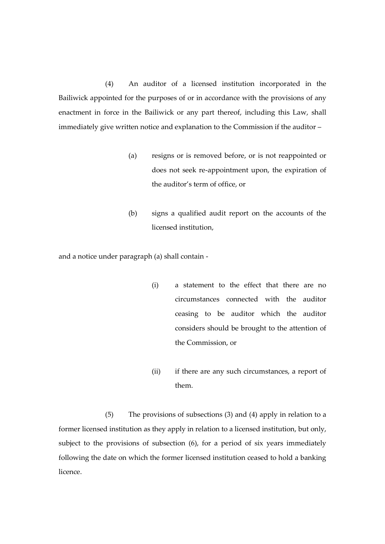(4) An auditor of a licensed institution incorporated in the Bailiwick appointed for the purposes of or in accordance with the provisions of any enactment in force in the Bailiwick or any part thereof, including this Law, shall immediately give written notice and explanation to the Commission if the auditor –

- (a) resigns or is removed before, or is not reappointed or does not seek re-appointment upon, the expiration of the auditor's term of office, or
- (b) signs a qualified audit report on the accounts of the licensed institution,

and a notice under paragraph (a) shall contain -

- (i) a statement to the effect that there are no circumstances connected with the auditor ceasing to be auditor which the auditor considers should be brought to the attention of the Commission, or
- (ii) if there are any such circumstances, a report of them.

(5) The provisions of subsections (3) and (4) apply in relation to a former licensed institution as they apply in relation to a licensed institution, but only, subject to the provisions of subsection (6), for a period of six years immediately following the date on which the former licensed institution ceased to hold a banking licence.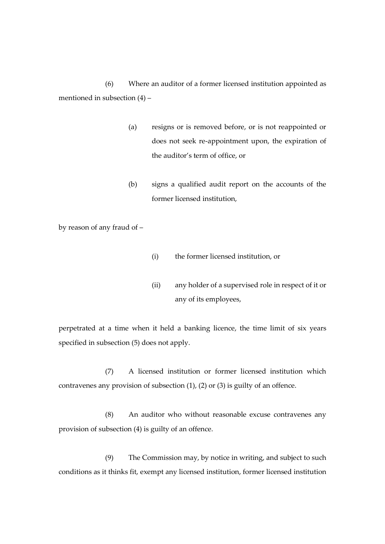(6) Where an auditor of a former licensed institution appointed as mentioned in subsection (4) –

- (a) resigns or is removed before, or is not reappointed or does not seek re-appointment upon, the expiration of the auditor's term of office, or
- (b) signs a qualified audit report on the accounts of the former licensed institution,

by reason of any fraud of –

- (i) the former licensed institution, or
- (ii) any holder of a supervised role in respect of it or any of its employees,

perpetrated at a time when it held a banking licence, the time limit of six years specified in subsection (5) does not apply.

(7) A licensed institution or former licensed institution which contravenes any provision of subsection (1), (2) or (3) is guilty of an offence.

(8) An auditor who without reasonable excuse contravenes any provision of subsection (4) is guilty of an offence.

(9) The Commission may, by notice in writing, and subject to such conditions as it thinks fit, exempt any licensed institution, former licensed institution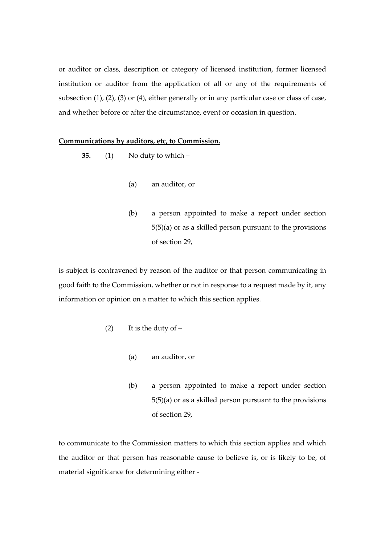or auditor or class, description or category of licensed institution, former licensed institution or auditor from the application of all or any of the requirements of subsection (1), (2), (3) or (4), either generally or in any particular case or class of case, and whether before or after the circumstance, event or occasion in question.

### **Communications by auditors, etc, to Commission.**

- **35.** (1) No duty to which
	- (a) an auditor, or
	- (b) a person appointed to make a report under section 5(5)(a) or as a skilled person pursuant to the provisions of section 29,

is subject is contravened by reason of the auditor or that person communicating in good faith to the Commission, whether or not in response to a request made by it, any information or opinion on a matter to which this section applies.

- (2) It is the duty of  $-$ 
	- (a) an auditor, or
	- (b) a person appointed to make a report under section 5(5)(a) or as a skilled person pursuant to the provisions of section 29,

to communicate to the Commission matters to which this section applies and which the auditor or that person has reasonable cause to believe is, or is likely to be, of material significance for determining either -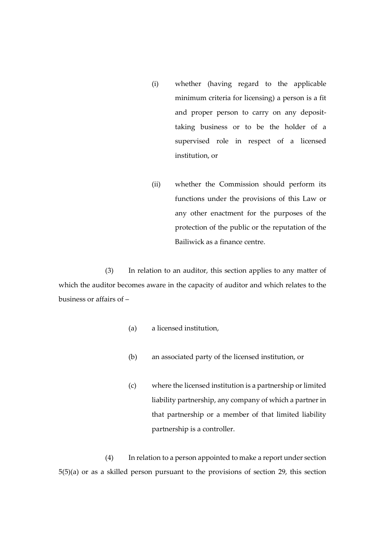- (i) whether (having regard to the applicable minimum criteria for licensing) a person is a fit and proper person to carry on any deposittaking business or to be the holder of a supervised role in respect of a licensed institution, or
- (ii) whether the Commission should perform its functions under the provisions of this Law or any other enactment for the purposes of the protection of the public or the reputation of the Bailiwick as a finance centre.

(3) In relation to an auditor, this section applies to any matter of which the auditor becomes aware in the capacity of auditor and which relates to the business or affairs of –

- (a) a licensed institution,
- (b) an associated party of the licensed institution, or
- (c) where the licensed institution is a partnership or limited liability partnership, any company of which a partner in that partnership or a member of that limited liability partnership is a controller.

(4) In relation to a person appointed to make a report under section 5(5)(a) or as a skilled person pursuant to the provisions of section 29, this section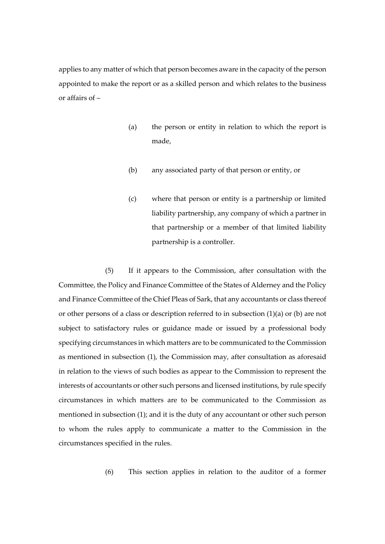applies to any matter of which that person becomes aware in the capacity of the person appointed to make the report or as a skilled person and which relates to the business or affairs of –

- (a) the person or entity in relation to which the report is made,
- (b) any associated party of that person or entity, or
- (c) where that person or entity is a partnership or limited liability partnership, any company of which a partner in that partnership or a member of that limited liability partnership is a controller.

(5) If it appears to the Commission, after consultation with the Committee, the Policy and Finance Committee of the States of Alderney and the Policy and Finance Committee of the Chief Pleas of Sark, that any accountants or class thereof or other persons of a class or description referred to in subsection (1)(a) or (b) are not subject to satisfactory rules or guidance made or issued by a professional body specifying circumstances in which matters are to be communicated to the Commission as mentioned in subsection (1), the Commission may, after consultation as aforesaid in relation to the views of such bodies as appear to the Commission to represent the interests of accountants or other such persons and licensed institutions, by rule specify circumstances in which matters are to be communicated to the Commission as mentioned in subsection (1); and it is the duty of any accountant or other such person to whom the rules apply to communicate a matter to the Commission in the circumstances specified in the rules.

(6) This section applies in relation to the auditor of a former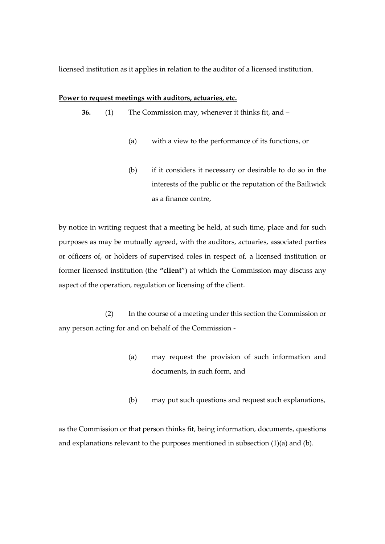licensed institution as it applies in relation to the auditor of a licensed institution.

#### **Power to request meetings with auditors, actuaries, etc.**

**36.** (1) The Commission may, whenever it thinks fit, and –

- (a) with a view to the performance of its functions, or
- (b) if it considers it necessary or desirable to do so in the interests of the public or the reputation of the Bailiwick as a finance centre,

by notice in writing request that a meeting be held, at such time, place and for such purposes as may be mutually agreed, with the auditors, actuaries, associated parties or officers of, or holders of supervised roles in respect of, a licensed institution or former licensed institution (the **"client**") at which the Commission may discuss any aspect of the operation, regulation or licensing of the client.

(2) In the course of a meeting under this section the Commission or any person acting for and on behalf of the Commission -

- (a) may request the provision of such information and documents, in such form, and
- (b) may put such questions and request such explanations,

as the Commission or that person thinks fit, being information, documents, questions and explanations relevant to the purposes mentioned in subsection (1)(a) and (b).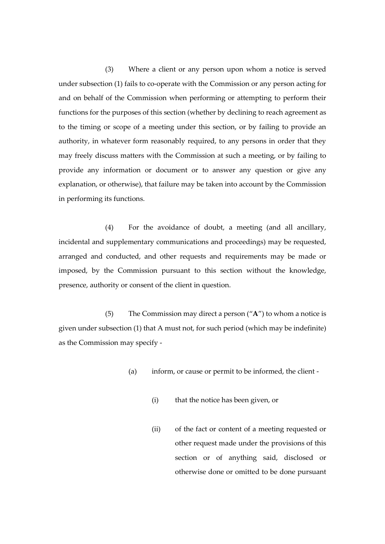(3) Where a client or any person upon whom a notice is served under subsection (1) fails to co-operate with the Commission or any person acting for and on behalf of the Commission when performing or attempting to perform their functions for the purposes of this section (whether by declining to reach agreement as to the timing or scope of a meeting under this section, or by failing to provide an authority, in whatever form reasonably required, to any persons in order that they may freely discuss matters with the Commission at such a meeting, or by failing to provide any information or document or to answer any question or give any explanation, or otherwise), that failure may be taken into account by the Commission in performing its functions.

(4) For the avoidance of doubt, a meeting (and all ancillary, incidental and supplementary communications and proceedings) may be requested, arranged and conducted, and other requests and requirements may be made or imposed, by the Commission pursuant to this section without the knowledge, presence, authority or consent of the client in question.

(5) The Commission may direct a person ("**A**") to whom a notice is given under subsection (1) that A must not, for such period (which may be indefinite) as the Commission may specify -

- (a) inform, or cause or permit to be informed, the client
	- (i) that the notice has been given, or
	- (ii) of the fact or content of a meeting requested or other request made under the provisions of this section or of anything said, disclosed or otherwise done or omitted to be done pursuant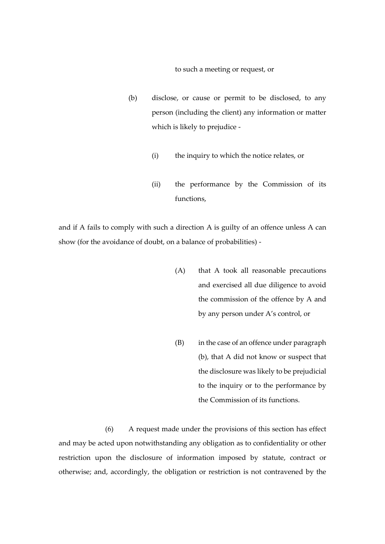to such a meeting or request, or

- (b) disclose, or cause or permit to be disclosed, to any person (including the client) any information or matter which is likely to prejudice -
	- (i) the inquiry to which the notice relates, or
	- (ii) the performance by the Commission of its functions,

and if A fails to comply with such a direction A is guilty of an offence unless A can show (for the avoidance of doubt, on a balance of probabilities) -

- (A) that A took all reasonable precautions and exercised all due diligence to avoid the commission of the offence by A and by any person under A's control, or
- (B) in the case of an offence under paragraph (b), that A did not know or suspect that the disclosure was likely to be prejudicial to the inquiry or to the performance by the Commission of its functions.

(6) A request made under the provisions of this section has effect and may be acted upon notwithstanding any obligation as to confidentiality or other restriction upon the disclosure of information imposed by statute, contract or otherwise; and, accordingly, the obligation or restriction is not contravened by the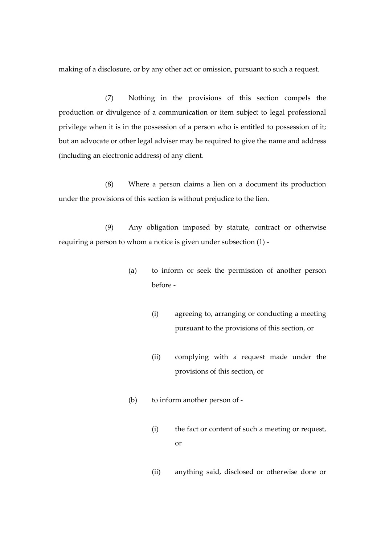making of a disclosure, or by any other act or omission, pursuant to such a request.

(7) Nothing in the provisions of this section compels the production or divulgence of a communication or item subject to legal professional privilege when it is in the possession of a person who is entitled to possession of it; but an advocate or other legal adviser may be required to give the name and address (including an electronic address) of any client.

(8) Where a person claims a lien on a document its production under the provisions of this section is without prejudice to the lien.

(9) Any obligation imposed by statute, contract or otherwise requiring a person to whom a notice is given under subsection (1) -

- (a) to inform or seek the permission of another person before -
	- (i) agreeing to, arranging or conducting a meeting pursuant to the provisions of this section, or
	- (ii) complying with a request made under the provisions of this section, or
- (b) to inform another person of
	- (i) the fact or content of such a meeting or request, or
	- (ii) anything said, disclosed or otherwise done or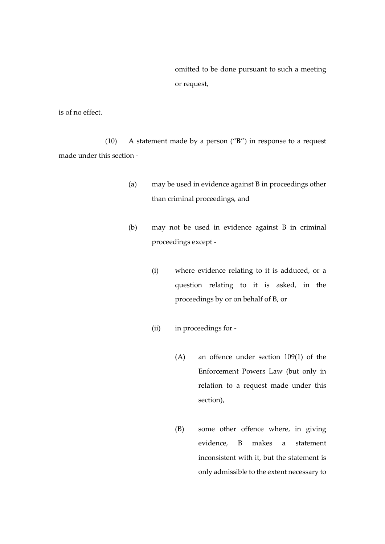omitted to be done pursuant to such a meeting or request,

is of no effect.

(10) A statement made by a person ("**B**") in response to a request made under this section -

- (a) may be used in evidence against B in proceedings other than criminal proceedings, and
- (b) may not be used in evidence against B in criminal proceedings except -
	- (i) where evidence relating to it is adduced, or a question relating to it is asked, in the proceedings by or on behalf of B, or
	- (ii) in proceedings for
		- (A) an offence under section 109(1) of the Enforcement Powers Law (but only in relation to a request made under this section),
		- (B) some other offence where, in giving evidence, B makes a statement inconsistent with it, but the statement is only admissible to the extent necessary to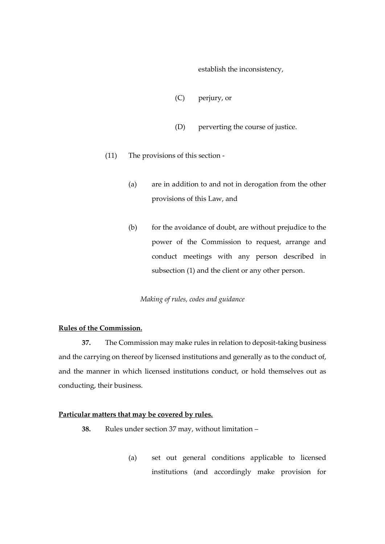establish the inconsistency,

- (C) perjury, or
- (D) perverting the course of justice.
- (11) The provisions of this section
	- (a) are in addition to and not in derogation from the other provisions of this Law, and
	- (b) for the avoidance of doubt, are without prejudice to the power of the Commission to request, arrange and conduct meetings with any person described in subsection (1) and the client or any other person.

## *Making of rules, codes and guidance*

## **Rules of the Commission.**

**37.** The Commission may make rules in relation to deposit-taking business and the carrying on thereof by licensed institutions and generally as to the conduct of, and the manner in which licensed institutions conduct, or hold themselves out as conducting, their business.

#### **Particular matters that may be covered by rules.**

- **38.** Rules under section 37 may, without limitation
	- (a) set out general conditions applicable to licensed institutions (and accordingly make provision for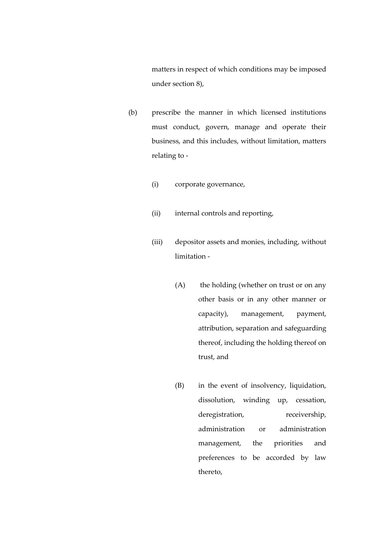matters in respect of which conditions may be imposed under section 8),

- (b) prescribe the manner in which licensed institutions must conduct, govern, manage and operate their business, and this includes, without limitation, matters relating to -
	- (i) corporate governance,
	- (ii) internal controls and reporting,
	- (iii) depositor assets and monies, including, without limitation -
		- (A) the holding (whether on trust or on any other basis or in any other manner or capacity), management, payment, attribution, separation and safeguarding thereof, including the holding thereof on trust, and
		- (B) in the event of insolvency, liquidation, dissolution, winding up, cessation, deregistration, receivership, administration or administration management, the priorities and preferences to be accorded by law thereto,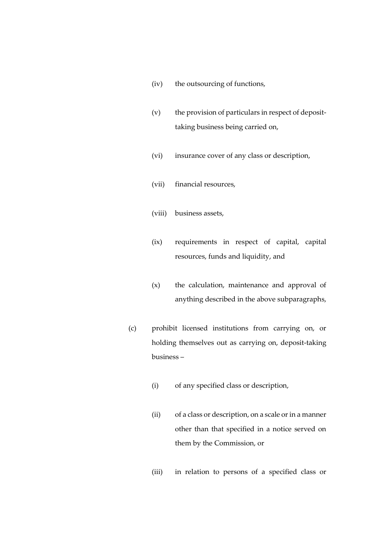- (iv) the outsourcing of functions,
- (v) the provision of particulars in respect of deposittaking business being carried on,
- (vi) insurance cover of any class or description,
- (vii) financial resources,
- (viii) business assets,
- (ix) requirements in respect of capital, capital resources, funds and liquidity, and
- (x) the calculation, maintenance and approval of anything described in the above subparagraphs,
- (c) prohibit licensed institutions from carrying on, or holding themselves out as carrying on, deposit-taking business –
	- (i) of any specified class or description,
	- (ii) of a class or description, on a scale or in a manner other than that specified in a notice served on them by the Commission, or
	- (iii) in relation to persons of a specified class or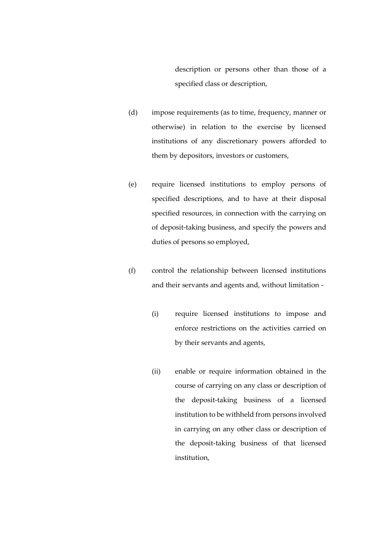description or persons other than those of a specified class or description,

- (d) impose requirements (as to time, frequency, manner or otherwise) in relation to the exercise by licensed institutions of any discretionary powers afforded to them by depositors, investors or customers,
- (e) require licensed institutions to employ persons of specified descriptions, and to have at their disposal specified resources, in connection with the carrying on of deposit-taking business, and specify the powers and duties of persons so employed,
- (f) control the relationship between licensed institutions and their servants and agents and, without limitation -
	- (i) require licensed institutions to impose and enforce restrictions on the activities carried on by their servants and agents,
	- (ii) enable or require information obtained in the course of carrying on any class or description of the deposit-taking business of a licensed institution to be withheld from persons involved in carrying on any other class or description of the deposit-taking business of that licensed institution,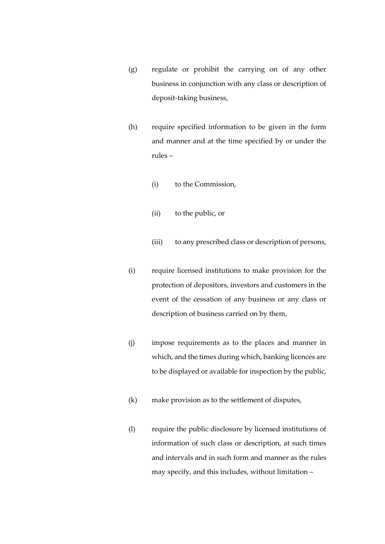- (g) regulate or prohibit the carrying on of any other business in conjunction with any class or description of deposit-taking business,
- (h) require specified information to be given in the form and manner and at the time specified by or under the rules –
	- (i) to the Commission,
	- (ii) to the public, or
	- (iii) to any prescribed class or description of persons,
- (i) require licensed institutions to make provision for the protection of depositors, investors and customers in the event of the cessation of any business or any class or description of business carried on by them,
- (j) impose requirements as to the places and manner in which, and the times during which, banking licences are to be displayed or available for inspection by the public,
- (k) make provision as to the settlement of disputes,
- (l) require the public disclosure by licensed institutions of information of such class or description, at such times and intervals and in such form and manner as the rules may specify, and this includes, without limitation –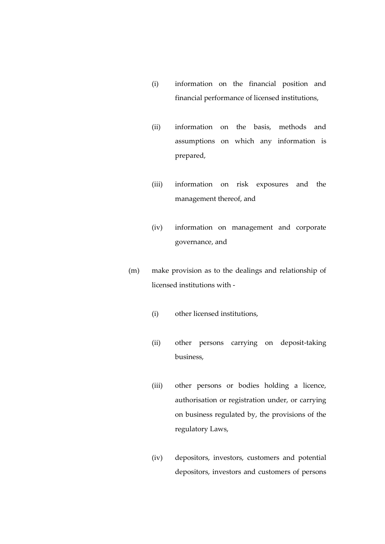- (i) information on the financial position and financial performance of licensed institutions,
- (ii) information on the basis, methods and assumptions on which any information is prepared,
- (iii) information on risk exposures and the management thereof, and
- (iv) information on management and corporate governance, and
- (m) make provision as to the dealings and relationship of licensed institutions with -
	- (i) other licensed institutions,
	- (ii) other persons carrying on deposit-taking business,
	- (iii) other persons or bodies holding a licence, authorisation or registration under, or carrying on business regulated by, the provisions of the regulatory Laws,
	- (iv) depositors, investors, customers and potential depositors, investors and customers of persons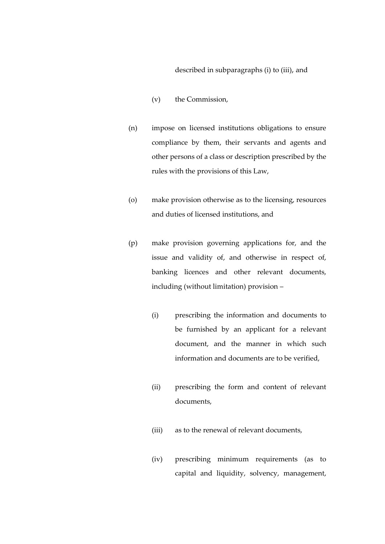## described in subparagraphs (i) to (iii), and

- (v) the Commission,
- (n) impose on licensed institutions obligations to ensure compliance by them, their servants and agents and other persons of a class or description prescribed by the rules with the provisions of this Law,
- (o) make provision otherwise as to the licensing, resources and duties of licensed institutions, and
- (p) make provision governing applications for, and the issue and validity of, and otherwise in respect of, banking licences and other relevant documents, including (without limitation) provision –
	- (i) prescribing the information and documents to be furnished by an applicant for a relevant document, and the manner in which such information and documents are to be verified,
	- (ii) prescribing the form and content of relevant documents,
	- (iii) as to the renewal of relevant documents,
	- (iv) prescribing minimum requirements (as to capital and liquidity, solvency, management,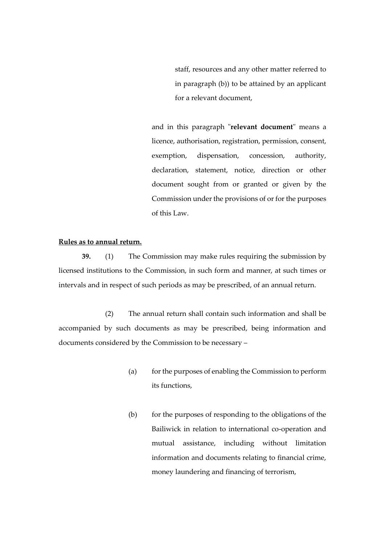staff, resources and any other matter referred to in paragraph (b)) to be attained by an applicant for a relevant document,

and in this paragraph "**relevant document**" means a licence, authorisation, registration, permission, consent, exemption, dispensation, concession, authority, declaration, statement, notice, direction or other document sought from or granted or given by the Commission under the provisions of or for the purposes of this Law.

## **Rules as to annual return.**

**39.** (1) The Commission may make rules requiring the submission by licensed institutions to the Commission, in such form and manner, at such times or intervals and in respect of such periods as may be prescribed, of an annual return.

(2) The annual return shall contain such information and shall be accompanied by such documents as may be prescribed, being information and documents considered by the Commission to be necessary –

- (a) for the purposes of enabling the Commission to perform its functions,
- (b) for the purposes of responding to the obligations of the Bailiwick in relation to international co-operation and mutual assistance, including without limitation information and documents relating to financial crime, money laundering and financing of terrorism,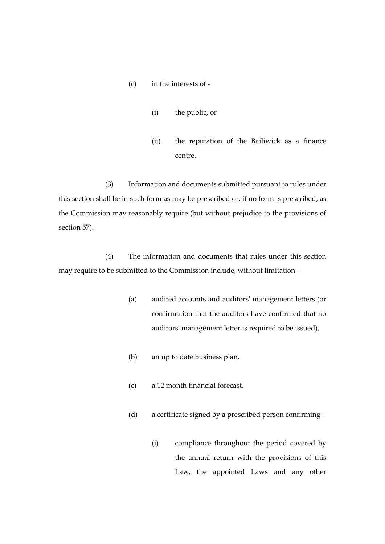- (c) in the interests of
	- (i) the public, or
	- (ii) the reputation of the Bailiwick as a finance centre.

(3) Information and documents submitted pursuant to rules under this section shall be in such form as may be prescribed or, if no form is prescribed, as the Commission may reasonably require (but without prejudice to the provisions of section 57).

(4) The information and documents that rules under this section may require to be submitted to the Commission include, without limitation –

- (a) audited accounts and auditors' management letters (or confirmation that the auditors have confirmed that no auditors' management letter is required to be issued),
- (b) an up to date business plan,
- (c) a 12 month financial forecast,
- (d) a certificate signed by a prescribed person confirming
	- (i) compliance throughout the period covered by the annual return with the provisions of this Law, the appointed Laws and any other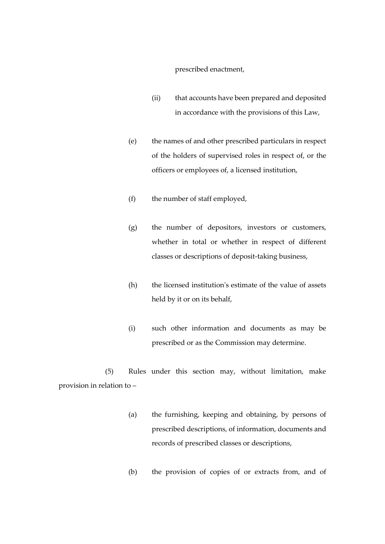## prescribed enactment,

- (ii) that accounts have been prepared and deposited in accordance with the provisions of this Law,
- (e) the names of and other prescribed particulars in respect of the holders of supervised roles in respect of, or the officers or employees of, a licensed institution,
- (f) the number of staff employed,
- (g) the number of depositors, investors or customers, whether in total or whether in respect of different classes or descriptions of deposit-taking business,
- (h) the licensed institution's estimate of the value of assets held by it or on its behalf,
- (i) such other information and documents as may be prescribed or as the Commission may determine.

(5) Rules under this section may, without limitation, make provision in relation to –

- (a) the furnishing, keeping and obtaining, by persons of prescribed descriptions, of information, documents and records of prescribed classes or descriptions,
- (b) the provision of copies of or extracts from, and of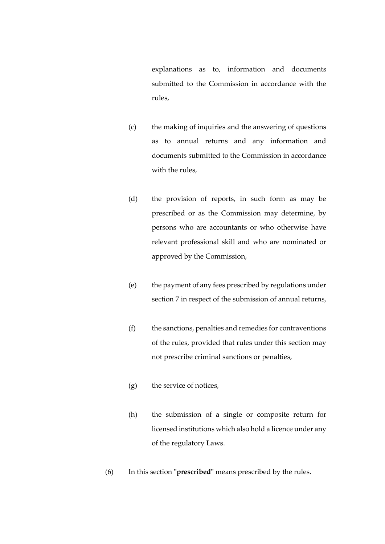explanations as to, information and documents submitted to the Commission in accordance with the rules,

- (c) the making of inquiries and the answering of questions as to annual returns and any information and documents submitted to the Commission in accordance with the rules,
- (d) the provision of reports, in such form as may be prescribed or as the Commission may determine, by persons who are accountants or who otherwise have relevant professional skill and who are nominated or approved by the Commission,
- (e) the payment of any fees prescribed by regulations under section 7 in respect of the submission of annual returns,
- (f) the sanctions, penalties and remedies for contraventions of the rules, provided that rules under this section may not prescribe criminal sanctions or penalties,
- (g) the service of notices,
- (h) the submission of a single or composite return for licensed institutions which also hold a licence under any of the regulatory Laws.
- (6) In this section **"prescribed"** means prescribed by the rules.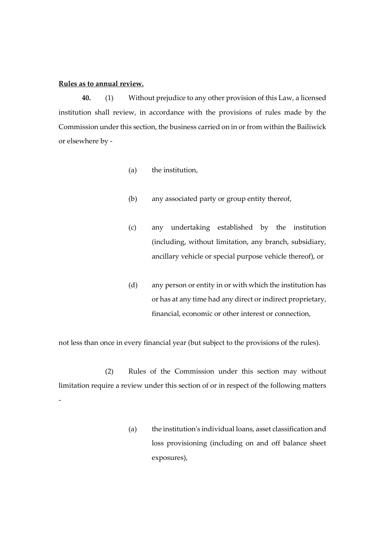## **Rules as to annual review.**

**40.** (1) Without prejudice to any other provision of this Law, a licensed institution shall review, in accordance with the provisions of rules made by the Commission under this section, the business carried on in or from within the Bailiwick or elsewhere by -

- (a) the institution,
- (b) any associated party or group entity thereof,
- (c) any undertaking established by the institution (including, without limitation, any branch, subsidiary, ancillary vehicle or special purpose vehicle thereof), or
- (d) any person or entity in or with which the institution has or has at any time had any direct or indirect proprietary, financial, economic or other interest or connection,

not less than once in every financial year (but subject to the provisions of the rules).

(2) Rules of the Commission under this section may without limitation require a review under this section of or in respect of the following matters -

> (a) the institution's individual loans, asset classification and loss provisioning (including on and off balance sheet exposures),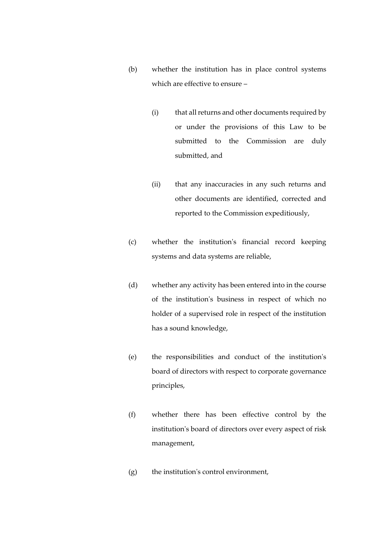- (b) whether the institution has in place control systems which are effective to ensure –
	- (i) that all returns and other documents required by or under the provisions of this Law to be submitted to the Commission are duly submitted, and
	- (ii) that any inaccuracies in any such returns and other documents are identified, corrected and reported to the Commission expeditiously,
- (c) whether the institution's financial record keeping systems and data systems are reliable,
- (d) whether any activity has been entered into in the course of the institution's business in respect of which no holder of a supervised role in respect of the institution has a sound knowledge,
- (e) the responsibilities and conduct of the institution's board of directors with respect to corporate governance principles,
- (f) whether there has been effective control by the institution's board of directors over every aspect of risk management,
- (g) the institution's control environment,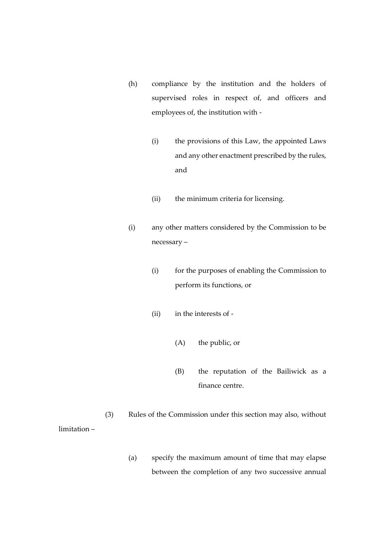- (h) compliance by the institution and the holders of supervised roles in respect of, and officers and employees of, the institution with -
	- (i) the provisions of this Law, the appointed Laws and any other enactment prescribed by the rules, and
	- (ii) the minimum criteria for licensing.
- (i) any other matters considered by the Commission to be necessary –
	- (i) for the purposes of enabling the Commission to perform its functions, or
	- (ii) in the interests of
		- (A) the public, or
		- (B) the reputation of the Bailiwick as a finance centre.

(3) Rules of the Commission under this section may also, without limitation –

> (a) specify the maximum amount of time that may elapse between the completion of any two successive annual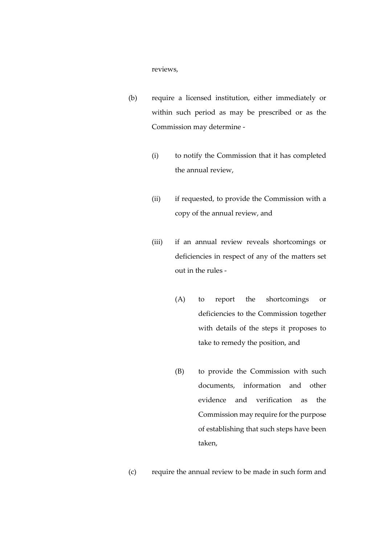#### reviews,

- (b) require a licensed institution, either immediately or within such period as may be prescribed or as the Commission may determine -
	- (i) to notify the Commission that it has completed the annual review,
	- (ii) if requested, to provide the Commission with a copy of the annual review, and
	- (iii) if an annual review reveals shortcomings or deficiencies in respect of any of the matters set out in the rules -
		- (A) to report the shortcomings or deficiencies to the Commission together with details of the steps it proposes to take to remedy the position, and
		- (B) to provide the Commission with such documents, information and other evidence and verification as the Commission may require for the purpose of establishing that such steps have been taken,
- (c) require the annual review to be made in such form and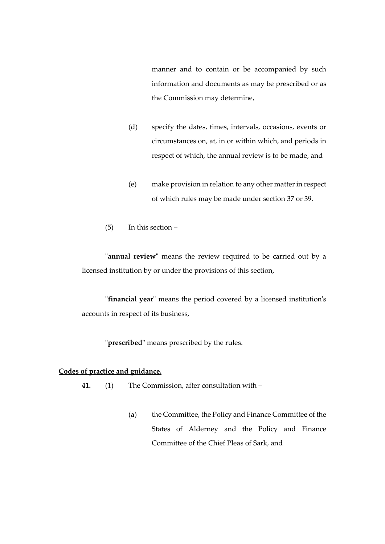manner and to contain or be accompanied by such information and documents as may be prescribed or as the Commission may determine,

- (d) specify the dates, times, intervals, occasions, events or circumstances on, at, in or within which, and periods in respect of which, the annual review is to be made, and
- (e) make provision in relation to any other matter in respect of which rules may be made under section 37 or 39.
- (5) In this section –

**"annual review"** means the review required to be carried out by a licensed institution by or under the provisions of this section,

**"financial year"** means the period covered by a licensed institution's accounts in respect of its business,

**"prescribed"** means prescribed by the rules.

## **Codes of practice and guidance.**

- **41.** (1) The Commission, after consultation with
	- (a) the Committee, the Policy and Finance Committee of the States of Alderney and the Policy and Finance Committee of the Chief Pleas of Sark, and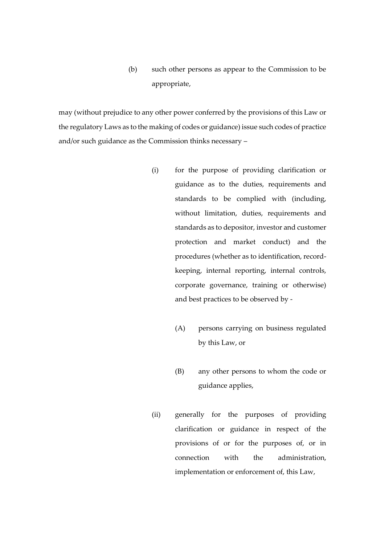(b) such other persons as appear to the Commission to be appropriate,

may (without prejudice to any other power conferred by the provisions of this Law or the regulatory Laws as to the making of codes or guidance) issue such codes of practice and/or such guidance as the Commission thinks necessary –

- (i) for the purpose of providing clarification or guidance as to the duties, requirements and standards to be complied with (including, without limitation, duties, requirements and standards as to depositor, investor and customer protection and market conduct) and the procedures (whether as to identification, recordkeeping, internal reporting, internal controls, corporate governance, training or otherwise) and best practices to be observed by -
	- (A) persons carrying on business regulated by this Law, or
	- (B) any other persons to whom the code or guidance applies,
- (ii) generally for the purposes of providing clarification or guidance in respect of the provisions of or for the purposes of, or in connection with the administration, implementation or enforcement of, this Law,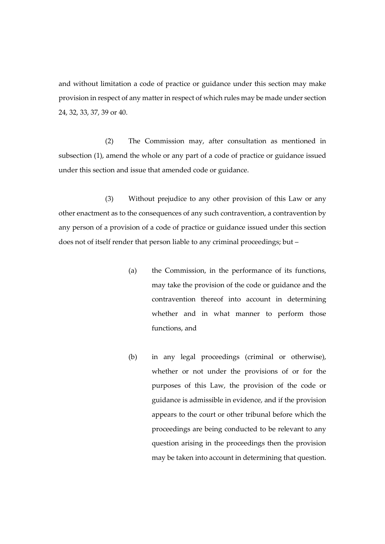and without limitation a code of practice or guidance under this section may make provision in respect of any matter in respect of which rules may be made under section 24, 32, 33, 37, 39 or 40.

(2) The Commission may, after consultation as mentioned in subsection (1), amend the whole or any part of a code of practice or guidance issued under this section and issue that amended code or guidance.

(3) Without prejudice to any other provision of this Law or any other enactment as to the consequences of any such contravention, a contravention by any person of a provision of a code of practice or guidance issued under this section does not of itself render that person liable to any criminal proceedings; but –

- (a) the Commission, in the performance of its functions, may take the provision of the code or guidance and the contravention thereof into account in determining whether and in what manner to perform those functions, and
- (b) in any legal proceedings (criminal or otherwise), whether or not under the provisions of or for the purposes of this Law, the provision of the code or guidance is admissible in evidence, and if the provision appears to the court or other tribunal before which the proceedings are being conducted to be relevant to any question arising in the proceedings then the provision may be taken into account in determining that question.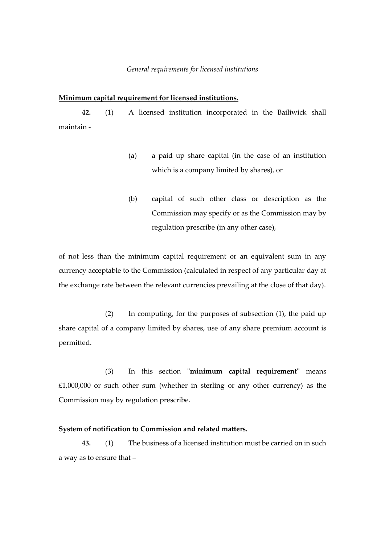#### *General requirements for licensed institutions*

#### **Minimum capital requirement for licensed institutions.**

**42.** (1) A licensed institution incorporated in the Bailiwick shall maintain -

- (a) a paid up share capital (in the case of an institution which is a company limited by shares), or
- (b) capital of such other class or description as the Commission may specify or as the Commission may by regulation prescribe (in any other case),

of not less than the minimum capital requirement or an equivalent sum in any currency acceptable to the Commission (calculated in respect of any particular day at the exchange rate between the relevant currencies prevailing at the close of that day).

(2) In computing, for the purposes of subsection (1), the paid up share capital of a company limited by shares, use of any share premium account is permitted.

(3) In this section **"minimum capital requirement"** means £1,000,000 or such other sum (whether in sterling or any other currency) as the Commission may by regulation prescribe.

## **System of notification to Commission and related matters.**

**43.** (1) The business of a licensed institution must be carried on in such a way as to ensure that –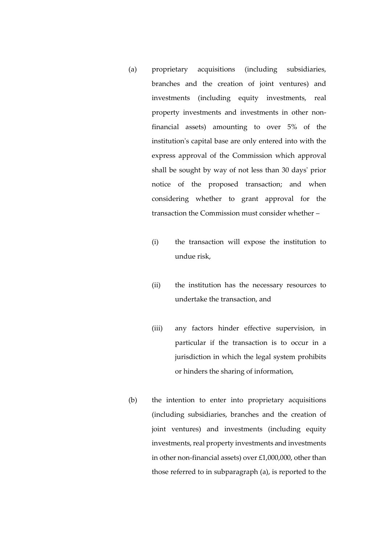- (a) proprietary acquisitions (including subsidiaries, branches and the creation of joint ventures) and investments (including equity investments, real property investments and investments in other nonfinancial assets) amounting to over 5% of the institution's capital base are only entered into with the express approval of the Commission which approval shall be sought by way of not less than 30 days' prior notice of the proposed transaction; and when considering whether to grant approval for the transaction the Commission must consider whether –
	- (i) the transaction will expose the institution to undue risk,
	- (ii) the institution has the necessary resources to undertake the transaction, and
	- (iii) any factors hinder effective supervision, in particular if the transaction is to occur in a jurisdiction in which the legal system prohibits or hinders the sharing of information,
- (b) the intention to enter into proprietary acquisitions (including subsidiaries, branches and the creation of joint ventures) and investments (including equity investments, real property investments and investments in other non-financial assets) over £1,000,000, other than those referred to in subparagraph (a), is reported to the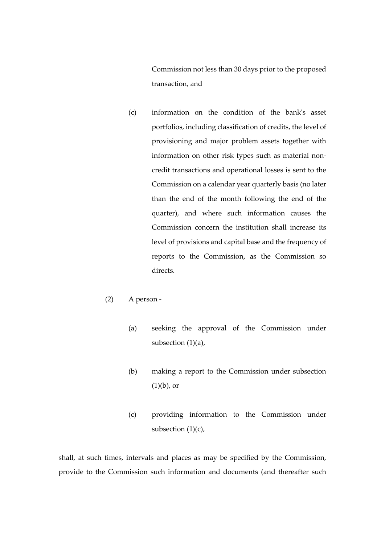Commission not less than 30 days prior to the proposed transaction, and

(c) information on the condition of the bank's asset portfolios, including classification of credits, the level of provisioning and major problem assets together with information on other risk types such as material noncredit transactions and operational losses is sent to the Commission on a calendar year quarterly basis (no later than the end of the month following the end of the quarter), and where such information causes the Commission concern the institution shall increase its level of provisions and capital base and the frequency of reports to the Commission, as the Commission so directs.

## (2) A person -

- (a) seeking the approval of the Commission under subsection (1)(a),
- (b) making a report to the Commission under subsection  $(1)(b)$ , or
- (c) providing information to the Commission under subsection  $(1)(c)$ ,

shall, at such times, intervals and places as may be specified by the Commission, provide to the Commission such information and documents (and thereafter such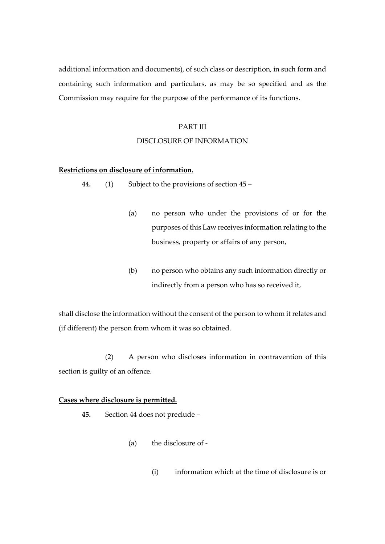additional information and documents), of such class or description, in such form and containing such information and particulars, as may be so specified and as the Commission may require for the purpose of the performance of its functions.

## PART III

## DISCLOSURE OF INFORMATION

# **Restrictions on disclosure of information.**

**44.** (1) Subject to the provisions of section 45 –

- (a) no person who under the provisions of or for the purposes of this Law receives information relating to the business, property or affairs of any person,
- (b) no person who obtains any such information directly or indirectly from a person who has so received it,

shall disclose the information without the consent of the person to whom it relates and (if different) the person from whom it was so obtained.

(2) A person who discloses information in contravention of this section is guilty of an offence.

#### **Cases where disclosure is permitted.**

- **45.** Section 44 does not preclude
	- (a) the disclosure of
		- (i) information which at the time of disclosure is or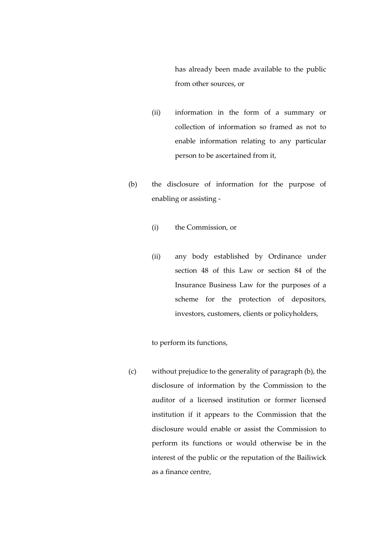has already been made available to the public from other sources, or

- (ii) information in the form of a summary or collection of information so framed as not to enable information relating to any particular person to be ascertained from it,
- (b) the disclosure of information for the purpose of enabling or assisting -
	- (i) the Commission, or
	- (ii) any body established by Ordinance under section 48 of this Law or section 84 of the Insurance Business Law for the purposes of a scheme for the protection of depositors, investors, customers, clients or policyholders,

to perform its functions,

(c) without prejudice to the generality of paragraph (b), the disclosure of information by the Commission to the auditor of a licensed institution or former licensed institution if it appears to the Commission that the disclosure would enable or assist the Commission to perform its functions or would otherwise be in the interest of the public or the reputation of the Bailiwick as a finance centre,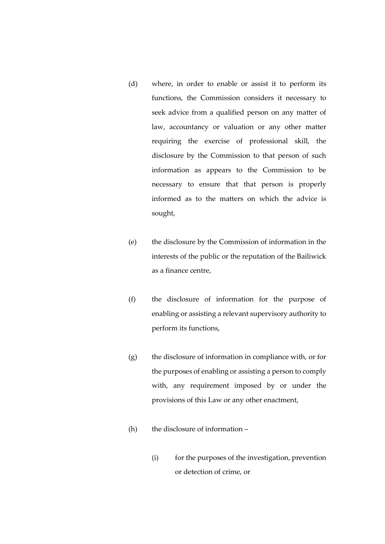- (d) where, in order to enable or assist it to perform its functions, the Commission considers it necessary to seek advice from a qualified person on any matter of law, accountancy or valuation or any other matter requiring the exercise of professional skill, the disclosure by the Commission to that person of such information as appears to the Commission to be necessary to ensure that that person is properly informed as to the matters on which the advice is sought,
- (e) the disclosure by the Commission of information in the interests of the public or the reputation of the Bailiwick as a finance centre,
- (f) the disclosure of information for the purpose of enabling or assisting a relevant supervisory authority to perform its functions,
- (g) the disclosure of information in compliance with, or for the purposes of enabling or assisting a person to comply with, any requirement imposed by or under the provisions of this Law or any other enactment,
- (h) the disclosure of information
	- (i) for the purposes of the investigation, prevention or detection of crime, or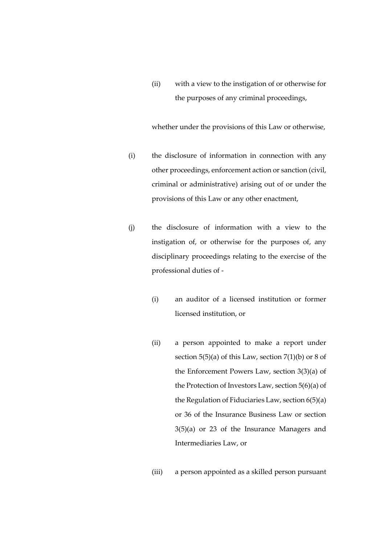(ii) with a view to the instigation of or otherwise for the purposes of any criminal proceedings,

whether under the provisions of this Law or otherwise,

- (i) the disclosure of information in connection with any other proceedings, enforcement action or sanction (civil, criminal or administrative) arising out of or under the provisions of this Law or any other enactment,
- (j) the disclosure of information with a view to the instigation of, or otherwise for the purposes of, any disciplinary proceedings relating to the exercise of the professional duties of -
	- (i) an auditor of a licensed institution or former licensed institution, or
	- (ii) a person appointed to make a report under section  $5(5)(a)$  of this Law, section  $7(1)(b)$  or 8 of the Enforcement Powers Law, section 3(3)(a) of the Protection of Investors Law, section 5(6)(a) of the Regulation of Fiduciaries Law, section 6(5)(a) or 36 of the Insurance Business Law or section 3(5)(a) or 23 of the Insurance Managers and Intermediaries Law, or
	- (iii) a person appointed as a skilled person pursuant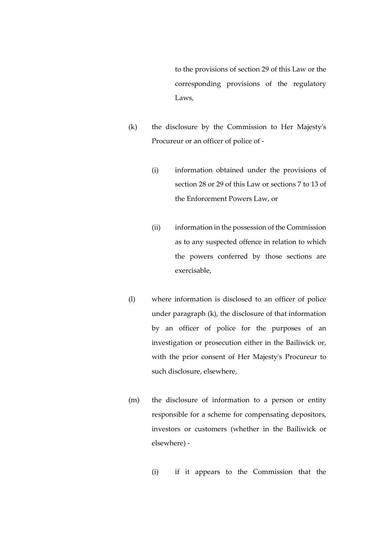to the provisions of section 29 of this Law or the corresponding provisions of the regulatory Laws,

- (k) the disclosure by the Commission to Her Majesty's Procureur or an officer of police of -
	- (i) information obtained under the provisions of section 28 or 29 of this Law or sections 7 to 13 of the Enforcement Powers Law, or
	- (ii) information in the possession of the Commission as to any suspected offence in relation to which the powers conferred by those sections are exercisable,
- (l) where information is disclosed to an officer of police under paragraph (k), the disclosure of that information by an officer of police for the purposes of an investigation or prosecution either in the Bailiwick or, with the prior consent of Her Majesty's Procureur to such disclosure, elsewhere,
- (m) the disclosure of information to a person or entity responsible for a scheme for compensating depositors, investors or customers (whether in the Bailiwick or elsewhere) -
	- (i) if it appears to the Commission that the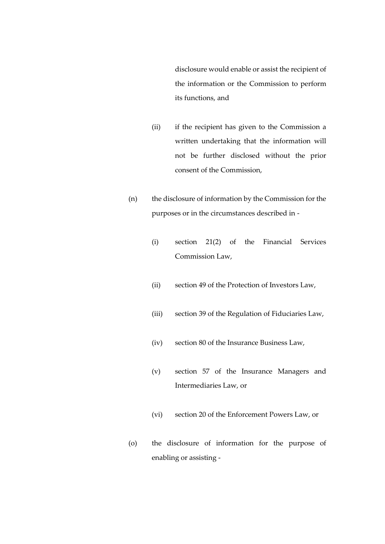disclosure would enable or assist the recipient of the information or the Commission to perform its functions, and

- (ii) if the recipient has given to the Commission a written undertaking that the information will not be further disclosed without the prior consent of the Commission,
- (n) the disclosure of information by the Commission for the purposes or in the circumstances described in -
	- (i) section 21(2) of the Financial Services Commission Law,
	- (ii) section 49 of the Protection of Investors Law,
	- (iii) section 39 of the Regulation of Fiduciaries Law,
	- (iv) section 80 of the Insurance Business Law,
	- (v) section 57 of the Insurance Managers and Intermediaries Law, or
	- (vi) section 20 of the Enforcement Powers Law, or
- (o) the disclosure of information for the purpose of enabling or assisting -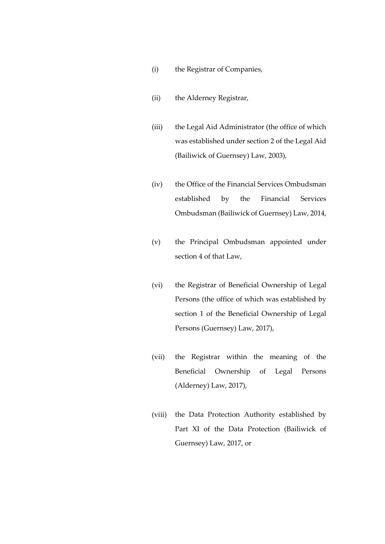- (i) the Registrar of Companies,
- (ii) the Alderney Registrar,
- (iii) the Legal Aid Administrator (the office of which was established under section 2 of the Legal Aid (Bailiwick of Guernsey) Law, 2003),
- (iv) the Office of the Financial Services Ombudsman established by the Financial Services Ombudsman (Bailiwick of Guernsey) Law, 2014,
- (v) the Principal Ombudsman appointed under section 4 of that Law,
- (vi) the Registrar of Beneficial Ownership of Legal Persons (the office of which was established by section 1 of the Beneficial Ownership of Legal Persons (Guernsey) Law, 2017),
- (vii) the Registrar within the meaning of the Beneficial Ownership of Legal Persons (Alderney) Law, 2017),
- (viii) the Data Protection Authority established by Part XI of the Data Protection (Bailiwick of Guernsey) Law, 2017, or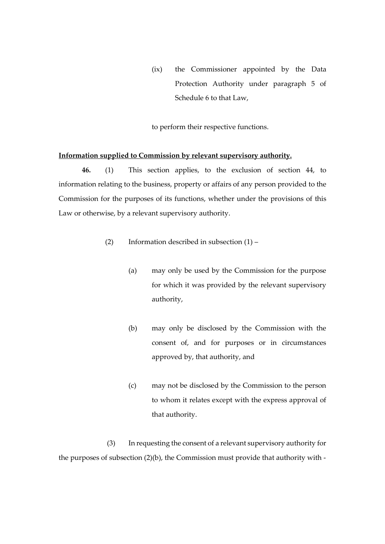(ix) the Commissioner appointed by the Data Protection Authority under paragraph 5 of Schedule 6 to that Law,

to perform their respective functions.

# **Information supplied to Commission by relevant supervisory authority.**

**46.** (1) This section applies, to the exclusion of section 44, to information relating to the business, property or affairs of any person provided to the Commission for the purposes of its functions, whether under the provisions of this Law or otherwise, by a relevant supervisory authority.

- (2) Information described in subsection (1)
	- (a) may only be used by the Commission for the purpose for which it was provided by the relevant supervisory authority,
	- (b) may only be disclosed by the Commission with the consent of, and for purposes or in circumstances approved by, that authority, and
	- (c) may not be disclosed by the Commission to the person to whom it relates except with the express approval of that authority.

(3) In requesting the consent of a relevant supervisory authority for the purposes of subsection (2)(b), the Commission must provide that authority with -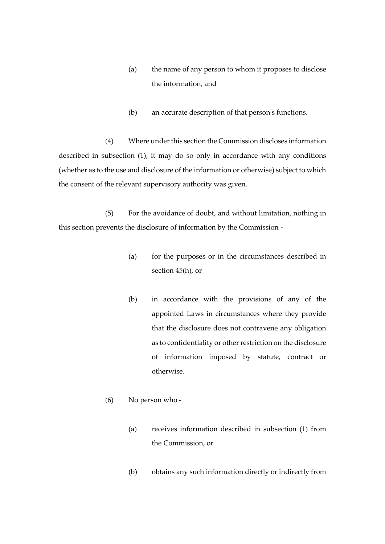- (a) the name of any person to whom it proposes to disclose the information, and
- (b) an accurate description of that person's functions.

(4) Where under this section the Commission discloses information described in subsection (1), it may do so only in accordance with any conditions (whether as to the use and disclosure of the information or otherwise) subject to which the consent of the relevant supervisory authority was given.

(5) For the avoidance of doubt, and without limitation, nothing in this section prevents the disclosure of information by the Commission -

- (a) for the purposes or in the circumstances described in section 45(h), or
- (b) in accordance with the provisions of any of the appointed Laws in circumstances where they provide that the disclosure does not contravene any obligation as to confidentiality or other restriction on the disclosure of information imposed by statute, contract or otherwise.
- (6) No person who
	- (a) receives information described in subsection (1) from the Commission, or
	- (b) obtains any such information directly or indirectly from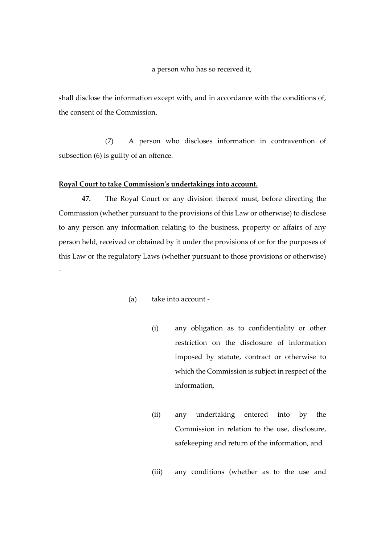a person who has so received it,

shall disclose the information except with, and in accordance with the conditions of, the consent of the Commission.

(7) A person who discloses information in contravention of subsection (6) is guilty of an offence.

#### **Royal Court to take Commission's undertakings into account.**

-

**47.** The Royal Court or any division thereof must, before directing the Commission (whether pursuant to the provisions of this Law or otherwise) to disclose to any person any information relating to the business, property or affairs of any person held, received or obtained by it under the provisions of or for the purposes of this Law or the regulatory Laws (whether pursuant to those provisions or otherwise)

- (a) take into account
	- (i) any obligation as to confidentiality or other restriction on the disclosure of information imposed by statute, contract or otherwise to which the Commission is subject in respect of the information,
	- (ii) any undertaking entered into by the Commission in relation to the use, disclosure, safekeeping and return of the information, and
	- (iii) any conditions (whether as to the use and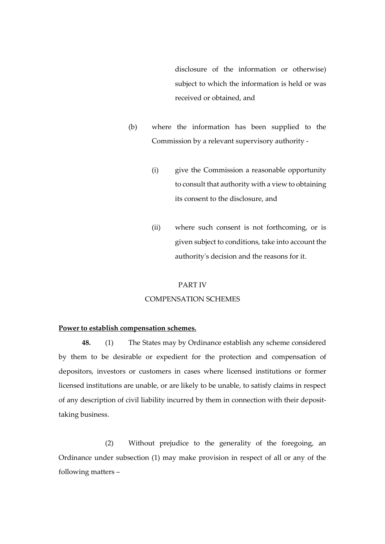disclosure of the information or otherwise) subject to which the information is held or was received or obtained, and

- (b) where the information has been supplied to the Commission by a relevant supervisory authority -
	- (i) give the Commission a reasonable opportunity to consult that authority with a view to obtaining its consent to the disclosure, and
	- (ii) where such consent is not forthcoming, or is given subject to conditions, take into account the authority's decision and the reasons for it.

#### PART IV

#### COMPENSATION SCHEMES

#### **Power to establish compensation schemes.**

**48.** (1) The States may by Ordinance establish any scheme considered by them to be desirable or expedient for the protection and compensation of depositors, investors or customers in cases where licensed institutions or former licensed institutions are unable, or are likely to be unable, to satisfy claims in respect of any description of civil liability incurred by them in connection with their deposittaking business.

(2) Without prejudice to the generality of the foregoing, an Ordinance under subsection (1) may make provision in respect of all or any of the following matters –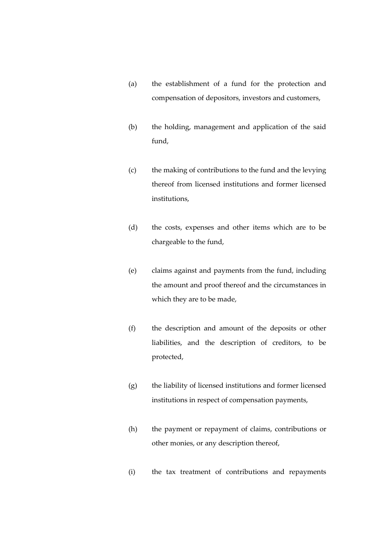- (a) the establishment of a fund for the protection and compensation of depositors, investors and customers,
- (b) the holding, management and application of the said fund,
- (c) the making of contributions to the fund and the levying thereof from licensed institutions and former licensed institutions,
- (d) the costs, expenses and other items which are to be chargeable to the fund,
- (e) claims against and payments from the fund, including the amount and proof thereof and the circumstances in which they are to be made,
- (f) the description and amount of the deposits or other liabilities, and the description of creditors, to be protected,
- (g) the liability of licensed institutions and former licensed institutions in respect of compensation payments,
- (h) the payment or repayment of claims, contributions or other monies, or any description thereof,
- (i) the tax treatment of contributions and repayments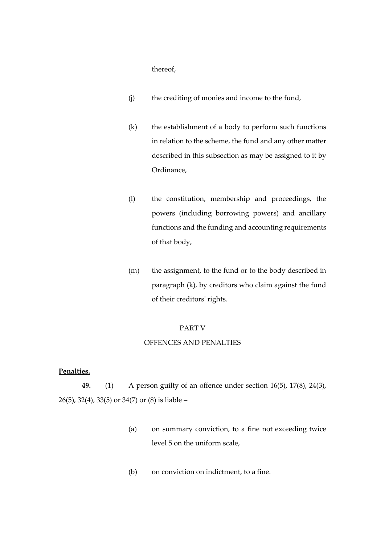thereof,

- (j) the crediting of monies and income to the fund,
- (k) the establishment of a body to perform such functions in relation to the scheme, the fund and any other matter described in this subsection as may be assigned to it by Ordinance,
- (l) the constitution, membership and proceedings, the powers (including borrowing powers) and ancillary functions and the funding and accounting requirements of that body,
- (m) the assignment, to the fund or to the body described in paragraph (k), by creditors who claim against the fund of their creditors' rights.

## PART V

#### OFFENCES AND PENALTIES

## **Penalties.**

**49.** (1) A person guilty of an offence under section 16(5), 17(8), 24(3), 26(5), 32(4), 33(5) or 34(7) or (8) is liable –

- (a) on summary conviction, to a fine not exceeding twice level 5 on the uniform scale,
- (b) on conviction on indictment, to a fine.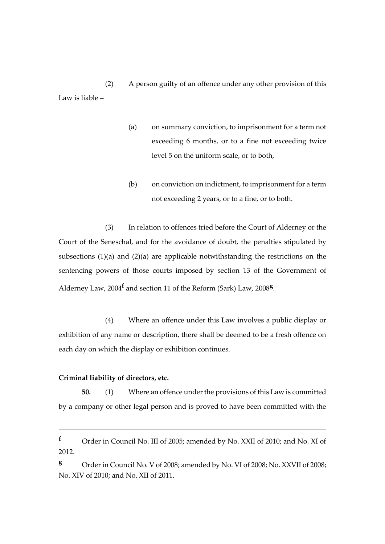(2) A person guilty of an offence under any other provision of this Law is liable –

- (a) on summary conviction, to imprisonment for a term not exceeding 6 months, or to a fine not exceeding twice level 5 on the uniform scale, or to both,
- (b) on conviction on indictment, to imprisonment for a term not exceeding 2 years, or to a fine, or to both.

(3) In relation to offences tried before the Court of Alderney or the Court of the Seneschal, and for the avoidance of doubt, the penalties stipulated by subsections (1)(a) and (2)(a) are applicable notwithstanding the restrictions on the sentencing powers of those courts imposed by section 13 of the Government of Alderney Law, 2004**<sup>f</sup>** and section 11 of the Reform (Sark) Law, 2008**<sup>g</sup>** .

(4) Where an offence under this Law involves a public display or exhibition of any name or description, there shall be deemed to be a fresh offence on each day on which the display or exhibition continues.

## **Criminal liability of directors, etc.**

1

**50.** (1) Where an offence under the provisions of this Law is committed by a company or other legal person and is proved to have been committed with the

**<sup>g</sup>** Order in Council No. V of 2008; amended by No. VI of 2008; No. XXVII of 2008; No. XIV of 2010; and No. XII of 2011.

**<sup>f</sup>** Order in Council No. III of 2005; amended by No. XXII of 2010; and No. XI of 2012.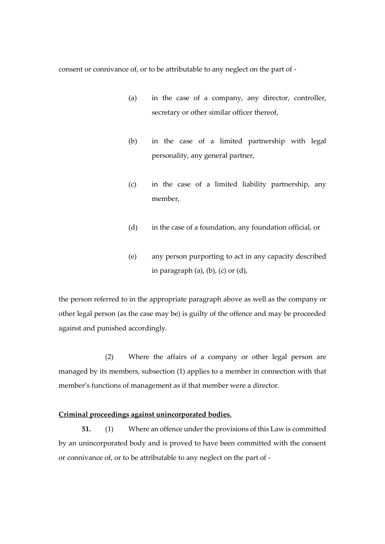consent or connivance of, or to be attributable to any neglect on the part of -

- (a) in the case of a company, any director, controller, secretary or other similar officer thereof,
- (b) in the case of a limited partnership with legal personality, any general partner,
- (c) in the case of a limited liability partnership, any member,
- (d) in the case of a foundation, any foundation official, or
- (e) any person purporting to act in any capacity described in paragraph  $(a)$ ,  $(b)$ ,  $(c)$  or  $(d)$ ,

the person referred to in the appropriate paragraph above as well as the company or other legal person (as the case may be) is guilty of the offence and may be proceeded against and punished accordingly.

(2) Where the affairs of a company or other legal person are managed by its members, subsection (1) applies to a member in connection with that member's functions of management as if that member were a director.

#### **Criminal proceedings against unincorporated bodies.**

**51.** (1) Where an offence under the provisions of this Law is committed by an unincorporated body and is proved to have been committed with the consent or connivance of, or to be attributable to any neglect on the part of -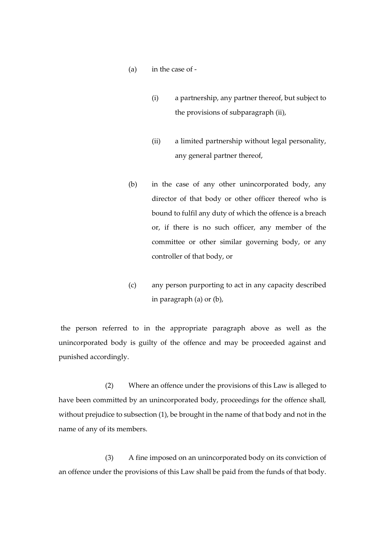- (a) in the case of
	- (i) a partnership, any partner thereof, but subject to the provisions of subparagraph (ii),
	- (ii) a limited partnership without legal personality, any general partner thereof,
- (b) in the case of any other unincorporated body, any director of that body or other officer thereof who is bound to fulfil any duty of which the offence is a breach or, if there is no such officer, any member of the committee or other similar governing body, or any controller of that body, or
- (c) any person purporting to act in any capacity described in paragraph (a) or (b),

the person referred to in the appropriate paragraph above as well as the unincorporated body is guilty of the offence and may be proceeded against and punished accordingly.

(2) Where an offence under the provisions of this Law is alleged to have been committed by an unincorporated body, proceedings for the offence shall, without prejudice to subsection (1), be brought in the name of that body and not in the name of any of its members.

(3) A fine imposed on an unincorporated body on its conviction of an offence under the provisions of this Law shall be paid from the funds of that body.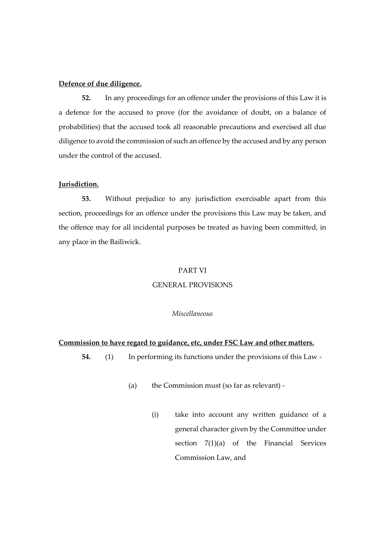## **Defence of due diligence.**

**52.** In any proceedings for an offence under the provisions of this Law it is a defence for the accused to prove (for the avoidance of doubt, on a balance of probabilities) that the accused took all reasonable precautions and exercised all due diligence to avoid the commission of such an offence by the accused and by any person under the control of the accused.

## **Jurisdiction.**

**53.** Without prejudice to any jurisdiction exercisable apart from this section, proceedings for an offence under the provisions this Law may be taken, and the offence may for all incidental purposes be treated as having been committed, in any place in the Bailiwick.

#### PART VI

#### GENERAL PROVISIONS

#### *Miscellaneous*

#### **Commission to have regard to guidance, etc, under FSC Law and other matters.**

- **54.** (1) In performing its functions under the provisions of this Law
	- (a) the Commission must (so far as relevant)
		- (i) take into account any written guidance of a general character given by the Committee under section 7(1)(a) of the Financial Services Commission Law, and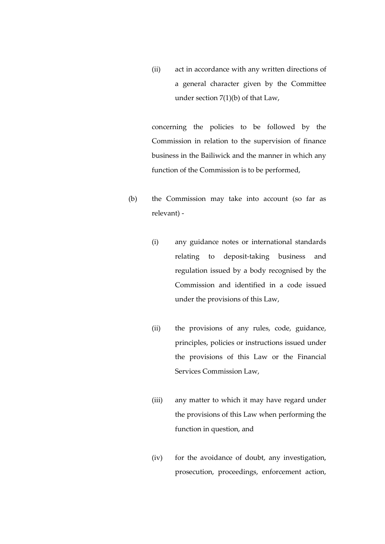(ii) act in accordance with any written directions of a general character given by the Committee under section 7(1)(b) of that Law,

concerning the policies to be followed by the Commission in relation to the supervision of finance business in the Bailiwick and the manner in which any function of the Commission is to be performed,

- (b) the Commission may take into account (so far as relevant) -
	- (i) any guidance notes or international standards relating to deposit-taking business and regulation issued by a body recognised by the Commission and identified in a code issued under the provisions of this Law,
	- (ii) the provisions of any rules, code, guidance, principles, policies or instructions issued under the provisions of this Law or the Financial Services Commission Law,
	- (iii) any matter to which it may have regard under the provisions of this Law when performing the function in question, and
	- (iv) for the avoidance of doubt, any investigation, prosecution, proceedings, enforcement action,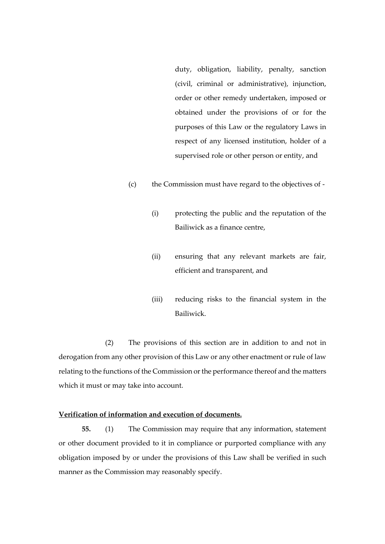duty, obligation, liability, penalty, sanction (civil, criminal or administrative), injunction, order or other remedy undertaken, imposed or obtained under the provisions of or for the purposes of this Law or the regulatory Laws in respect of any licensed institution, holder of a supervised role or other person or entity, and

- (c) the Commission must have regard to the objectives of
	- (i) protecting the public and the reputation of the Bailiwick as a finance centre,
	- (ii) ensuring that any relevant markets are fair, efficient and transparent, and
	- (iii) reducing risks to the financial system in the Bailiwick.

(2) The provisions of this section are in addition to and not in derogation from any other provision of this Law or any other enactment or rule of law relating to the functions of the Commission or the performance thereof and the matters which it must or may take into account.

# **Verification of information and execution of documents.**

**55.** (1) The Commission may require that any information, statement or other document provided to it in compliance or purported compliance with any obligation imposed by or under the provisions of this Law shall be verified in such manner as the Commission may reasonably specify.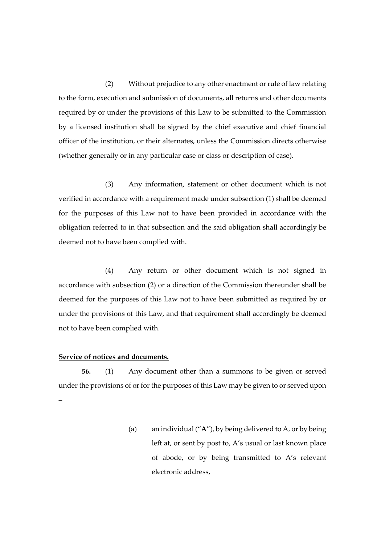(2) Without prejudice to any other enactment or rule of law relating to the form, execution and submission of documents, all returns and other documents required by or under the provisions of this Law to be submitted to the Commission by a licensed institution shall be signed by the chief executive and chief financial officer of the institution, or their alternates, unless the Commission directs otherwise (whether generally or in any particular case or class or description of case).

(3) Any information, statement or other document which is not verified in accordance with a requirement made under subsection (1) shall be deemed for the purposes of this Law not to have been provided in accordance with the obligation referred to in that subsection and the said obligation shall accordingly be deemed not to have been complied with.

(4) Any return or other document which is not signed in accordance with subsection (2) or a direction of the Commission thereunder shall be deemed for the purposes of this Law not to have been submitted as required by or under the provisions of this Law, and that requirement shall accordingly be deemed not to have been complied with.

#### **Service of notices and documents.**

**56.** (1) Any document other than a summons to be given or served under the provisions of or for the purposes of this Law may be given to or served upon –

> (a) an individual ("**A**"), by being delivered to A, or by being left at, or sent by post to, A's usual or last known place of abode, or by being transmitted to A's relevant electronic address,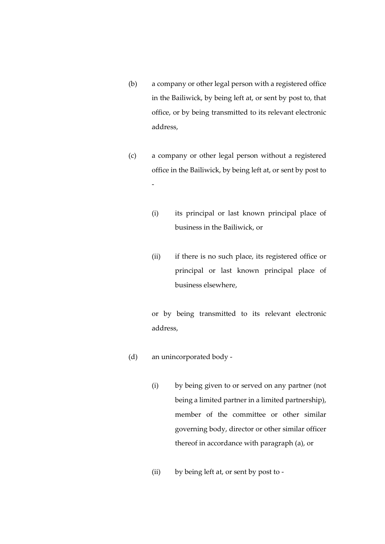- (b) a company or other legal person with a registered office in the Bailiwick, by being left at, or sent by post to, that office, or by being transmitted to its relevant electronic address,
- (c) a company or other legal person without a registered office in the Bailiwick, by being left at, or sent by post to -
	- (i) its principal or last known principal place of business in the Bailiwick, or
	- (ii) if there is no such place, its registered office or principal or last known principal place of business elsewhere,

or by being transmitted to its relevant electronic address,

- (d) an unincorporated body
	- (i) by being given to or served on any partner (not being a limited partner in a limited partnership), member of the committee or other similar governing body, director or other similar officer thereof in accordance with paragraph (a), or
	- (ii) by being left at, or sent by post to -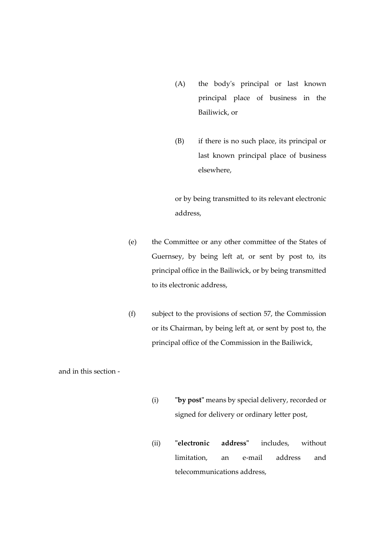- (A) the body's principal or last known principal place of business in the Bailiwick, or
- (B) if there is no such place, its principal or last known principal place of business elsewhere,

or by being transmitted to its relevant electronic address,

- (e) the Committee or any other committee of the States of Guernsey, by being left at, or sent by post to, its principal office in the Bailiwick, or by being transmitted to its electronic address,
- (f) subject to the provisions of section 57, the Commission or its Chairman, by being left at, or sent by post to, the principal office of the Commission in the Bailiwick,

and in this section -

- (i) **"by post"** means by special delivery, recorded or signed for delivery or ordinary letter post,
- (ii) **"electronic address"** includes, without limitation, an e-mail address and telecommunications address,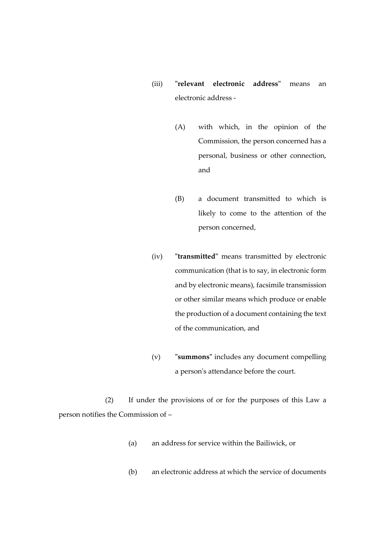- (iii) **"relevant electronic address"** means an electronic address -
	- (A) with which, in the opinion of the Commission, the person concerned has a personal, business or other connection, and
	- (B) a document transmitted to which is likely to come to the attention of the person concerned,
- (iv) **"transmitted"** means transmitted by electronic communication (that is to say, in electronic form and by electronic means), facsimile transmission or other similar means which produce or enable the production of a document containing the text of the communication, and
- (v) **"summons"** includes any document compelling a person's attendance before the court.

(2) If under the provisions of or for the purposes of this Law a person notifies the Commission of –

- (a) an address for service within the Bailiwick, or
- (b) an electronic address at which the service of documents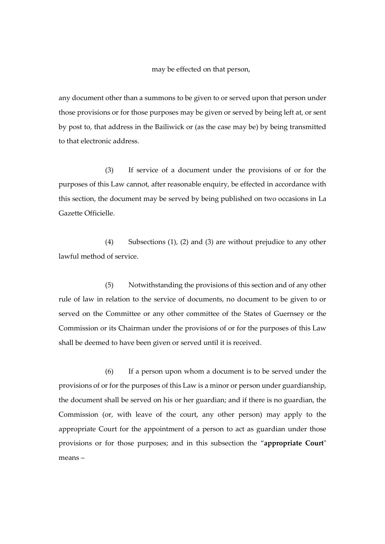may be effected on that person,

any document other than a summons to be given to or served upon that person under those provisions or for those purposes may be given or served by being left at, or sent by post to, that address in the Bailiwick or (as the case may be) by being transmitted to that electronic address.

(3) If service of a document under the provisions of or for the purposes of this Law cannot, after reasonable enquiry, be effected in accordance with this section, the document may be served by being published on two occasions in La Gazette Officielle.

(4) Subsections (1), (2) and (3) are without prejudice to any other lawful method of service.

(5) Notwithstanding the provisions of this section and of any other rule of law in relation to the service of documents, no document to be given to or served on the Committee or any other committee of the States of Guernsey or the Commission or its Chairman under the provisions of or for the purposes of this Law shall be deemed to have been given or served until it is received.

(6) If a person upon whom a document is to be served under the provisions of or for the purposes of this Law is a minor or person under guardianship, the document shall be served on his or her guardian; and if there is no guardian, the Commission (or, with leave of the court, any other person) may apply to the appropriate Court for the appointment of a person to act as guardian under those provisions or for those purposes; and in this subsection the "**appropriate Court**" means –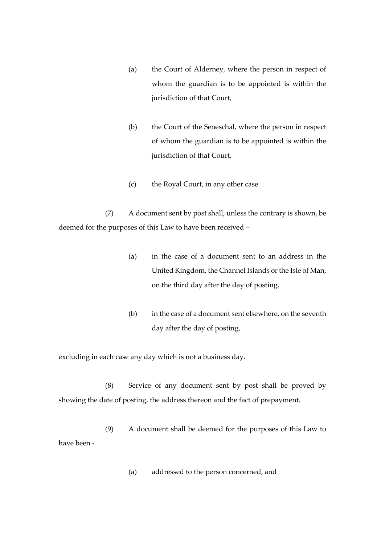- (a) the Court of Alderney, where the person in respect of whom the guardian is to be appointed is within the jurisdiction of that Court,
- (b) the Court of the Seneschal, where the person in respect of whom the guardian is to be appointed is within the jurisdiction of that Court,
- (c) the Royal Court, in any other case.

(7) A document sent by post shall, unless the contrary is shown, be deemed for the purposes of this Law to have been received –

- (a) in the case of a document sent to an address in the United Kingdom, the Channel Islands or the Isle of Man, on the third day after the day of posting,
- (b) in the case of a document sent elsewhere, on the seventh day after the day of posting,

excluding in each case any day which is not a business day.

(8) Service of any document sent by post shall be proved by showing the date of posting, the address thereon and the fact of prepayment.

(9) A document shall be deemed for the purposes of this Law to have been -

(a) addressed to the person concerned, and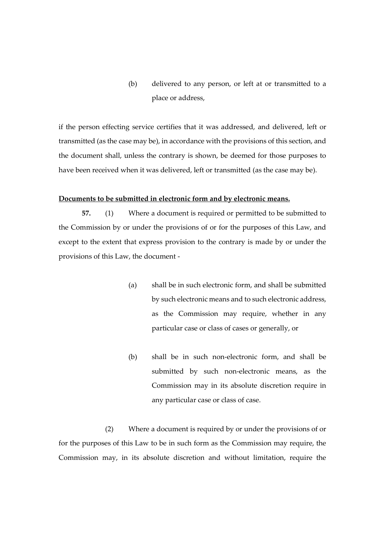(b) delivered to any person, or left at or transmitted to a place or address,

if the person effecting service certifies that it was addressed, and delivered, left or transmitted (as the case may be), in accordance with the provisions of this section, and the document shall, unless the contrary is shown, be deemed for those purposes to have been received when it was delivered, left or transmitted (as the case may be).

#### **Documents to be submitted in electronic form and by electronic means.**

**57.** (1) Where a document is required or permitted to be submitted to the Commission by or under the provisions of or for the purposes of this Law, and except to the extent that express provision to the contrary is made by or under the provisions of this Law, the document -

- (a) shall be in such electronic form, and shall be submitted by such electronic means and to such electronic address, as the Commission may require, whether in any particular case or class of cases or generally, or
- (b) shall be in such non-electronic form, and shall be submitted by such non-electronic means, as the Commission may in its absolute discretion require in any particular case or class of case.

(2) Where a document is required by or under the provisions of or for the purposes of this Law to be in such form as the Commission may require, the Commission may, in its absolute discretion and without limitation, require the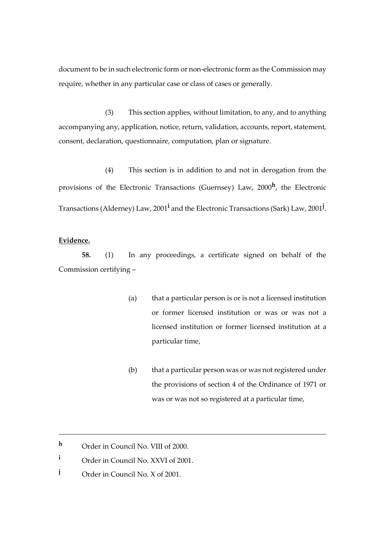document to be in such electronic form or non-electronic form as the Commission may require, whether in any particular case or class of cases or generally.

(3) This section applies, without limitation, to any, and to anything accompanying any, application, notice, return, validation, accounts, report, statement, consent, declaration, questionnaire, computation, plan or signature.

(4) This section is in addition to and not in derogation from the provisions of the Electronic Transactions (Guernsey) Law, 2000**<sup>h</sup>** , the Electronic Transactions (Alderney) Law, 2001**<sup>i</sup>** and the Electronic Transactions (Sark) Law, 2001**<sup>j</sup>** .

# **Evidence.**

1

**58.** (1) In any proceedings, a certificate signed on behalf of the Commission certifying –

- (a) that a particular person is or is not a licensed institution or former licensed institution or was or was not a licensed institution or former licensed institution at a particular time,
- (b) that a particular person was or was not registered under the provisions of section 4 of the Ordinance of 1971 or was or was not so registered at a particular time,

**j** Order in Council No. X of 2001.

**<sup>h</sup>** Order in Council No. VIII of 2000.

**<sup>i</sup>** Order in Council No. XXVI of 2001.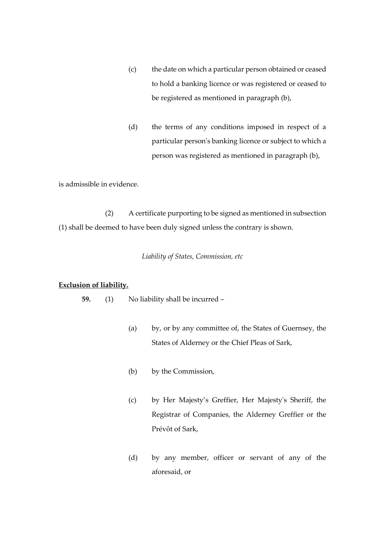- (c) the date on which a particular person obtained or ceased to hold a banking licence or was registered or ceased to be registered as mentioned in paragraph (b),
- (d) the terms of any conditions imposed in respect of a particular person's banking licence or subject to which a person was registered as mentioned in paragraph (b),

is admissible in evidence.

(2) A certificate purporting to be signed as mentioned in subsection (1) shall be deemed to have been duly signed unless the contrary is shown.

## *Liability of States, Commission, etc*

#### **Exclusion of liability.**

- **59.** (1) No liability shall be incurred
	- (a) by, or by any committee of, the States of Guernsey, the States of Alderney or the Chief Pleas of Sark,
	- (b) by the Commission,
	- (c) by Her Majesty's Greffier, Her Majesty's Sheriff, the Registrar of Companies, the Alderney Greffier or the Prévôt of Sark,
	- (d) by any member, officer or servant of any of the aforesaid, or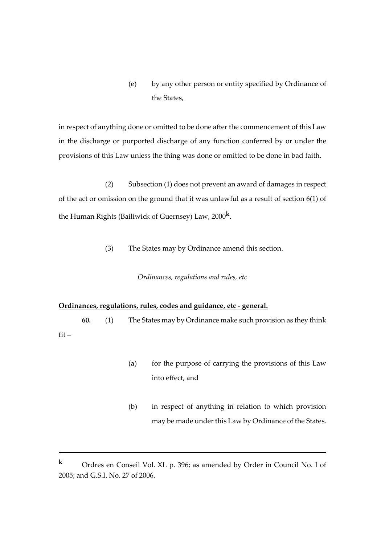(e) by any other person or entity specified by Ordinance of the States,

in respect of anything done or omitted to be done after the commencement of this Law in the discharge or purported discharge of any function conferred by or under the provisions of this Law unless the thing was done or omitted to be done in bad faith.

(2) Subsection (1) does not prevent an award of damages in respect of the act or omission on the ground that it was unlawful as a result of section 6(1) of the Human Rights (Bailiwick of Guernsey) Law, 2000**<sup>k</sup>** .

(3) The States may by Ordinance amend this section.

# *Ordinances, regulations and rules, etc*

# **Ordinances, regulations, rules, codes and guidance, etc - general.**

1

**60.** (1) The States may by Ordinance make such provision as they think fit –

- (a) for the purpose of carrying the provisions of this Law into effect, and
- (b) in respect of anything in relation to which provision may be made under this Law by Ordinance of the States.

**<sup>k</sup>** Ordres en Conseil Vol. XL p. 396; as amended by Order in Council No. I of 2005; and G.S.I. No. 27 of 2006.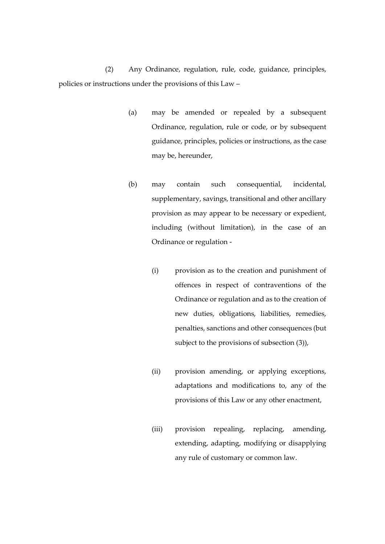(2) Any Ordinance, regulation, rule, code, guidance, principles, policies or instructions under the provisions of this Law –

- (a) may be amended or repealed by a subsequent Ordinance, regulation, rule or code, or by subsequent guidance, principles, policies or instructions, as the case may be, hereunder,
- (b) may contain such consequential, incidental, supplementary, savings, transitional and other ancillary provision as may appear to be necessary or expedient, including (without limitation), in the case of an Ordinance or regulation -
	- (i) provision as to the creation and punishment of offences in respect of contraventions of the Ordinance or regulation and as to the creation of new duties, obligations, liabilities, remedies, penalties, sanctions and other consequences (but subject to the provisions of subsection (3)),
	- (ii) provision amending, or applying exceptions, adaptations and modifications to, any of the provisions of this Law or any other enactment,
	- (iii) provision repealing, replacing, amending, extending, adapting, modifying or disapplying any rule of customary or common law.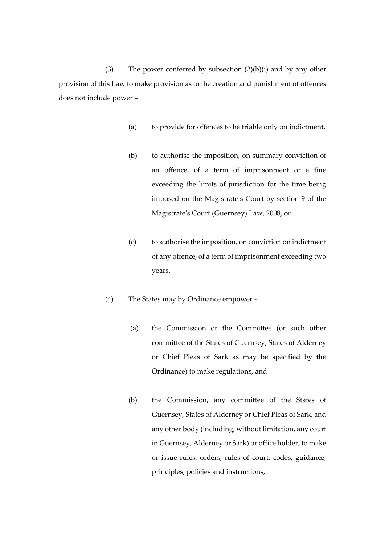(3) The power conferred by subsection  $(2)(b)(i)$  and by any other provision of this Law to make provision as to the creation and punishment of offences does not include power –

- (a) to provide for offences to be triable only on indictment,
- (b) to authorise the imposition, on summary conviction of an offence, of a term of imprisonment or a fine exceeding the limits of jurisdiction for the time being imposed on the Magistrate's Court by section 9 of the Magistrate's Court (Guernsey) Law, 2008, or
- (c) to authorise the imposition, on conviction on indictment of any offence, of a term of imprisonment exceeding two years.
- (4) The States may by Ordinance empower
	- (a) the Commission or the Committee (or such other committee of the States of Guernsey, States of Alderney or Chief Pleas of Sark as may be specified by the Ordinance) to make regulations, and
	- (b) the Commission, any committee of the States of Guernsey, States of Alderney or Chief Pleas of Sark, and any other body (including, without limitation, any court in Guernsey, Alderney or Sark) or office holder, to make or issue rules, orders, rules of court, codes, guidance, principles, policies and instructions,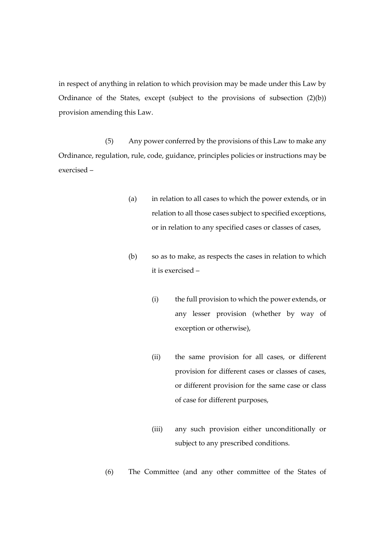in respect of anything in relation to which provision may be made under this Law by Ordinance of the States, except (subject to the provisions of subsection (2)(b)) provision amending this Law.

(5) Any power conferred by the provisions of this Law to make any Ordinance, regulation, rule, code, guidance, principles policies or instructions may be exercised –

- (a) in relation to all cases to which the power extends, or in relation to all those cases subject to specified exceptions, or in relation to any specified cases or classes of cases,
- (b) so as to make, as respects the cases in relation to which it is exercised –
	- (i) the full provision to which the power extends, or any lesser provision (whether by way of exception or otherwise),
	- (ii) the same provision for all cases, or different provision for different cases or classes of cases, or different provision for the same case or class of case for different purposes,
	- (iii) any such provision either unconditionally or subject to any prescribed conditions.
- (6) The Committee (and any other committee of the States of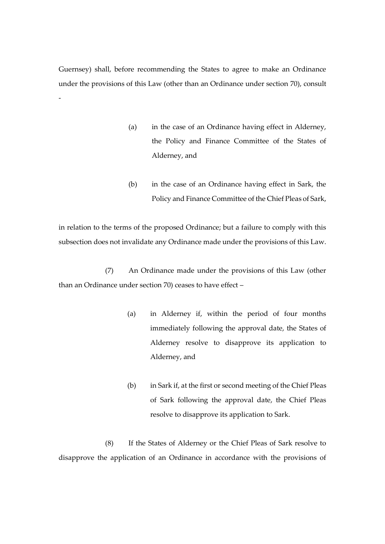Guernsey) shall, before recommending the States to agree to make an Ordinance under the provisions of this Law (other than an Ordinance under section 70), consult -

- (a) in the case of an Ordinance having effect in Alderney, the Policy and Finance Committee of the States of Alderney, and
- (b) in the case of an Ordinance having effect in Sark, the Policy and Finance Committee of the Chief Pleas of Sark,

in relation to the terms of the proposed Ordinance; but a failure to comply with this subsection does not invalidate any Ordinance made under the provisions of this Law.

(7) An Ordinance made under the provisions of this Law (other than an Ordinance under section 70) ceases to have effect –

- (a) in Alderney if, within the period of four months immediately following the approval date, the States of Alderney resolve to disapprove its application to Alderney, and
- (b) in Sark if, at the first or second meeting of the Chief Pleas of Sark following the approval date, the Chief Pleas resolve to disapprove its application to Sark.

(8) If the States of Alderney or the Chief Pleas of Sark resolve to disapprove the application of an Ordinance in accordance with the provisions of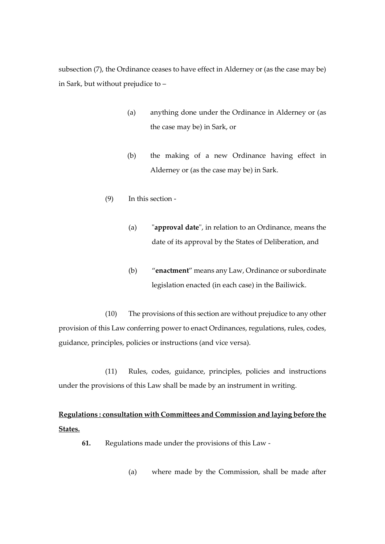subsection (7), the Ordinance ceases to have effect in Alderney or (as the case may be) in Sark, but without prejudice to –

- (a) anything done under the Ordinance in Alderney or (as the case may be) in Sark, or
- (b) the making of a new Ordinance having effect in Alderney or (as the case may be) in Sark.
- (9) In this section
	- (a) "**approval date**", in relation to an Ordinance, means the date of its approval by the States of Deliberation, and
	- (b) "**enactment**" means any Law, Ordinance or subordinate legislation enacted (in each case) in the Bailiwick.

(10) The provisions of this section are without prejudice to any other provision of this Law conferring power to enact Ordinances, regulations, rules, codes, guidance, principles, policies or instructions (and vice versa).

(11) Rules, codes, guidance, principles, policies and instructions under the provisions of this Law shall be made by an instrument in writing.

# **Regulations : consultation with Committees and Commission and laying before the States.**

**61.** Regulations made under the provisions of this Law -

(a) where made by the Commission, shall be made after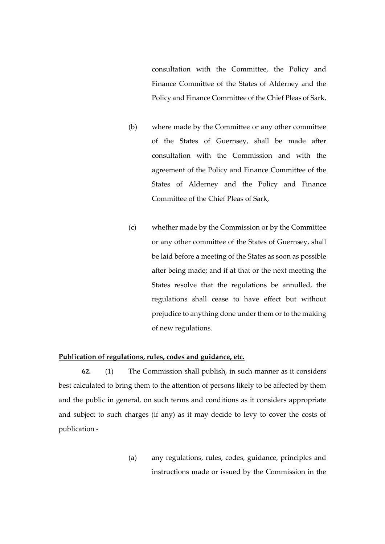consultation with the Committee, the Policy and Finance Committee of the States of Alderney and the Policy and Finance Committee of the Chief Pleas of Sark,

- (b) where made by the Committee or any other committee of the States of Guernsey, shall be made after consultation with the Commission and with the agreement of the Policy and Finance Committee of the States of Alderney and the Policy and Finance Committee of the Chief Pleas of Sark,
- (c) whether made by the Commission or by the Committee or any other committee of the States of Guernsey, shall be laid before a meeting of the States as soon as possible after being made; and if at that or the next meeting the States resolve that the regulations be annulled, the regulations shall cease to have effect but without prejudice to anything done under them or to the making of new regulations.

#### **Publication of regulations, rules, codes and guidance, etc.**

**62.** (1) The Commission shall publish, in such manner as it considers best calculated to bring them to the attention of persons likely to be affected by them and the public in general, on such terms and conditions as it considers appropriate and subject to such charges (if any) as it may decide to levy to cover the costs of publication -

> (a) any regulations, rules, codes, guidance, principles and instructions made or issued by the Commission in the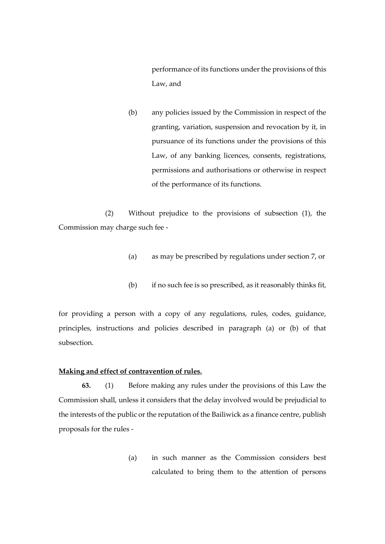performance of its functions under the provisions of this Law, and

(b) any policies issued by the Commission in respect of the granting, variation, suspension and revocation by it, in pursuance of its functions under the provisions of this Law, of any banking licences, consents, registrations, permissions and authorisations or otherwise in respect of the performance of its functions.

(2) Without prejudice to the provisions of subsection (1), the Commission may charge such fee -

- (a) as may be prescribed by regulations under section 7, or
- (b) if no such fee is so prescribed, as it reasonably thinks fit,

for providing a person with a copy of any regulations, rules, codes, guidance, principles, instructions and policies described in paragraph (a) or (b) of that subsection.

# **Making and effect of contravention of rules.**

**63.** (1) Before making any rules under the provisions of this Law the Commission shall, unless it considers that the delay involved would be prejudicial to the interests of the public or the reputation of the Bailiwick as a finance centre, publish proposals for the rules -

> (a) in such manner as the Commission considers best calculated to bring them to the attention of persons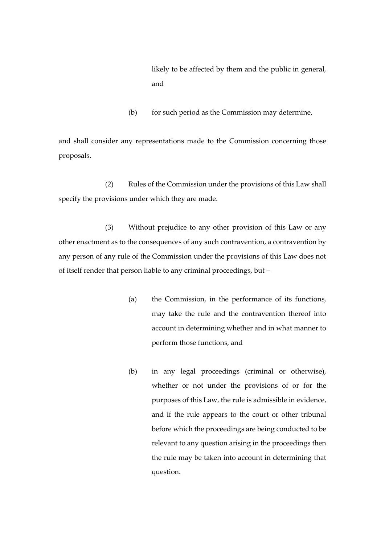likely to be affected by them and the public in general, and

(b) for such period as the Commission may determine,

and shall consider any representations made to the Commission concerning those proposals.

(2) Rules of the Commission under the provisions of this Law shall specify the provisions under which they are made.

(3) Without prejudice to any other provision of this Law or any other enactment as to the consequences of any such contravention, a contravention by any person of any rule of the Commission under the provisions of this Law does not of itself render that person liable to any criminal proceedings, but –

- (a) the Commission, in the performance of its functions, may take the rule and the contravention thereof into account in determining whether and in what manner to perform those functions, and
- (b) in any legal proceedings (criminal or otherwise), whether or not under the provisions of or for the purposes of this Law, the rule is admissible in evidence, and if the rule appears to the court or other tribunal before which the proceedings are being conducted to be relevant to any question arising in the proceedings then the rule may be taken into account in determining that question.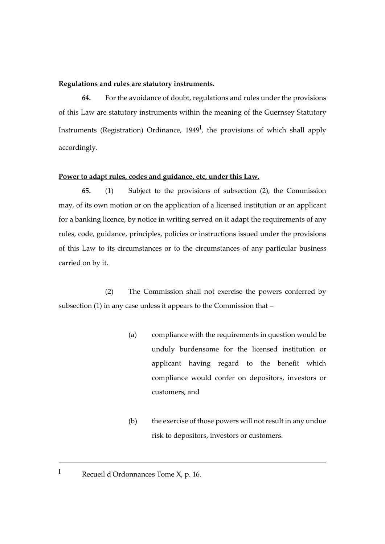## **Regulations and rules are statutory instruments.**

**64.** For the avoidance of doubt, regulations and rules under the provisions of this Law are statutory instruments within the meaning of the Guernsey Statutory Instruments (Registration) Ordinance, 1949**<sup>l</sup>** , the provisions of which shall apply accordingly.

#### **Power to adapt rules, codes and guidance, etc, under this Law.**

**65.** (1) Subject to the provisions of subsection (2), the Commission may, of its own motion or on the application of a licensed institution or an applicant for a banking licence, by notice in writing served on it adapt the requirements of any rules, code, guidance, principles, policies or instructions issued under the provisions of this Law to its circumstances or to the circumstances of any particular business carried on by it.

(2) The Commission shall not exercise the powers conferred by subsection (1) in any case unless it appears to the Commission that –

- (a) compliance with the requirements in question would be unduly burdensome for the licensed institution or applicant having regard to the benefit which compliance would confer on depositors, investors or customers, and
- (b) the exercise of those powers will not result in any undue risk to depositors, investors or customers.

<u>.</u>

**<sup>l</sup>** Recueil d'Ordonnances Tome X, p. 16.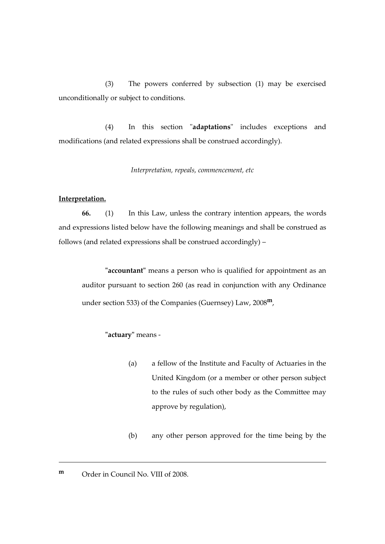(3) The powers conferred by subsection (1) may be exercised unconditionally or subject to conditions.

(4) In this section "**adaptations**" includes exceptions and modifications (and related expressions shall be construed accordingly).

*Interpretation, repeals, commencement, etc*

#### **Interpretation.**

**66.** (1) In this Law, unless the contrary intention appears, the words and expressions listed below have the following meanings and shall be construed as follows (and related expressions shall be construed accordingly) –

**"accountant"** means a person who is qualified for appointment as an auditor pursuant to section 260 (as read in conjunction with any Ordinance under section 533) of the Companies (Guernsey) Law, 2008**m**,

## **"actuary"** means -

- (a) a fellow of the Institute and Faculty of Actuaries in the United Kingdom (or a member or other person subject to the rules of such other body as the Committee may approve by regulation),
- (b) any other person approved for the time being by the

# **m** Order in Council No. VIII of 2008.

<u>.</u>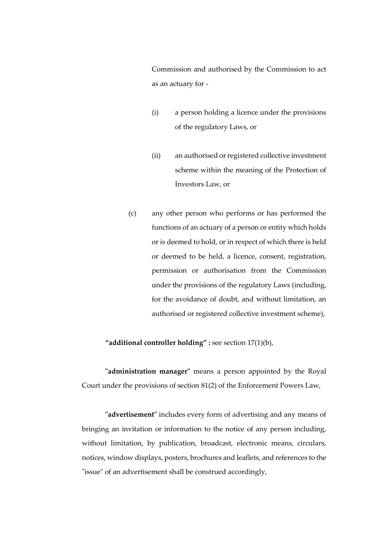Commission and authorised by the Commission to act as an actuary for -

- (i) a person holding a licence under the provisions of the regulatory Laws, or
- (ii) an authorised or registered collective investment scheme within the meaning of the Protection of Investors Law, or
- (c) any other person who performs or has performed the functions of an actuary of a person or entity which holds or is deemed to hold, or in respect of which there is held or deemed to be held, a licence, consent, registration, permission or authorisation from the Commission under the provisions of the regulatory Laws (including, for the avoidance of doubt, and without limitation, an authorised or registered collective investment scheme),

## **"additional controller holding" :** see section 17(1)(b),

**"administration manager"** means a person appointed by the Royal Court under the provisions of section 81(2) of the Enforcement Powers Law,

**"advertisement"** includes every form of advertising and any means of bringing an invitation or information to the notice of any person including, without limitation, by publication, broadcast, electronic means, circulars, notices, window displays, posters, brochures and leaflets, and references to the "issue" of an advertisement shall be construed accordingly,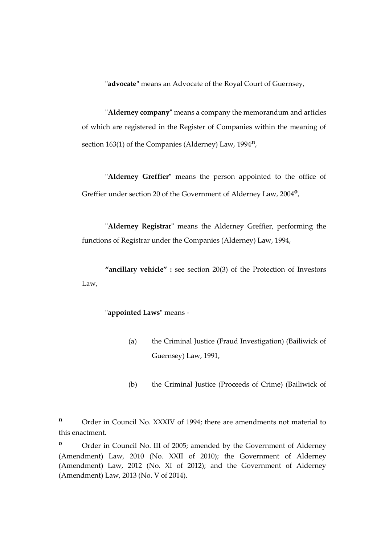**"advocate"** means an Advocate of the Royal Court of Guernsey,

**"Alderney company"** means a company the memorandum and articles of which are registered in the Register of Companies within the meaning of section 163(1) of the Companies (Alderney) Law, 1994**<sup>n</sup>** ,

**"Alderney Greffier"** means the person appointed to the office of Greffier under section 20 of the Government of Alderney Law, 2004**<sup>o</sup>** ,

**"Alderney Registrar"** means the Alderney Greffier, performing the functions of Registrar under the Companies (Alderney) Law, 1994,

**"ancillary vehicle" :** see section 20(3) of the Protection of Investors Law,

## **"appointed Laws"** means -

<u>.</u>

- (a) the Criminal Justice (Fraud Investigation) (Bailiwick of Guernsey) Law, 1991,
- (b) the Criminal Justice (Proceeds of Crime) (Bailiwick of

**<sup>n</sup>** Order in Council No. XXXIV of 1994; there are amendments not material to this enactment.

<sup>&</sup>lt;sup>o</sup> Order in Council No. III of 2005; amended by the Government of Alderney (Amendment) Law, 2010 (No. XXII of 2010); the Government of Alderney (Amendment) Law, 2012 (No. XI of 2012); and the Government of Alderney (Amendment) Law, 2013 (No. V of 2014).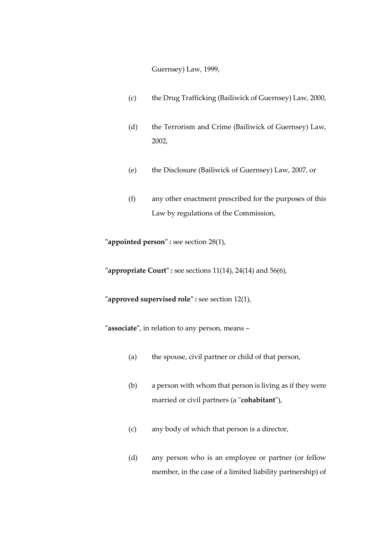Guernsey) Law, 1999,

- (c) the Drug Trafficking (Bailiwick of Guernsey) Law, 2000,
- (d) the Terrorism and Crime (Bailiwick of Guernsey) Law, 2002,
- (e) the Disclosure (Bailiwick of Guernsey) Law, 2007, or
- (f) any other enactment prescribed for the purposes of this Law by regulations of the Commission,

**"appointed person" :** see section 28(1),

**"appropriate Court" :** see sections 11(14), 24(14) and 56(6),

**"approved supervised role" :** see section 12(1),

**"associate"**, in relation to any person, means –

- (a) the spouse, civil partner or child of that person,
- (b) a person with whom that person is living as if they were married or civil partners (a "**cohabitant**"),
- (c) any body of which that person is a director,
- (d) any person who is an employee or partner (or fellow member, in the case of a limited liability partnership) of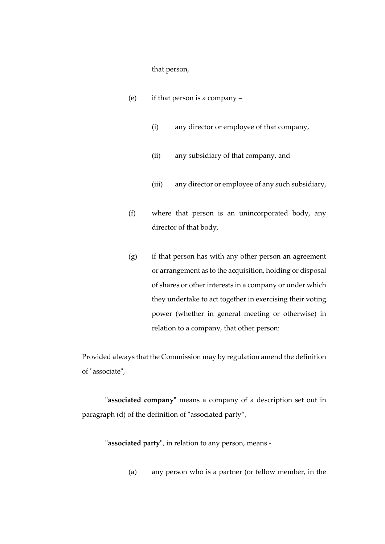that person,

- (e) if that person is a company
	- (i) any director or employee of that company,
	- (ii) any subsidiary of that company, and
	- (iii) any director or employee of any such subsidiary,
- (f) where that person is an unincorporated body, any director of that body,
- $(g)$  if that person has with any other person an agreement or arrangement as to the acquisition, holding or disposal of shares or other interests in a company or under which they undertake to act together in exercising their voting power (whether in general meeting or otherwise) in relation to a company, that other person:

Provided always that the Commission may by regulation amend the definition of "associate",

**"associated company"** means a company of a description set out in paragraph (d) of the definition of "associated party",

**"associated party"**, in relation to any person, means -

(a) any person who is a partner (or fellow member, in the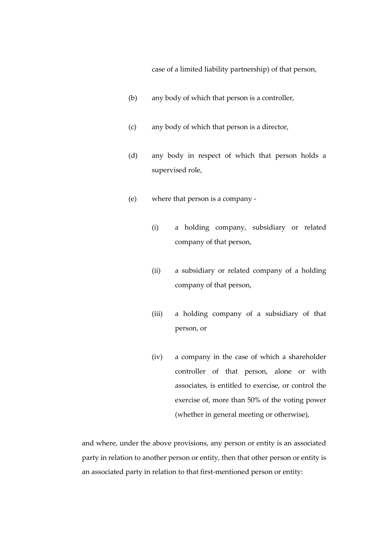case of a limited liability partnership) of that person,

- (b) any body of which that person is a controller,
- (c) any body of which that person is a director,
- (d) any body in respect of which that person holds a supervised role,
- (e) where that person is a company
	- (i) a holding company, subsidiary or related company of that person,
	- (ii) a subsidiary or related company of a holding company of that person,
	- (iii) a holding company of a subsidiary of that person, or
	- (iv) a company in the case of which a shareholder controller of that person, alone or with associates, is entitled to exercise, or control the exercise of, more than 50% of the voting power (whether in general meeting or otherwise),

and where, under the above provisions, any person or entity is an associated party in relation to another person or entity, then that other person or entity is an associated party in relation to that first-mentioned person or entity: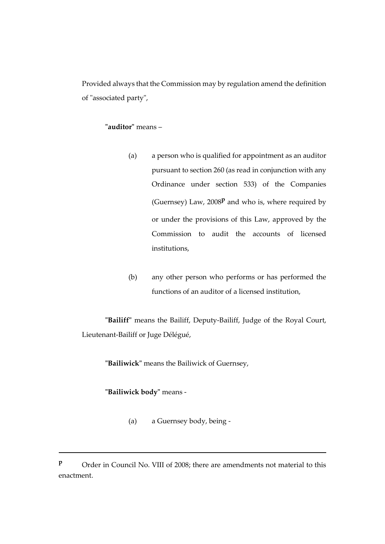Provided always that the Commission may by regulation amend the definition of "associated party",

# **"auditor"** means –

- (a) a person who is qualified for appointment as an auditor pursuant to section 260 (as read in conjunction with any Ordinance under section 533) of the Companies (Guernsey) Law, 2008**<sup>p</sup>** and who is, where required by or under the provisions of this Law, approved by the Commission to audit the accounts of licensed institutions,
- (b) any other person who performs or has performed the functions of an auditor of a licensed institution,

**"Bailiff"** means the Bailiff, Deputy-Bailiff, Judge of the Royal Court, Lieutenant-Bailiff or Juge Délégué,

**"Bailiwick"** means the Bailiwick of Guernsey,

# **"Bailiwick body"** means -

1

(a) a Guernsey body, being -

**P** Order in Council No. VIII of 2008; there are amendments not material to this enactment.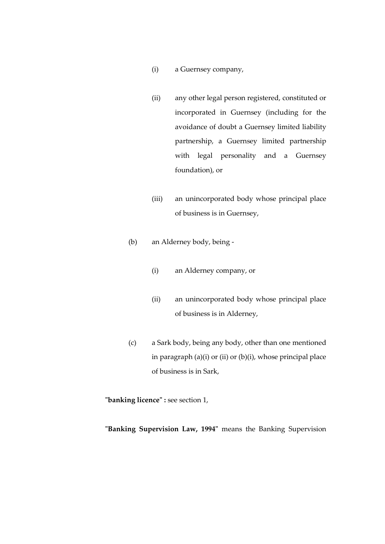- (i) a Guernsey company,
- (ii) any other legal person registered, constituted or incorporated in Guernsey (including for the avoidance of doubt a Guernsey limited liability partnership, a Guernsey limited partnership with legal personality and a Guernsey foundation), or
- (iii) an unincorporated body whose principal place of business is in Guernsey,
- (b) an Alderney body, being
	- (i) an Alderney company, or
	- (ii) an unincorporated body whose principal place of business is in Alderney,
- (c) a Sark body, being any body, other than one mentioned in paragraph  $(a)(i)$  or  $(ii)$  or  $(b)(i)$ , whose principal place of business is in Sark,

**"banking licence" :** see section 1,

**"Banking Supervision Law, 1994"** means the Banking Supervision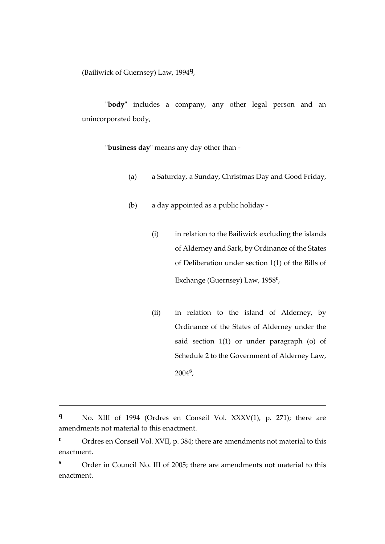(Bailiwick of Guernsey) Law, 1994**<sup>q</sup>** ,

**"body"** includes a company, any other legal person and an unincorporated body,

**"business day"** means any day other than -

- (a) a Saturday, a Sunday, Christmas Day and Good Friday,
- (b) a day appointed as a public holiday
	- (i) in relation to the Bailiwick excluding the islands of Alderney and Sark, by Ordinance of the States of Deliberation under section 1(1) of the Bills of Exchange (Guernsey) Law, 1958**<sup>r</sup>** ,
	- (ii) in relation to the island of Alderney, by Ordinance of the States of Alderney under the said section 1(1) or under paragraph (o) of Schedule 2 to the Government of Alderney Law, 2004**<sup>s</sup>** ,

**<sup>q</sup>** No. XIII of 1994 (Ordres en Conseil Vol. XXXV(1), p. 271); there are amendments not material to this enactment.

**<sup>r</sup>** Ordres en Conseil Vol. XVII, p. 384; there are amendments not material to this enactment.

**<sup>s</sup>** Order in Council No. III of 2005; there are amendments not material to this enactment.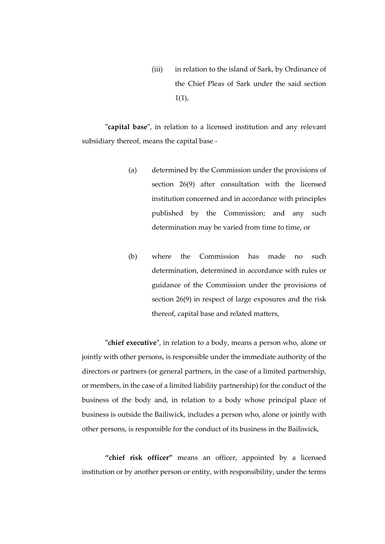(iii) in relation to the island of Sark, by Ordinance of the Chief Pleas of Sark under the said section  $1(1)$ ,

**"capital base"**, in relation to a licensed institution and any relevant subsidiary thereof, means the capital base -

- (a) determined by the Commission under the provisions of section 26(9) after consultation with the licensed institution concerned and in accordance with principles published by the Commission; and any such determination may be varied from time to time, or
- (b) where the Commission has made no such determination, determined in accordance with rules or guidance of the Commission under the provisions of section 26(9) in respect of large exposures and the risk thereof, capital base and related matters,

**"chief executive"**, in relation to a body, means a person who, alone or jointly with other persons, is responsible under the immediate authority of the directors or partners (or general partners, in the case of a limited partnership, or members, in the case of a limited liability partnership) for the conduct of the business of the body and, in relation to a body whose principal place of business is outside the Bailiwick, includes a person who, alone or jointly with other persons, is responsible for the conduct of its business in the Bailiwick,

**"chief risk officer"** means an officer, appointed by a licensed institution or by another person or entity, with responsibility, under the terms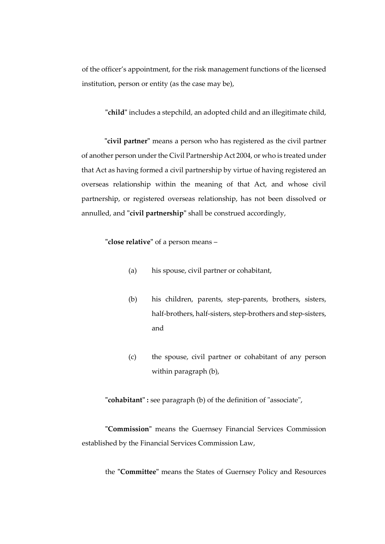of the officer's appointment, for the risk management functions of the licensed institution, person or entity (as the case may be),

**"child"** includes a stepchild, an adopted child and an illegitimate child,

**"civil partner"** means a person who has registered as the civil partner of another person under the Civil Partnership Act 2004, or who is treated under that Act as having formed a civil partnership by virtue of having registered an overseas relationship within the meaning of that Act, and whose civil partnership, or registered overseas relationship, has not been dissolved or annulled, and **"civil partnership"** shall be construed accordingly,

**"close relative"** of a person means –

- (a) his spouse, civil partner or cohabitant,
- (b) his children, parents, step-parents, brothers, sisters, half-brothers, half-sisters, step-brothers and step-sisters, and
- (c) the spouse, civil partner or cohabitant of any person within paragraph (b),

**"cohabitant" :** see paragraph (b) of the definition of "associate",

**"Commission"** means the Guernsey Financial Services Commission established by the Financial Services Commission Law,

the **"Committee"** means the States of Guernsey Policy and Resources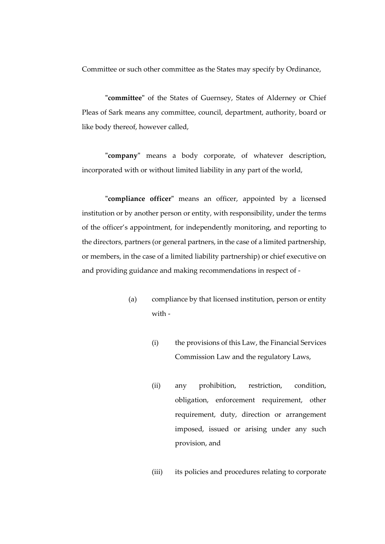Committee or such other committee as the States may specify by Ordinance,

**"committee"** of the States of Guernsey, States of Alderney or Chief Pleas of Sark means any committee, council, department, authority, board or like body thereof, however called,

**"company"** means a body corporate, of whatever description, incorporated with or without limited liability in any part of the world,

**"compliance officer"** means an officer, appointed by a licensed institution or by another person or entity, with responsibility, under the terms of the officer's appointment, for independently monitoring, and reporting to the directors, partners (or general partners, in the case of a limited partnership, or members, in the case of a limited liability partnership) or chief executive on and providing guidance and making recommendations in respect of -

- (a) compliance by that licensed institution, person or entity with -
	- (i) the provisions of this Law, the Financial Services Commission Law and the regulatory Laws,
	- (ii) any prohibition, restriction, condition, obligation, enforcement requirement, other requirement, duty, direction or arrangement imposed, issued or arising under any such provision, and

(iii) its policies and procedures relating to corporate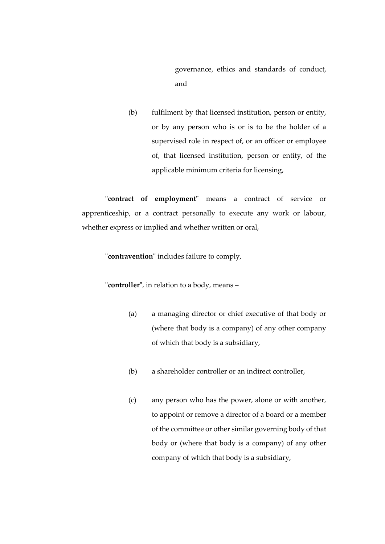governance, ethics and standards of conduct, and

(b) fulfilment by that licensed institution, person or entity, or by any person who is or is to be the holder of a supervised role in respect of, or an officer or employee of, that licensed institution, person or entity, of the applicable minimum criteria for licensing,

**"contract of employment"** means a contract of service or apprenticeship, or a contract personally to execute any work or labour, whether express or implied and whether written or oral,

**"contravention"** includes failure to comply,

**"controller"**, in relation to a body, means –

- (a) a managing director or chief executive of that body or (where that body is a company) of any other company of which that body is a subsidiary,
- (b) a shareholder controller or an indirect controller,
- (c) any person who has the power, alone or with another, to appoint or remove a director of a board or a member of the committee or other similar governing body of that body or (where that body is a company) of any other company of which that body is a subsidiary,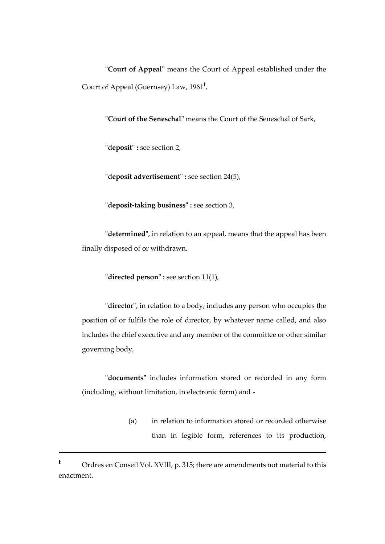**"Court of Appeal"** means the Court of Appeal established under the Court of Appeal (Guernsey) Law, 1961**<sup>t</sup>** ,

**"Court of the Seneschal"** means the Court of the Seneschal of Sark,

**"deposit" :** see section 2,

**"deposit advertisement" :** see section 24(5),

**"deposit-taking business" :** see section 3,

**"determined"**, in relation to an appeal, means that the appeal has been finally disposed of or withdrawn,

**"directed person" :** see section 11(1),

**"director"**, in relation to a body, includes any person who occupies the position of or fulfils the role of director, by whatever name called, and also includes the chief executive and any member of the committee or other similar governing body,

**"documents"** includes information stored or recorded in any form (including, without limitation, in electronic form) and -

> (a) in relation to information stored or recorded otherwise than in legible form, references to its production,

**<sup>t</sup>** Ordres en Conseil Vol. XVIII, p. 315; there are amendments not material to this enactment.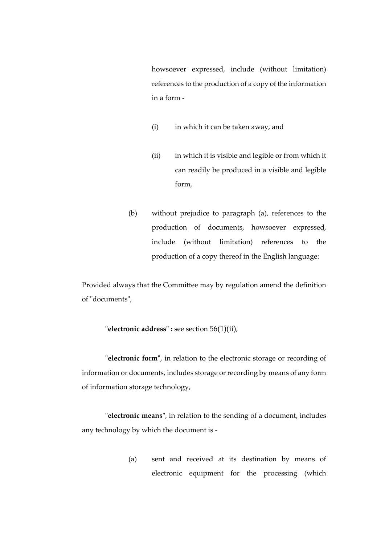howsoever expressed, include (without limitation) references to the production of a copy of the information in a form -

- (i) in which it can be taken away, and
- (ii) in which it is visible and legible or from which it can readily be produced in a visible and legible form,
- (b) without prejudice to paragraph (a), references to the production of documents, howsoever expressed, include (without limitation) references to the production of a copy thereof in the English language:

Provided always that the Committee may by regulation amend the definition of "documents",

**"electronic address" :** see section 56(1)(ii),

**"electronic form"**, in relation to the electronic storage or recording of information or documents, includes storage or recording by means of any form of information storage technology,

**"electronic means"**, in relation to the sending of a document, includes any technology by which the document is -

> (a) sent and received at its destination by means of electronic equipment for the processing (which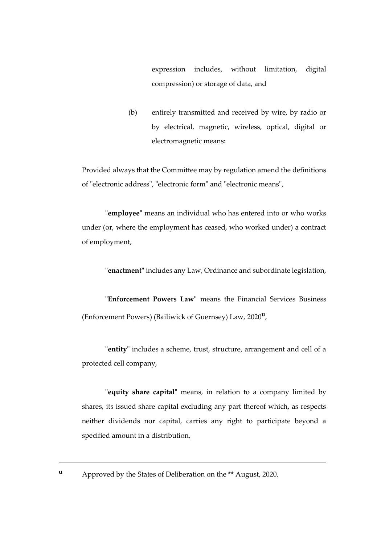expression includes, without limitation, digital compression) or storage of data, and

(b) entirely transmitted and received by wire, by radio or by electrical, magnetic, wireless, optical, digital or electromagnetic means:

Provided always that the Committee may by regulation amend the definitions of "electronic address", "electronic form" and "electronic means",

**"employee"** means an individual who has entered into or who works under (or, where the employment has ceased, who worked under) a contract of employment,

**"enactment"** includes any Law, Ordinance and subordinate legislation,

**"Enforcement Powers Law"** means the Financial Services Business (Enforcement Powers) (Bailiwick of Guernsey) Law, 2020**<sup>u</sup>** ,

**"entity"** includes a scheme, trust, structure, arrangement and cell of a protected cell company,

**"equity share capital"** means, in relation to a company limited by shares, its issued share capital excluding any part thereof which, as respects neither dividends nor capital, carries any right to participate beyond a specified amount in a distribution,

**<sup>u</sup>** Approved by the States of Deliberation on the \*\* August, 2020.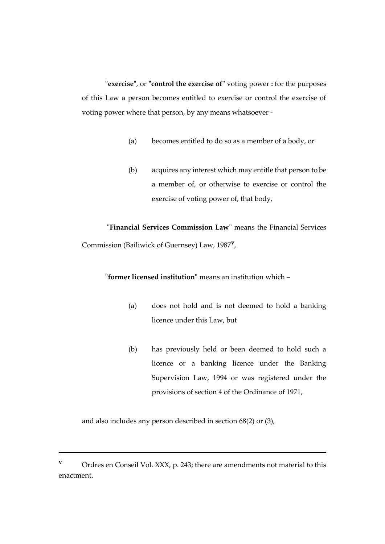**"exercise"**, or **"control the exercise of"** voting power **:** for the purposes of this Law a person becomes entitled to exercise or control the exercise of voting power where that person, by any means whatsoever -

- (a) becomes entitled to do so as a member of a body, or
- (b) acquires any interest which may entitle that person to be a member of, or otherwise to exercise or control the exercise of voting power of, that body,

**"Financial Services Commission Law"** means the Financial Services Commission (Bailiwick of Guernsey) Law, 1987**<sup>v</sup>** ,

**"former licensed institution"** means an institution which –

- (a) does not hold and is not deemed to hold a banking licence under this Law, but
- (b) has previously held or been deemed to hold such a licence or a banking licence under the Banking Supervision Law, 1994 or was registered under the provisions of section 4 of the Ordinance of 1971,

and also includes any person described in section 68(2) or (3),

**v** Ordres en Conseil Vol. XXX, p. 243; there are amendments not material to this enactment.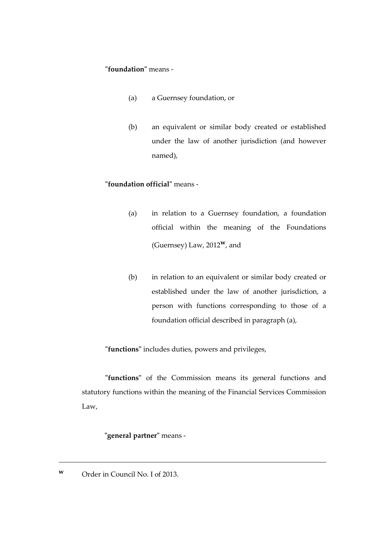#### **"foundation"** means -

- (a) a Guernsey foundation, or
- (b) an equivalent or similar body created or established under the law of another jurisdiction (and however named),

### **"foundation official"** means -

- (a) in relation to a Guernsey foundation, a foundation official within the meaning of the Foundations (Guernsey) Law, 2012**w**, and
- (b) in relation to an equivalent or similar body created or established under the law of another jurisdiction, a person with functions corresponding to those of a foundation official described in paragraph (a),

**"functions"** includes duties, powers and privileges,

**"functions"** of the Commission means its general functions and statutory functions within the meaning of the Financial Services Commission Law,

# **"general partner"** means -

**w** Order in Council No. I of 2013.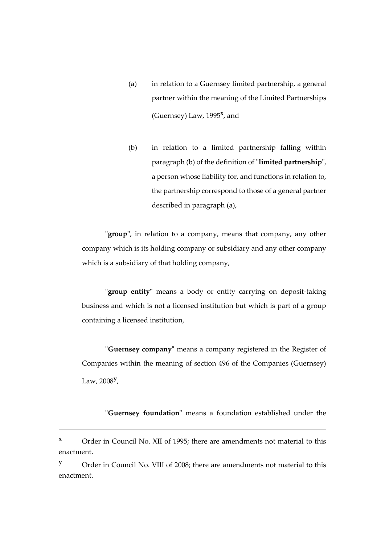- (a) in relation to a Guernsey limited partnership, a general partner within the meaning of the Limited Partnerships (Guernsey) Law, 1995**<sup>x</sup>** , and
- (b) in relation to a limited partnership falling within paragraph (b) of the definition of "**limited partnership**", a person whose liability for, and functions in relation to, the partnership correspond to those of a general partner described in paragraph (a),

**"group"**, in relation to a company, means that company, any other company which is its holding company or subsidiary and any other company which is a subsidiary of that holding company,

**"group entity"** means a body or entity carrying on deposit-taking business and which is not a licensed institution but which is part of a group containing a licensed institution,

**"Guernsey company"** means a company registered in the Register of Companies within the meaning of section 496 of the Companies (Guernsey) Law, 2008**<sup>y</sup>** ,

**"Guernsey foundation"** means a foundation established under the

**<sup>x</sup>** Order in Council No. XII of 1995; there are amendments not material to this enactment.

**y** Order in Council No. VIII of 2008; there are amendments not material to this enactment.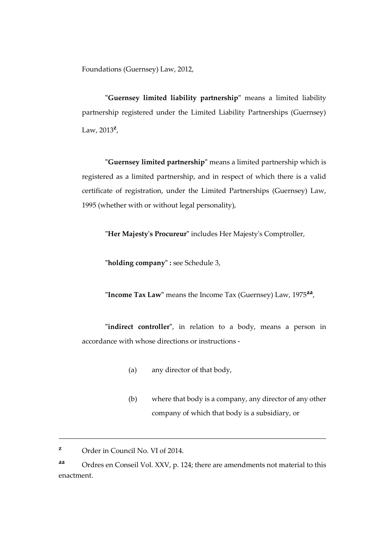Foundations (Guernsey) Law, 2012,

**"Guernsey limited liability partnership"** means a limited liability partnership registered under the Limited Liability Partnerships (Guernsey) Law, 2013**<sup>z</sup>** ,

**"Guernsey limited partnership"** means a limited partnership which is registered as a limited partnership, and in respect of which there is a valid certificate of registration, under the Limited Partnerships (Guernsey) Law, 1995 (whether with or without legal personality),

**"Her Majesty's Procureur"** includes Her Majesty's Comptroller,

**"holding company" :** see Schedule 3,

**"Income Tax Law"** means the Income Tax (Guernsey) Law, 1975**aa** ,

**"indirect controller"**, in relation to a body, means a person in accordance with whose directions or instructions -

- (a) any director of that body,
- (b) where that body is a company, any director of any other company of which that body is a subsidiary, or

**z** Order in Council No. VI of 2014.

**aa** Ordres en Conseil Vol. XXV, p. 124; there are amendments not material to this enactment.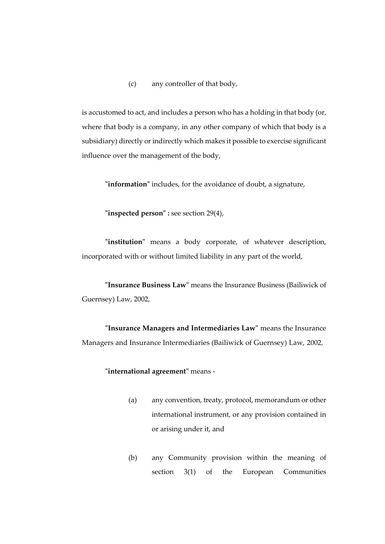(c) any controller of that body,

is accustomed to act, and includes a person who has a holding in that body (or, where that body is a company, in any other company of which that body is a subsidiary) directly or indirectly which makes it possible to exercise significant influence over the management of the body,

**"information"** includes, for the avoidance of doubt, a signature,

**"inspected person" :** see section 29(4),

**"institution"** means a body corporate, of whatever description, incorporated with or without limited liability in any part of the world,

**"Insurance Business Law"** means the Insurance Business (Bailiwick of Guernsey) Law, 2002,

**"Insurance Managers and Intermediaries Law"** means the Insurance Managers and Insurance Intermediaries (Bailiwick of Guernsey) Law, 2002,

#### **"international agreement"** means -

- (a) any convention, treaty, protocol, memorandum or other international instrument, or any provision contained in or arising under it, and
- (b) any Community provision within the meaning of section 3(1) of the European Communities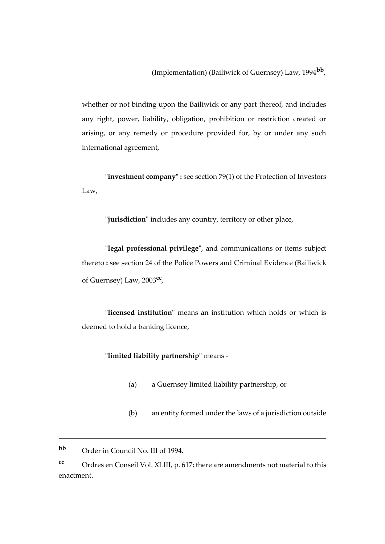(Implementation) (Bailiwick of Guernsey) Law, 1994**bb** ,

whether or not binding upon the Bailiwick or any part thereof, and includes any right, power, liability, obligation, prohibition or restriction created or arising, or any remedy or procedure provided for, by or under any such international agreement,

**"investment company" :** see section 79(1) of the Protection of Investors Law,

**"jurisdiction"** includes any country, territory or other place,

**"legal professional privilege"**, and communications or items subject thereto **:** see section 24 of the Police Powers and Criminal Evidence (Bailiwick of Guernsey) Law, 2003**cc** ,

**"licensed institution"** means an institution which holds or which is deemed to hold a banking licence,

**"limited liability partnership"** means -

- (a) a Guernsey limited liability partnership, or
- (b) an entity formed under the laws of a jurisdiction outside

**bb** Order in Council No. III of 1994.

1

**cc** Ordres en Conseil Vol. XLIII, p. 617; there are amendments not material to this enactment.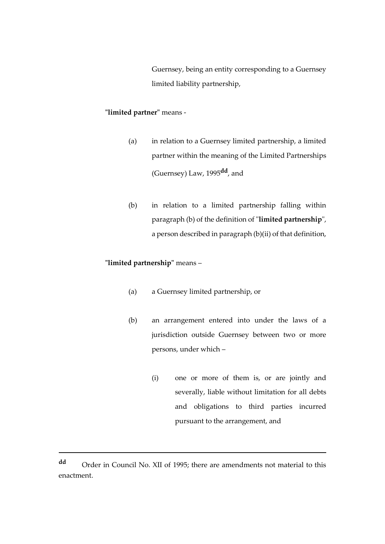Guernsey, being an entity corresponding to a Guernsey limited liability partnership,

# **"limited partner"** means -

- (a) in relation to a Guernsey limited partnership, a limited partner within the meaning of the Limited Partnerships (Guernsey) Law, 1995**dd**, and
- (b) in relation to a limited partnership falling within paragraph (b) of the definition of "**limited partnership**", a person described in paragraph (b)(ii) of that definition,

# **"limited partnership"** means –

- (a) a Guernsey limited partnership, or
- (b) an arrangement entered into under the laws of a jurisdiction outside Guernsey between two or more persons, under which –
	- (i) one or more of them is, or are jointly and severally, liable without limitation for all debts and obligations to third parties incurred pursuant to the arrangement, and

**dd** Order in Council No. XII of 1995; there are amendments not material to this enactment.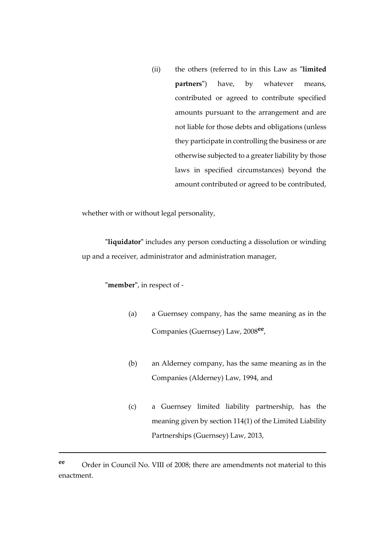(ii) the others (referred to in this Law as **"limited partners"**) have, by whatever means, contributed or agreed to contribute specified amounts pursuant to the arrangement and are not liable for those debts and obligations (unless they participate in controlling the business or are otherwise subjected to a greater liability by those laws in specified circumstances) beyond the amount contributed or agreed to be contributed,

whether with or without legal personality,

**"liquidator"** includes any person conducting a dissolution or winding up and a receiver, administrator and administration manager,

### **"member"**, in respect of -

1

- (a) a Guernsey company, has the same meaning as in the Companies (Guernsey) Law, 2008**ee** ,
- (b) an Alderney company, has the same meaning as in the Companies (Alderney) Law, 1994, and
- (c) a Guernsey limited liability partnership, has the meaning given by section 114(1) of the Limited Liability Partnerships (Guernsey) Law, 2013,

**ee** Order in Council No. VIII of 2008; there are amendments not material to this enactment.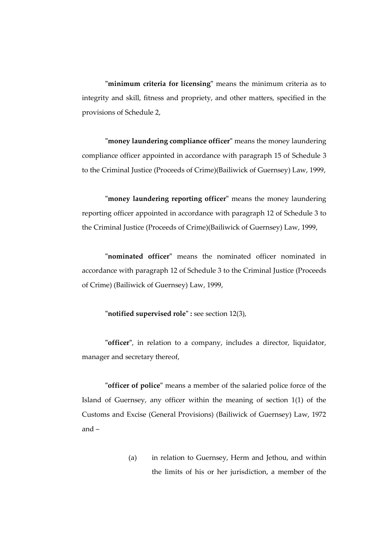**"minimum criteria for licensing"** means the minimum criteria as to integrity and skill, fitness and propriety, and other matters, specified in the provisions of Schedule 2,

**"money laundering compliance officer"** means the money laundering compliance officer appointed in accordance with paragraph 15 of Schedule 3 to the Criminal Justice (Proceeds of Crime)(Bailiwick of Guernsey) Law, 1999,

**"money laundering reporting officer"** means the money laundering reporting officer appointed in accordance with paragraph 12 of Schedule 3 to the Criminal Justice (Proceeds of Crime)(Bailiwick of Guernsey) Law, 1999,

**"nominated officer"** means the nominated officer nominated in accordance with paragraph 12 of Schedule 3 to the Criminal Justice (Proceeds of Crime) (Bailiwick of Guernsey) Law, 1999,

#### **"notified supervised role" :** see section 12(3),

**"officer"**, in relation to a company, includes a director, liquidator, manager and secretary thereof,

**"officer of police"** means a member of the salaried police force of the Island of Guernsey, any officer within the meaning of section 1(1) of the Customs and Excise (General Provisions) (Bailiwick of Guernsey) Law, 1972 and –

> (a) in relation to Guernsey, Herm and Jethou, and within the limits of his or her jurisdiction, a member of the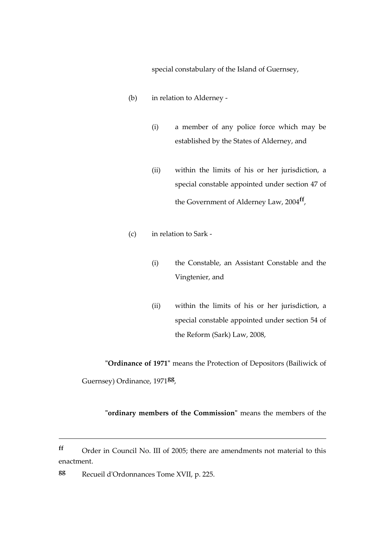special constabulary of the Island of Guernsey,

- (b) in relation to Alderney
	- (i) a member of any police force which may be established by the States of Alderney, and
	- (ii) within the limits of his or her jurisdiction, a special constable appointed under section 47 of the Government of Alderney Law, 2004**ff** ,
- (c) in relation to Sark
	- (i) the Constable, an Assistant Constable and the Vingtenier, and
	- (ii) within the limits of his or her jurisdiction, a special constable appointed under section 54 of the Reform (Sark) Law, 2008,

**"Ordinance of 1971"** means the Protection of Depositors (Bailiwick of Guernsey) Ordinance, 1971**gg** ,

**"ordinary members of the Commission"** means the members of the

**ff** Order in Council No. III of 2005; there are amendments not material to this enactment.

**gg** Recueil d'Ordonnances Tome XVII, p. 225.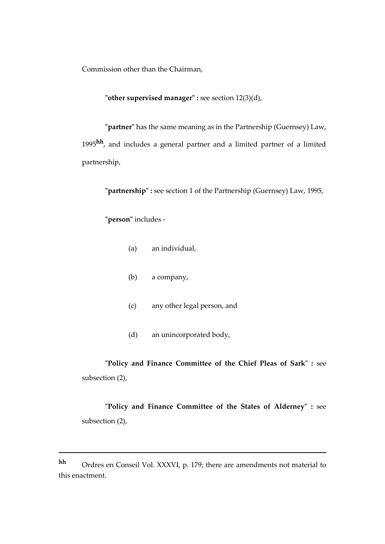Commission other than the Chairman,

**"other supervised manager" :** see section 12(3)(d),

**"partner"** has the same meaning as in the Partnership (Guernsey) Law, 1995**hh**, and includes a general partner and a limited partner of a limited partnership,

**"partnership" :** see section 1 of the Partnership (Guernsey) Law, 1995,

**"person"** includes -

1

- (a) an individual,
- (b) a company,
- (c) any other legal person, and
- (d) an unincorporated body,

**"Policy and Finance Committee of the Chief Pleas of Sark" :** see subsection (2),

**"Policy and Finance Committee of the States of Alderney" :** see subsection (2),

**hh** Ordres en Conseil Vol. XXXVI, p. 179; there are amendments not material to this enactment.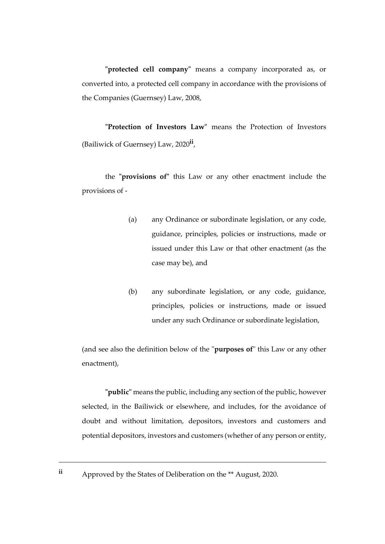**"protected cell company"** means a company incorporated as, or converted into, a protected cell company in accordance with the provisions of the Companies (Guernsey) Law, 2008,

**"Protection of Investors Law"** means the Protection of Investors (Bailiwick of Guernsey) Law, 2020**ii** ,

the **"provisions of"** this Law or any other enactment include the provisions of -

- (a) any Ordinance or subordinate legislation, or any code, guidance, principles, policies or instructions, made or issued under this Law or that other enactment (as the case may be), and
- (b) any subordinate legislation, or any code, guidance, principles, policies or instructions, made or issued under any such Ordinance or subordinate legislation,

(and see also the definition below of the "**purposes of**" this Law or any other enactment),

**"public"** means the public, including any section of the public, however selected, in the Bailiwick or elsewhere, and includes, for the avoidance of doubt and without limitation, depositors, investors and customers and potential depositors, investors and customers (whether of any person or entity,

**ii** Approved by the States of Deliberation on the \*\* August, 2020.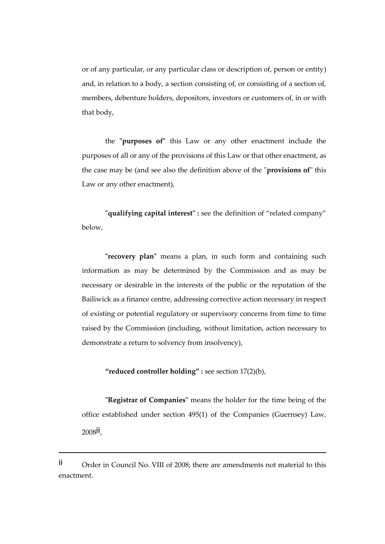or of any particular, or any particular class or description of, person or entity) and, in relation to a body, a section consisting of, or consisting of a section of, members, debenture holders, depositors, investors or customers of, in or with that body,

the **"purposes of"** this Law or any other enactment include the purposes of all or any of the provisions of this Law or that other enactment, as the case may be (and see also the definition above of the "**provisions of**" this Law or any other enactment),

**"qualifying capital interest" :** see the definition of "related company" below,

**"recovery plan"** means a plan, in such form and containing such information as may be determined by the Commission and as may be necessary or desirable in the interests of the public or the reputation of the Bailiwick as a finance centre, addressing corrective action necessary in respect of existing or potential regulatory or supervisory concerns from time to time raised by the Commission (including, without limitation, action necessary to demonstrate a return to solvency from insolvency),

**"reduced controller holding" :** see section 17(2)(b),

**"Registrar of Companies"** means the holder for the time being of the office established under section 495(1) of the Companies (Guernsey) Law, 2008**jj** ,

**jj** Order in Council No. VIII of 2008; there are amendments not material to this enactment.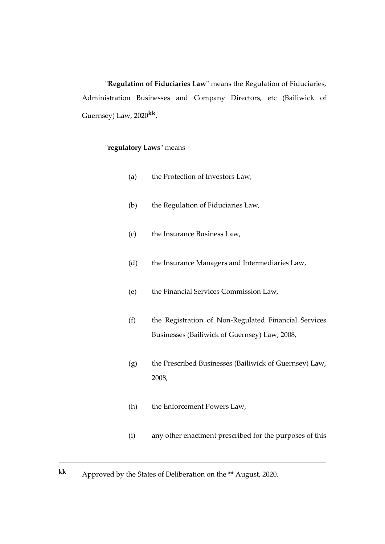**"Regulation of Fiduciaries Law"** means the Regulation of Fiduciaries, Administration Businesses and Company Directors, etc (Bailiwick of Guernsey) Law, 2020**kk** ,

# **"regulatory Laws"** means –

- (a) the Protection of Investors Law,
- (b) the Regulation of Fiduciaries Law,
- (c) the Insurance Business Law,
- (d) the Insurance Managers and Intermediaries Law,
- (e) the Financial Services Commission Law,
- (f) the Registration of Non-Regulated Financial Services Businesses (Bailiwick of Guernsey) Law, 2008,
- (g) the Prescribed Businesses (Bailiwick of Guernsey) Law, 2008,
- (h) the Enforcement Powers Law,
- (i) any other enactment prescribed for the purposes of this

**kk** Approved by the States of Deliberation on the \*\* August, 2020.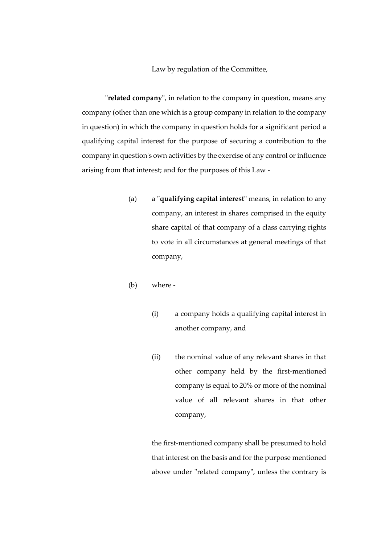Law by regulation of the Committee,

**"related company"**, in relation to the company in question, means any company (other than one which is a group company in relation to the company in question) in which the company in question holds for a significant period a qualifying capital interest for the purpose of securing a contribution to the company in question's own activities by the exercise of any control or influence arising from that interest; and for the purposes of this Law -

- (a) a **"qualifying capital interest"** means, in relation to any company, an interest in shares comprised in the equity share capital of that company of a class carrying rights to vote in all circumstances at general meetings of that company,
- (b) where
	- (i) a company holds a qualifying capital interest in another company, and
	- (ii) the nominal value of any relevant shares in that other company held by the first-mentioned company is equal to 20% or more of the nominal value of all relevant shares in that other company,

the first-mentioned company shall be presumed to hold that interest on the basis and for the purpose mentioned above under "related company", unless the contrary is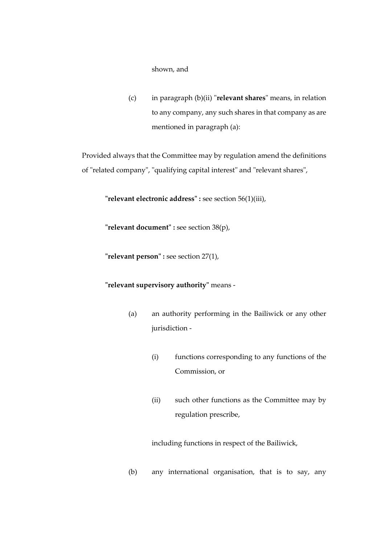#### shown, and

(c) in paragraph (b)(ii) "**relevant shares**" means, in relation to any company, any such shares in that company as are mentioned in paragraph (a):

Provided always that the Committee may by regulation amend the definitions of "related company", "qualifying capital interest" and "relevant shares",

**"relevant electronic address" :** see section 56(1)(iii),

**"relevant document" :** see section 38(p),

**"relevant person" :** see section 27(1),

**"relevant supervisory authority"** means -

- (a) an authority performing in the Bailiwick or any other jurisdiction -
	- (i) functions corresponding to any functions of the Commission, or
	- (ii) such other functions as the Committee may by regulation prescribe,

including functions in respect of the Bailiwick,

(b) any international organisation, that is to say, any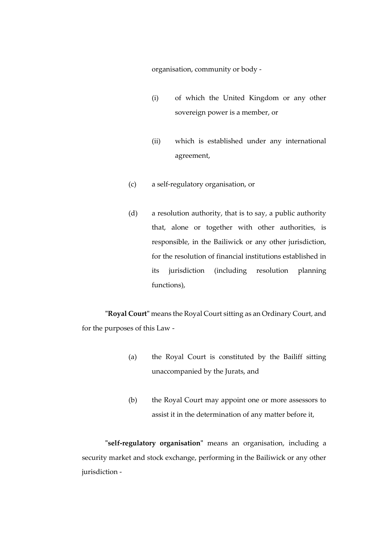organisation, community or body -

- (i) of which the United Kingdom or any other sovereign power is a member, or
- (ii) which is established under any international agreement,
- (c) a self-regulatory organisation, or
- (d) a resolution authority, that is to say, a public authority that, alone or together with other authorities, is responsible, in the Bailiwick or any other jurisdiction, for the resolution of financial institutions established in its jurisdiction (including resolution planning functions),

**"Royal Court"** means the Royal Court sitting as an Ordinary Court, and for the purposes of this Law -

- (a) the Royal Court is constituted by the Bailiff sitting unaccompanied by the Jurats, and
- (b) the Royal Court may appoint one or more assessors to assist it in the determination of any matter before it,

**"self-regulatory organisation"** means an organisation, including a security market and stock exchange, performing in the Bailiwick or any other jurisdiction -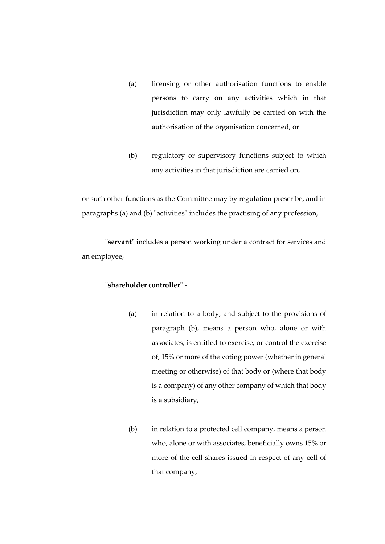- (a) licensing or other authorisation functions to enable persons to carry on any activities which in that jurisdiction may only lawfully be carried on with the authorisation of the organisation concerned, or
- (b) regulatory or supervisory functions subject to which any activities in that jurisdiction are carried on,

or such other functions as the Committee may by regulation prescribe, and in paragraphs (a) and (b) "activities" includes the practising of any profession,

**"servant"** includes a person working under a contract for services and an employee,

### **"shareholder controller"** -

- (a) in relation to a body, and subject to the provisions of paragraph (b), means a person who, alone or with associates, is entitled to exercise, or control the exercise of, 15% or more of the voting power (whether in general meeting or otherwise) of that body or (where that body is a company) of any other company of which that body is a subsidiary,
- (b) in relation to a protected cell company, means a person who, alone or with associates, beneficially owns 15% or more of the cell shares issued in respect of any cell of that company,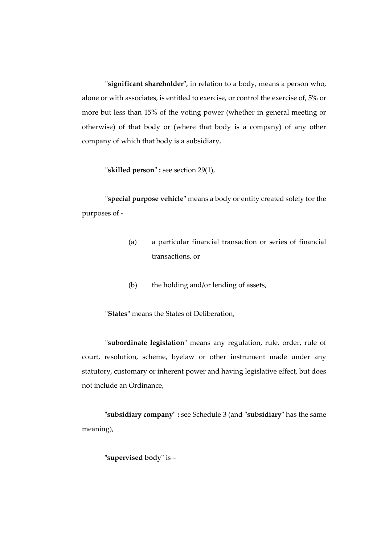**"significant shareholder"**, in relation to a body, means a person who, alone or with associates, is entitled to exercise, or control the exercise of, 5% or more but less than 15% of the voting power (whether in general meeting or otherwise) of that body or (where that body is a company) of any other company of which that body is a subsidiary,

**"skilled person" :** see section 29(1),

**"special purpose vehicle"** means a body or entity created solely for the purposes of -

- (a) a particular financial transaction or series of financial transactions, or
- (b) the holding and/or lending of assets,

**"States"** means the States of Deliberation,

**"subordinate legislation"** means any regulation, rule, order, rule of court, resolution, scheme, byelaw or other instrument made under any statutory, customary or inherent power and having legislative effect, but does not include an Ordinance,

**"subsidiary company" :** see Schedule 3 (and **"subsidiary"** has the same meaning),

**"supervised body"** is –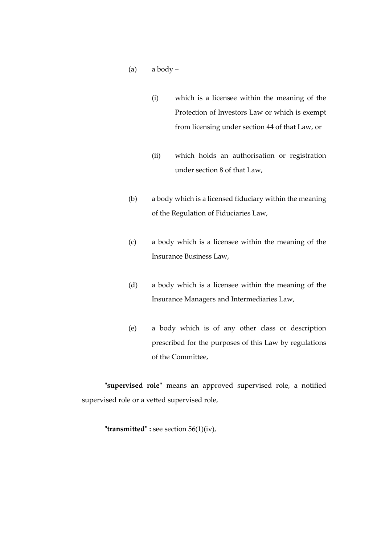- (a)  $a$  body
	- (i) which is a licensee within the meaning of the Protection of Investors Law or which is exempt from licensing under section 44 of that Law, or
	- (ii) which holds an authorisation or registration under section 8 of that Law,
- (b) a body which is a licensed fiduciary within the meaning of the Regulation of Fiduciaries Law,
- (c) a body which is a licensee within the meaning of the Insurance Business Law,
- (d) a body which is a licensee within the meaning of the Insurance Managers and Intermediaries Law,
- (e) a body which is of any other class or description prescribed for the purposes of this Law by regulations of the Committee,

**"supervised role"** means an approved supervised role, a notified supervised role or a vetted supervised role,

**"transmitted" :** see section 56(1)(iv),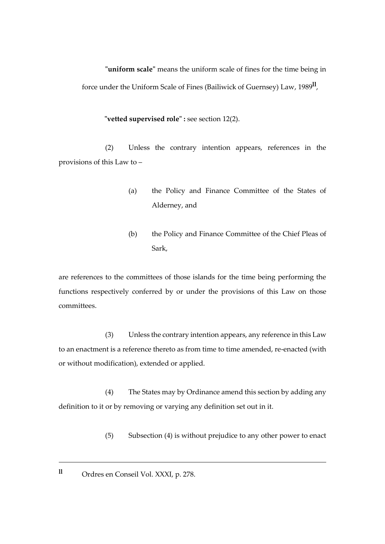**"uniform scale"** means the uniform scale of fines for the time being in force under the Uniform Scale of Fines (Bailiwick of Guernsey) Law, 1989**ll** ,

**"vetted supervised role" :** see section 12(2).

(2) Unless the contrary intention appears, references in the provisions of this Law to –

- (a) the Policy and Finance Committee of the States of Alderney, and
- (b) the Policy and Finance Committee of the Chief Pleas of Sark,

are references to the committees of those islands for the time being performing the functions respectively conferred by or under the provisions of this Law on those committees.

(3) Unless the contrary intention appears, any reference in this Law to an enactment is a reference thereto as from time to time amended, re-enacted (with or without modification), extended or applied.

(4) The States may by Ordinance amend this section by adding any definition to it or by removing or varying any definition set out in it.

- (5) Subsection (4) is without prejudice to any other power to enact
- **ll** Ordres en Conseil Vol. XXXI, p. 278.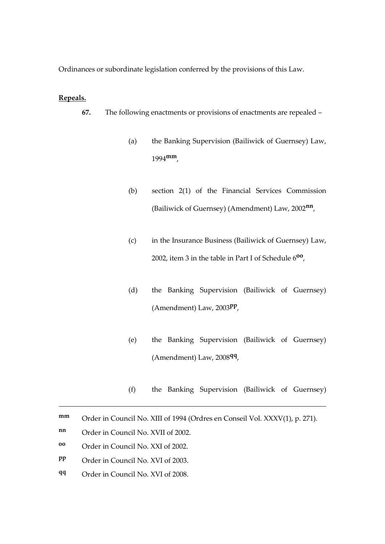Ordinances or subordinate legislation conferred by the provisions of this Law.

### **Repeals.**

- **67.** The following enactments or provisions of enactments are repealed
	- (a) the Banking Supervision (Bailiwick of Guernsey) Law, 1994**mm**,
	- (b) section 2(1) of the Financial Services Commission (Bailiwick of Guernsey) (Amendment) Law, 2002**nn** ,
	- (c) in the Insurance Business (Bailiwick of Guernsey) Law, 2002, item 3 in the table in Part I of Schedule 6**oo** ,
	- (d) the Banking Supervision (Bailiwick of Guernsey) (Amendment) Law, 2003**pp** ,
	- (e) the Banking Supervision (Bailiwick of Guernsey) (Amendment) Law, 2008**qq** ,
	- (f) the Banking Supervision (Bailiwick of Guernsey)

- **oo** Order in Council No. XXI of 2002.
- **pp** Order in Council No. XVI of 2003.
- **qq** Order in Council No. XVI of 2008.

**mm** Order in Council No. XIII of 1994 (Ordres en Conseil Vol. XXXV(1), p. 271).

**nn** Order in Council No. XVII of 2002.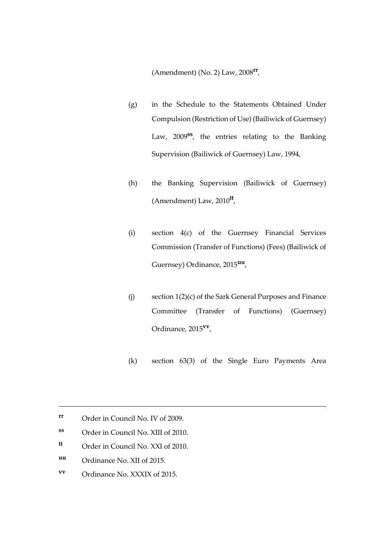(Amendment) (No. 2) Law, 2008**rr** ,

- (g) in the Schedule to the Statements Obtained Under Compulsion (Restriction of Use) (Bailiwick of Guernsey) Law, 2009**ss** , the entries relating to the Banking Supervision (Bailiwick of Guernsey) Law, 1994,
- (h) the Banking Supervision (Bailiwick of Guernsey) (Amendment) Law, 2010**tt** ,
- (i) section 4(c) of the Guernsey Financial Services Commission (Transfer of Functions) (Fees) (Bailiwick of Guernsey) Ordinance, 2015**uu** ,
- (j) section 1(2)(c) of the Sark General Purposes and Finance Committee (Transfer of Functions) (Guernsey) Ordinance, 2015**vv** ,
- (k) section 63(3) of the Single Euro Payments Area

- **tt** Order in Council No. XXI of 2010.
- **uu** Ordinance No. XII of 2015.

1

**vv** Ordinance No. XXXIX of 2015.

**rr** Order in Council No. IV of 2009.

**ss** Order in Council No. XIII of 2010.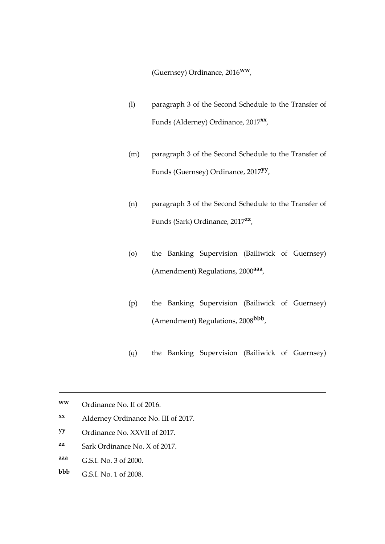(Guernsey) Ordinance, 2016**ww**,

- (l) paragraph 3 of the Second Schedule to the Transfer of Funds (Alderney) Ordinance, 2017**xx** ,
- (m) paragraph 3 of the Second Schedule to the Transfer of Funds (Guernsey) Ordinance, 2017**yy** ,
- (n) paragraph 3 of the Second Schedule to the Transfer of Funds (Sark) Ordinance, 2017**zz** ,
- (o) the Banking Supervision (Bailiwick of Guernsey) (Amendment) Regulations, 2000**aaa** ,
- (p) the Banking Supervision (Bailiwick of Guernsey) (Amendment) Regulations, 2008**bbb** ,
- (q) the Banking Supervision (Bailiwick of Guernsey)

- **xx** Alderney Ordinance No. III of 2017.
- **yy** Ordinance No. XXVII of 2017.
- **zz** Sark Ordinance No. X of 2017.
- **aaa** G.S.I. No. 3 of 2000.
- **bbb** G.S.I. No. 1 of 2008.

**ww** Ordinance No. II of 2016.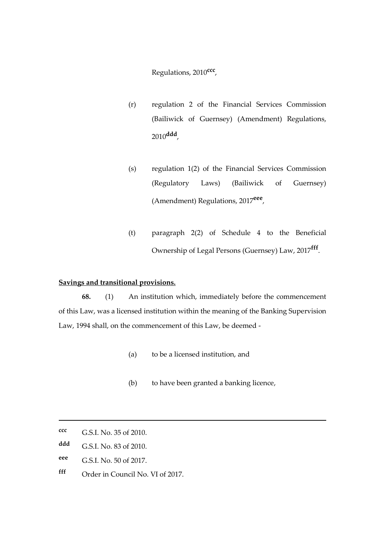Regulations, 2010**ccc** ,

- (r) regulation 2 of the Financial Services Commission (Bailiwick of Guernsey) (Amendment) Regulations, 2010**ddd** ,
- (s) regulation 1(2) of the Financial Services Commission (Regulatory Laws) (Bailiwick of Guernsey) (Amendment) Regulations, 2017**eee** ,
- (t) paragraph 2(2) of Schedule 4 to the Beneficial Ownership of Legal Persons (Guernsey) Law, 2017**fff** .

# **Savings and transitional provisions.**

**68.** (1) An institution which, immediately before the commencement of this Law, was a licensed institution within the meaning of the Banking Supervision Law, 1994 shall, on the commencement of this Law, be deemed -

- (a) to be a licensed institution, and
- (b) to have been granted a banking licence,

- **eee** G.S.I. No. 50 of 2017.
- **fff** Order in Council No. VI of 2017.

**ccc** G.S.I. No. 35 of 2010.

**ddd** G.S.I. No. 83 of 2010.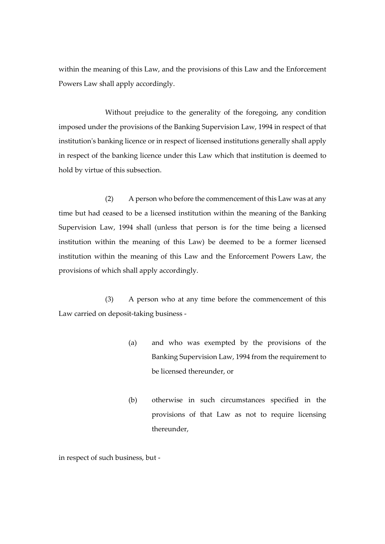within the meaning of this Law, and the provisions of this Law and the Enforcement Powers Law shall apply accordingly.

Without prejudice to the generality of the foregoing, any condition imposed under the provisions of the Banking Supervision Law, 1994 in respect of that institution's banking licence or in respect of licensed institutions generally shall apply in respect of the banking licence under this Law which that institution is deemed to hold by virtue of this subsection.

(2) A person who before the commencement of this Law was at any time but had ceased to be a licensed institution within the meaning of the Banking Supervision Law, 1994 shall (unless that person is for the time being a licensed institution within the meaning of this Law) be deemed to be a former licensed institution within the meaning of this Law and the Enforcement Powers Law, the provisions of which shall apply accordingly.

(3) A person who at any time before the commencement of this Law carried on deposit-taking business -

- (a) and who was exempted by the provisions of the Banking Supervision Law, 1994 from the requirement to be licensed thereunder, or
- (b) otherwise in such circumstances specified in the provisions of that Law as not to require licensing thereunder,

in respect of such business, but -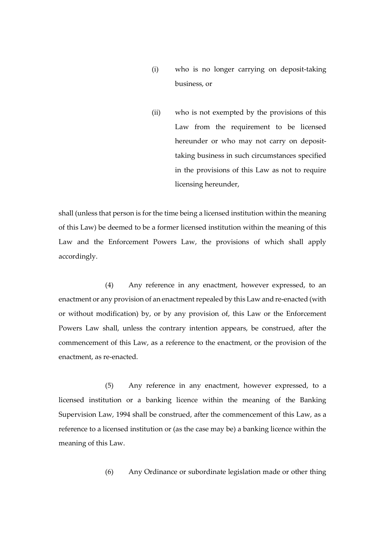- (i) who is no longer carrying on deposit-taking business, or
- (ii) who is not exempted by the provisions of this Law from the requirement to be licensed hereunder or who may not carry on deposittaking business in such circumstances specified in the provisions of this Law as not to require licensing hereunder,

shall (unless that person is for the time being a licensed institution within the meaning of this Law) be deemed to be a former licensed institution within the meaning of this Law and the Enforcement Powers Law, the provisions of which shall apply accordingly.

(4) Any reference in any enactment, however expressed, to an enactment or any provision of an enactment repealed by this Law and re-enacted (with or without modification) by, or by any provision of, this Law or the Enforcement Powers Law shall, unless the contrary intention appears, be construed, after the commencement of this Law, as a reference to the enactment, or the provision of the enactment, as re-enacted.

(5) Any reference in any enactment, however expressed, to a licensed institution or a banking licence within the meaning of the Banking Supervision Law, 1994 shall be construed, after the commencement of this Law, as a reference to a licensed institution or (as the case may be) a banking licence within the meaning of this Law.

(6) Any Ordinance or subordinate legislation made or other thing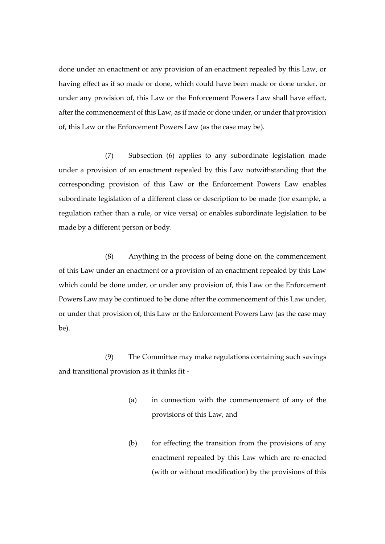done under an enactment or any provision of an enactment repealed by this Law, or having effect as if so made or done, which could have been made or done under, or under any provision of, this Law or the Enforcement Powers Law shall have effect, after the commencement of this Law, as if made or done under, or under that provision of, this Law or the Enforcement Powers Law (as the case may be).

(7) Subsection (6) applies to any subordinate legislation made under a provision of an enactment repealed by this Law notwithstanding that the corresponding provision of this Law or the Enforcement Powers Law enables subordinate legislation of a different class or description to be made (for example, a regulation rather than a rule, or vice versa) or enables subordinate legislation to be made by a different person or body.

(8) Anything in the process of being done on the commencement of this Law under an enactment or a provision of an enactment repealed by this Law which could be done under, or under any provision of, this Law or the Enforcement Powers Law may be continued to be done after the commencement of this Law under, or under that provision of, this Law or the Enforcement Powers Law (as the case may be).

(9) The Committee may make regulations containing such savings and transitional provision as it thinks fit -

- (a) in connection with the commencement of any of the provisions of this Law, and
- (b) for effecting the transition from the provisions of any enactment repealed by this Law which are re-enacted (with or without modification) by the provisions of this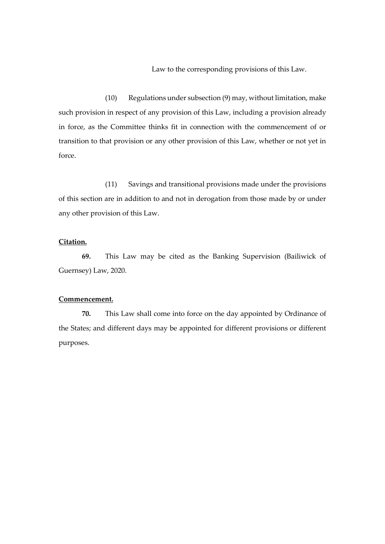Law to the corresponding provisions of this Law.

(10) Regulations under subsection (9) may, without limitation, make such provision in respect of any provision of this Law, including a provision already in force, as the Committee thinks fit in connection with the commencement of or transition to that provision or any other provision of this Law, whether or not yet in force.

(11) Savings and transitional provisions made under the provisions of this section are in addition to and not in derogation from those made by or under any other provision of this Law.

## **Citation.**

**69.** This Law may be cited as the Banking Supervision (Bailiwick of Guernsey) Law, 2020.

#### **Commencement.**

**70.** This Law shall come into force on the day appointed by Ordinance of the States; and different days may be appointed for different provisions or different purposes.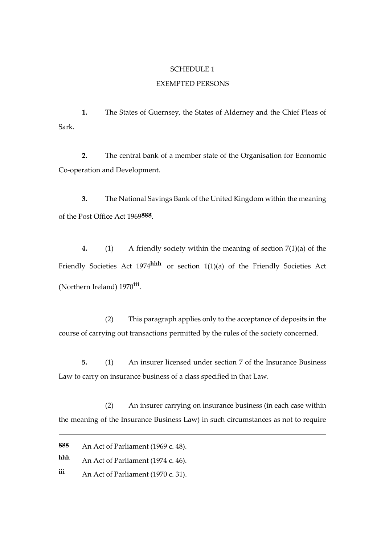#### SCHEDULE 1

## EXEMPTED PERSONS

**1.** The States of Guernsey, the States of Alderney and the Chief Pleas of Sark.

**2.** The central bank of a member state of the Organisation for Economic Co-operation and Development.

**3.** The National Savings Bank of the United Kingdom within the meaning of the Post Office Act 1969**ggg** .

**4.** (1) A friendly society within the meaning of section 7(1)(a) of the Friendly Societies Act 1974**hhh** or section 1(1)(a) of the Friendly Societies Act (Northern Ireland) 1970**iii** .

(2) This paragraph applies only to the acceptance of deposits in the course of carrying out transactions permitted by the rules of the society concerned.

**5.** (1) An insurer licensed under section 7 of the Insurance Business Law to carry on insurance business of a class specified in that Law.

(2) An insurer carrying on insurance business (in each case within the meaning of the Insurance Business Law) in such circumstances as not to require

1

**hhh** An Act of Parliament (1974 c. 46).

**iii** An Act of Parliament (1970 c. 31).

**ggg** An Act of Parliament (1969 c. 48).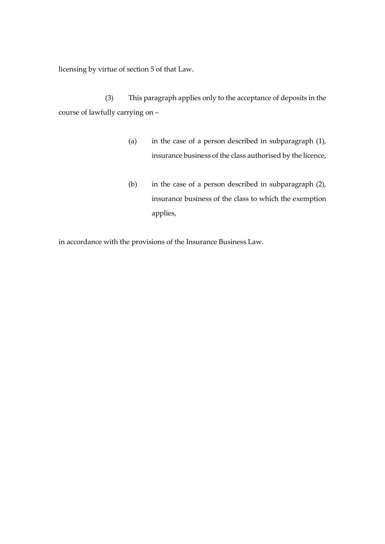licensing by virtue of section 5 of that Law.

(3) This paragraph applies only to the acceptance of deposits in the course of lawfully carrying on –

- (a) in the case of a person described in subparagraph (1), insurance business of the class authorised by the licence,
- (b) in the case of a person described in subparagraph (2), insurance business of the class to which the exemption applies,

in accordance with the provisions of the Insurance Business Law.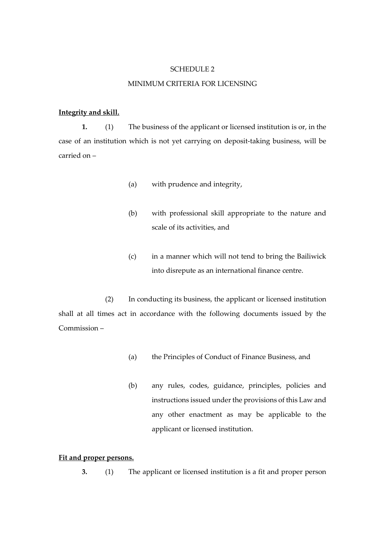#### SCHEDULE 2

### MINIMUM CRITERIA FOR LICENSING

## **Integrity and skill.**

**1.** (1) The business of the applicant or licensed institution is or, in the case of an institution which is not yet carrying on deposit-taking business, will be carried on –

- (a) with prudence and integrity,
- (b) with professional skill appropriate to the nature and scale of its activities, and
- (c) in a manner which will not tend to bring the Bailiwick into disrepute as an international finance centre.

(2) In conducting its business, the applicant or licensed institution shall at all times act in accordance with the following documents issued by the Commission –

- (a) the Principles of Conduct of Finance Business, and
- (b) any rules, codes, guidance, principles, policies and instructions issued under the provisions of this Law and any other enactment as may be applicable to the applicant or licensed institution.

## **Fit and proper persons.**

**3.** (1) The applicant or licensed institution is a fit and proper person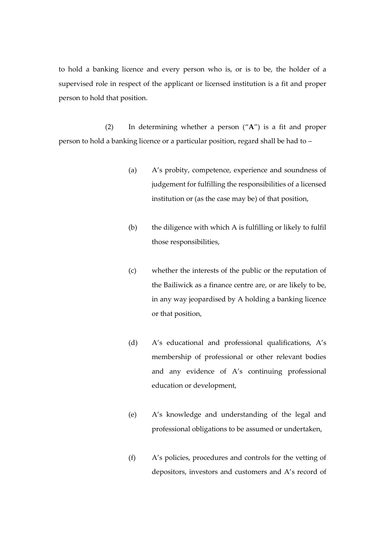to hold a banking licence and every person who is, or is to be, the holder of a supervised role in respect of the applicant or licensed institution is a fit and proper person to hold that position.

(2) In determining whether a person ("**A**") is a fit and proper person to hold a banking licence or a particular position, regard shall be had to –

- (a) A's probity, competence, experience and soundness of judgement for fulfilling the responsibilities of a licensed institution or (as the case may be) of that position,
- (b) the diligence with which A is fulfilling or likely to fulfil those responsibilities,
- (c) whether the interests of the public or the reputation of the Bailiwick as a finance centre are, or are likely to be, in any way jeopardised by A holding a banking licence or that position,
- (d) A's educational and professional qualifications, A's membership of professional or other relevant bodies and any evidence of A's continuing professional education or development,
- (e) A's knowledge and understanding of the legal and professional obligations to be assumed or undertaken,
- (f) A's policies, procedures and controls for the vetting of depositors, investors and customers and A's record of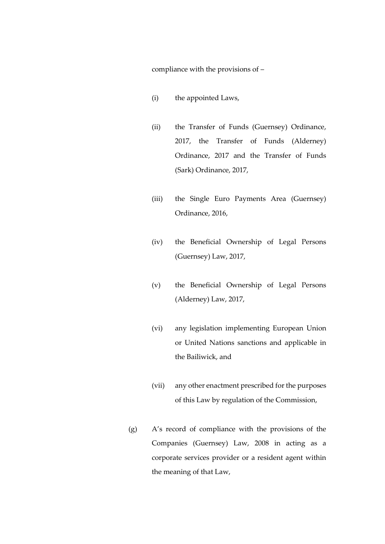compliance with the provisions of –

- (i) the appointed Laws,
- (ii) the Transfer of Funds (Guernsey) Ordinance, 2017, the Transfer of Funds (Alderney) Ordinance, 2017 and the Transfer of Funds (Sark) Ordinance, 2017,
- (iii) the Single Euro Payments Area (Guernsey) Ordinance, 2016,
- (iv) the Beneficial Ownership of Legal Persons (Guernsey) Law, 2017,
- (v) the Beneficial Ownership of Legal Persons (Alderney) Law, 2017,
- (vi) any legislation implementing European Union or United Nations sanctions and applicable in the Bailiwick, and
- (vii) any other enactment prescribed for the purposes of this Law by regulation of the Commission,
- (g) A's record of compliance with the provisions of the Companies (Guernsey) Law, 2008 in acting as a corporate services provider or a resident agent within the meaning of that Law,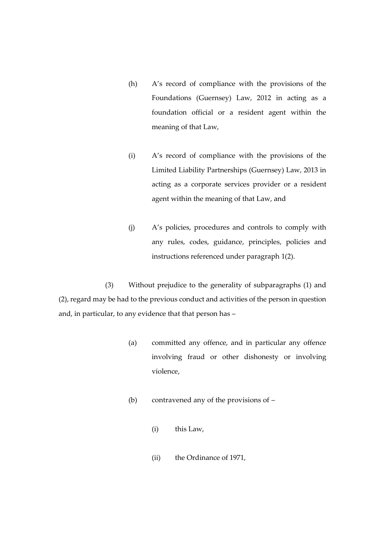- (h) A's record of compliance with the provisions of the Foundations (Guernsey) Law, 2012 in acting as a foundation official or a resident agent within the meaning of that Law,
- (i) A's record of compliance with the provisions of the Limited Liability Partnerships (Guernsey) Law, 2013 in acting as a corporate services provider or a resident agent within the meaning of that Law, and
- (j) A's policies, procedures and controls to comply with any rules, codes, guidance, principles, policies and instructions referenced under paragraph 1(2).

(3) Without prejudice to the generality of subparagraphs (1) and (2), regard may be had to the previous conduct and activities of the person in question and, in particular, to any evidence that that person has –

- (a) committed any offence, and in particular any offence involving fraud or other dishonesty or involving violence,
- (b) contravened any of the provisions of
	- (i) this Law,
	- (ii) the Ordinance of 1971,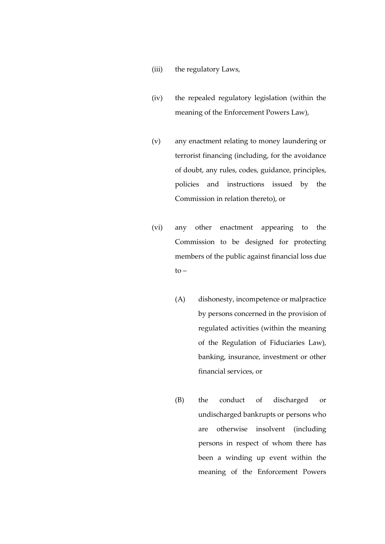- (iii) the regulatory Laws,
- (iv) the repealed regulatory legislation (within the meaning of the Enforcement Powers Law),
- (v) any enactment relating to money laundering or terrorist financing (including, for the avoidance of doubt, any rules, codes, guidance, principles, policies and instructions issued by the Commission in relation thereto), or
- (vi) any other enactment appearing to the Commission to be designed for protecting members of the public against financial loss due  $to -$ 
	- (A) dishonesty, incompetence or malpractice by persons concerned in the provision of regulated activities (within the meaning of the Regulation of Fiduciaries Law), banking, insurance, investment or other financial services, or
	- (B) the conduct of discharged or undischarged bankrupts or persons who are otherwise insolvent (including persons in respect of whom there has been a winding up event within the meaning of the Enforcement Powers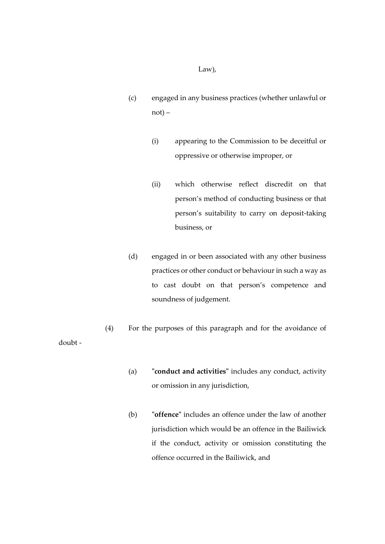Law),

- (c) engaged in any business practices (whether unlawful or not) –
	- (i) appearing to the Commission to be deceitful or oppressive or otherwise improper, or
	- (ii) which otherwise reflect discredit on that person's method of conducting business or that person's suitability to carry on deposit-taking business, or
- (d) engaged in or been associated with any other business practices or other conduct or behaviour in such a way as to cast doubt on that person's competence and soundness of judgement.

(4) For the purposes of this paragraph and for the avoidance of doubt -

- (a) **"conduct and activities"** includes any conduct, activity or omission in any jurisdiction,
- (b) **"offence"** includes an offence under the law of another jurisdiction which would be an offence in the Bailiwick if the conduct, activity or omission constituting the offence occurred in the Bailiwick, and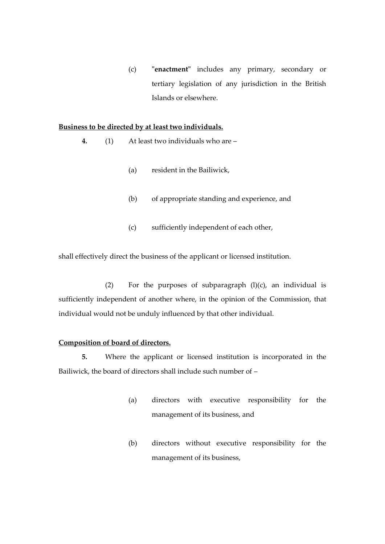(c) **"enactment"** includes any primary, secondary or tertiary legislation of any jurisdiction in the British Islands or elsewhere.

## **Business to be directed by at least two individuals.**

- **4.** (1) At least two individuals who are
	- (a) resident in the Bailiwick,
	- (b) of appropriate standing and experience, and
	- (c) sufficiently independent of each other,

shall effectively direct the business of the applicant or licensed institution.

(2) For the purposes of subparagraph  $(l)(c)$ , an individual is sufficiently independent of another where, in the opinion of the Commission, that individual would not be unduly influenced by that other individual.

## **Composition of board of directors.**

**5.** Where the applicant or licensed institution is incorporated in the Bailiwick, the board of directors shall include such number of –

- (a) directors with executive responsibility for the management of its business, and
- (b) directors without executive responsibility for the management of its business,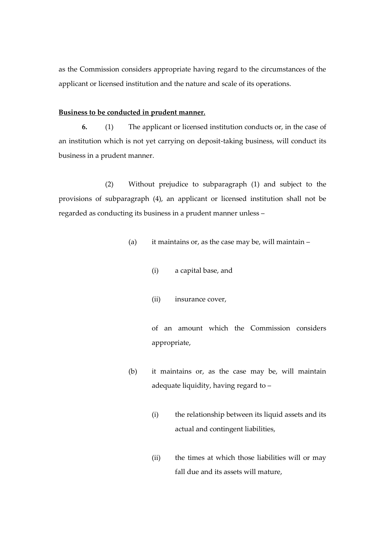as the Commission considers appropriate having regard to the circumstances of the applicant or licensed institution and the nature and scale of its operations.

## **Business to be conducted in prudent manner.**

**6.** (1) The applicant or licensed institution conducts or, in the case of an institution which is not yet carrying on deposit-taking business, will conduct its business in a prudent manner.

(2) Without prejudice to subparagraph (1) and subject to the provisions of subparagraph (4), an applicant or licensed institution shall not be regarded as conducting its business in a prudent manner unless –

- (a) it maintains or, as the case may be, will maintain
	- (i) a capital base, and
	- (ii) insurance cover,

of an amount which the Commission considers appropriate,

- (b) it maintains or, as the case may be, will maintain adequate liquidity, having regard to –
	- (i) the relationship between its liquid assets and its actual and contingent liabilities,
	- (ii) the times at which those liabilities will or may fall due and its assets will mature,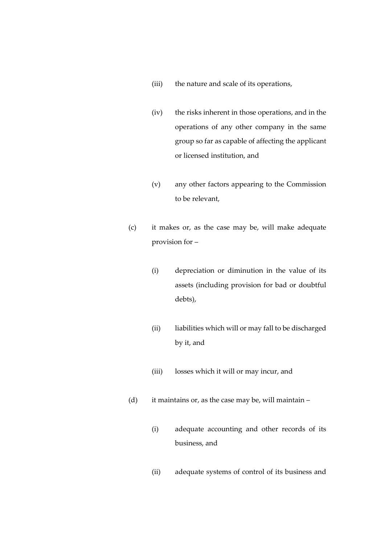- (iii) the nature and scale of its operations,
- (iv) the risks inherent in those operations, and in the operations of any other company in the same group so far as capable of affecting the applicant or licensed institution, and
- (v) any other factors appearing to the Commission to be relevant,
- (c) it makes or, as the case may be, will make adequate provision for –
	- (i) depreciation or diminution in the value of its assets (including provision for bad or doubtful debts),
	- (ii) liabilities which will or may fall to be discharged by it, and
	- (iii) losses which it will or may incur, and
- (d) it maintains or, as the case may be, will maintain
	- (i) adequate accounting and other records of its business, and
	- (ii) adequate systems of control of its business and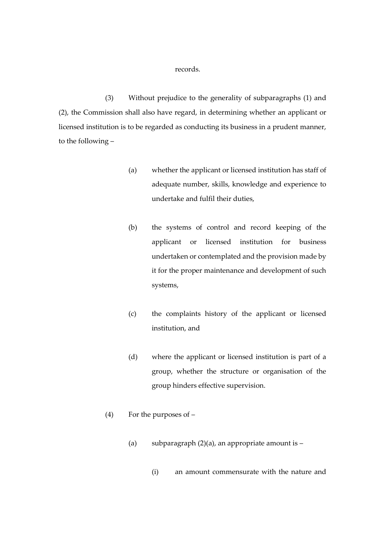### records.

(3) Without prejudice to the generality of subparagraphs (1) and (2), the Commission shall also have regard, in determining whether an applicant or licensed institution is to be regarded as conducting its business in a prudent manner, to the following –

- (a) whether the applicant or licensed institution has staff of adequate number, skills, knowledge and experience to undertake and fulfil their duties,
- (b) the systems of control and record keeping of the applicant or licensed institution for business undertaken or contemplated and the provision made by it for the proper maintenance and development of such systems,
- (c) the complaints history of the applicant or licensed institution, and
- (d) where the applicant or licensed institution is part of a group, whether the structure or organisation of the group hinders effective supervision.
- (4) For the purposes of
	- (a) subparagraph  $(2)(a)$ , an appropriate amount is
		- (i) an amount commensurate with the nature and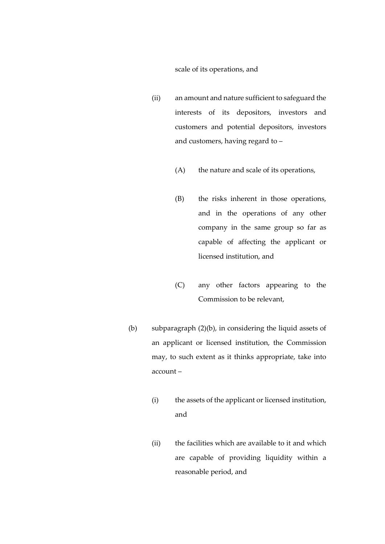### scale of its operations, and

- (ii) an amount and nature sufficient to safeguard the interests of its depositors, investors and customers and potential depositors, investors and customers, having regard to –
	- (A) the nature and scale of its operations,
	- (B) the risks inherent in those operations, and in the operations of any other company in the same group so far as capable of affecting the applicant or licensed institution, and
	- (C) any other factors appearing to the Commission to be relevant,
- (b) subparagraph (2)(b), in considering the liquid assets of an applicant or licensed institution, the Commission may, to such extent as it thinks appropriate, take into account –
	- (i) the assets of the applicant or licensed institution, and
	- (ii) the facilities which are available to it and which are capable of providing liquidity within a reasonable period, and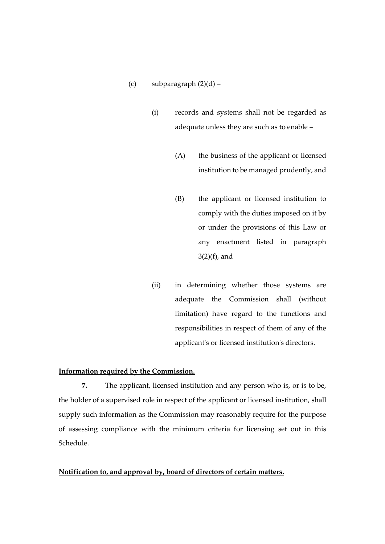- (c) subparagraph  $(2)(d)$ 
	- (i) records and systems shall not be regarded as adequate unless they are such as to enable –
		- (A) the business of the applicant or licensed institution to be managed prudently, and
		- (B) the applicant or licensed institution to comply with the duties imposed on it by or under the provisions of this Law or any enactment listed in paragraph 3(2)(f), and
	- (ii) in determining whether those systems are adequate the Commission shall (without limitation) have regard to the functions and responsibilities in respect of them of any of the applicant's or licensed institution's directors.

## **Information required by the Commission.**

**7.** The applicant, licensed institution and any person who is, or is to be, the holder of a supervised role in respect of the applicant or licensed institution, shall supply such information as the Commission may reasonably require for the purpose of assessing compliance with the minimum criteria for licensing set out in this Schedule.

## **Notification to, and approval by, board of directors of certain matters.**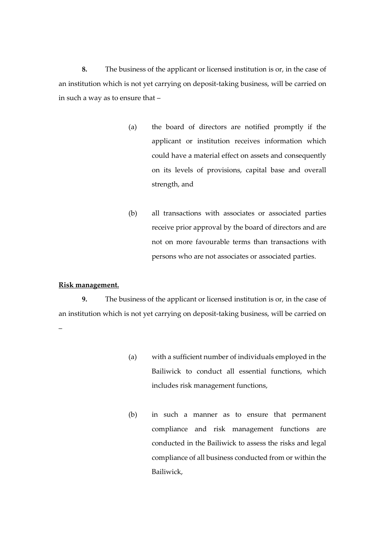**8.** The business of the applicant or licensed institution is or, in the case of an institution which is not yet carrying on deposit-taking business, will be carried on in such a way as to ensure that –

- (a) the board of directors are notified promptly if the applicant or institution receives information which could have a material effect on assets and consequently on its levels of provisions, capital base and overall strength, and
- (b) all transactions with associates or associated parties receive prior approval by the board of directors and are not on more favourable terms than transactions with persons who are not associates or associated parties.

### **Risk management.**

**9.** The business of the applicant or licensed institution is or, in the case of an institution which is not yet carrying on deposit-taking business, will be carried on –

- (a) with a sufficient number of individuals employed in the Bailiwick to conduct all essential functions, which includes risk management functions,
- (b) in such a manner as to ensure that permanent compliance and risk management functions are conducted in the Bailiwick to assess the risks and legal compliance of all business conducted from or within the Bailiwick,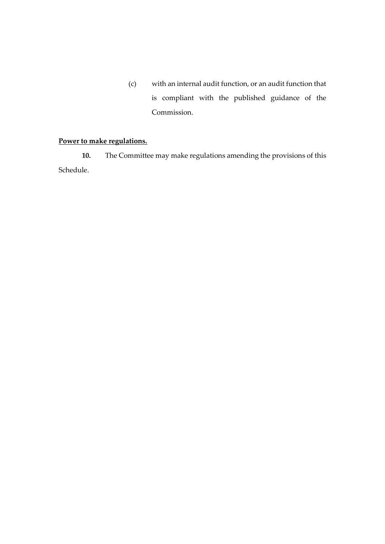(c) with an internal audit function, or an audit function that is compliant with the published guidance of the Commission.

# **Power to make regulations.**

**10.** The Committee may make regulations amending the provisions of this Schedule.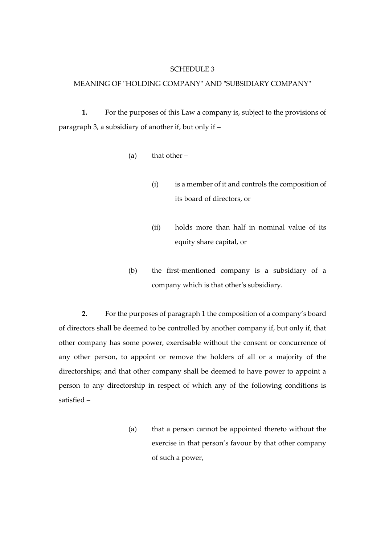#### SCHEDULE 3

## MEANING OF "HOLDING COMPANY" AND "SUBSIDIARY COMPANY"

**1.** For the purposes of this Law a company is, subject to the provisions of paragraph 3, a subsidiary of another if, but only if –

- (a) that other  $-$ 
	- (i) is a member of it and controls the composition of its board of directors, or
	- (ii) holds more than half in nominal value of its equity share capital, or
- (b) the first-mentioned company is a subsidiary of a company which is that other's subsidiary.

**2.** For the purposes of paragraph 1 the composition of a company's board of directors shall be deemed to be controlled by another company if, but only if, that other company has some power, exercisable without the consent or concurrence of any other person, to appoint or remove the holders of all or a majority of the directorships; and that other company shall be deemed to have power to appoint a person to any directorship in respect of which any of the following conditions is satisfied –

> (a) that a person cannot be appointed thereto without the exercise in that person's favour by that other company of such a power,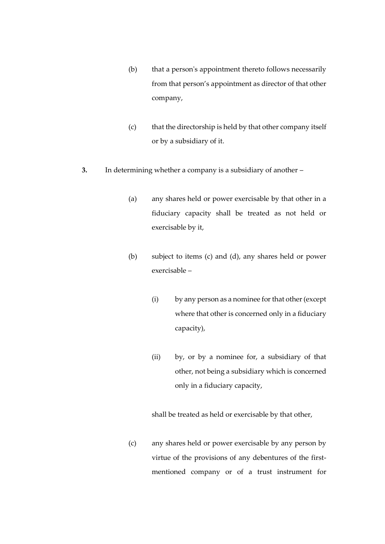- (b) that a person's appointment thereto follows necessarily from that person's appointment as director of that other company,
- (c) that the directorship is held by that other company itself or by a subsidiary of it.
- **3.** In determining whether a company is a subsidiary of another
	- (a) any shares held or power exercisable by that other in a fiduciary capacity shall be treated as not held or exercisable by it,
	- (b) subject to items (c) and (d), any shares held or power exercisable –
		- (i) by any person as a nominee for that other (except where that other is concerned only in a fiduciary capacity),
		- (ii) by, or by a nominee for, a subsidiary of that other, not being a subsidiary which is concerned only in a fiduciary capacity,

shall be treated as held or exercisable by that other,

(c) any shares held or power exercisable by any person by virtue of the provisions of any debentures of the firstmentioned company or of a trust instrument for